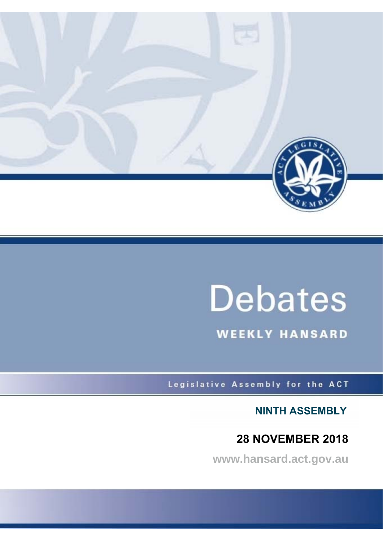

# **Debates**

**WEEKLY HANSARD** 

Legislative Assembly for the ACT

**NINTH ASSEMBLY**

# **28 NOVEMBER 2018**

**www.hansard.act.gov.au**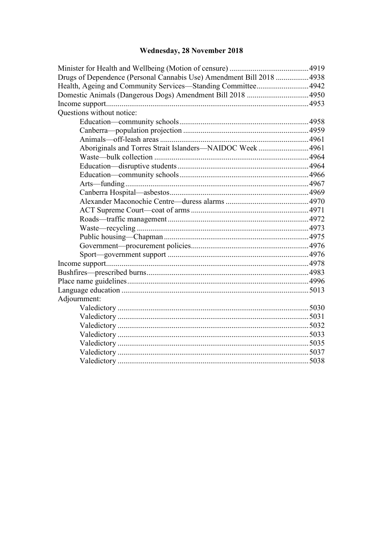# Wednesday, 28 November 2018

| Drugs of Dependence (Personal Cannabis Use) Amendment Bill 2018  4938 |  |
|-----------------------------------------------------------------------|--|
| Health, Ageing and Community Services-Standing Committee 4942         |  |
| Domestic Animals (Dangerous Dogs) Amendment Bill 2018  4950           |  |
|                                                                       |  |
| Questions without notice:                                             |  |
|                                                                       |  |
|                                                                       |  |
|                                                                       |  |
| Aboriginals and Torres Strait Islanders-NAIDOC Week4961               |  |
|                                                                       |  |
|                                                                       |  |
|                                                                       |  |
|                                                                       |  |
|                                                                       |  |
|                                                                       |  |
|                                                                       |  |
|                                                                       |  |
|                                                                       |  |
|                                                                       |  |
|                                                                       |  |
|                                                                       |  |
|                                                                       |  |
|                                                                       |  |
|                                                                       |  |
|                                                                       |  |
| Adjournment:                                                          |  |
|                                                                       |  |
|                                                                       |  |
|                                                                       |  |
|                                                                       |  |
|                                                                       |  |
|                                                                       |  |
|                                                                       |  |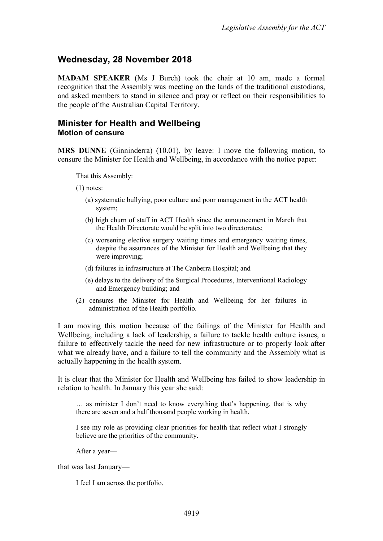# <span id="page-2-0"></span>**Wednesday, 28 November 2018**

**MADAM SPEAKER** (Ms J Burch) took the chair at 10 am, made a formal recognition that the Assembly was meeting on the lands of the traditional custodians, and asked members to stand in silence and pray or reflect on their responsibilities to the people of the Australian Capital Territory.

### <span id="page-2-2"></span><span id="page-2-1"></span>**Minister for Health and Wellbeing Motion of censure**

**MRS DUNNE** (Ginninderra) (10.01), by leave: I move the following motion, to censure the Minister for Health and Wellbeing, in accordance with the notice paper:

That this Assembly:

(1) notes:

- (a) systematic bullying, poor culture and poor management in the ACT health system;
- (b) high churn of staff in ACT Health since the announcement in March that the Health Directorate would be split into two directorates;
- (c) worsening elective surgery waiting times and emergency waiting times, despite the assurances of the Minister for Health and Wellbeing that they were improving;
- (d) failures in infrastructure at The Canberra Hospital; and
- (e) delays to the delivery of the Surgical Procedures, Interventional Radiology and Emergency building; and
- (2) censures the Minister for Health and Wellbeing for her failures in administration of the Health portfolio.

I am moving this motion because of the failings of the Minister for Health and Wellbeing, including a lack of leadership, a failure to tackle health culture issues, a failure to effectively tackle the need for new infrastructure or to properly look after what we already have, and a failure to tell the community and the Assembly what is actually happening in the health system.

It is clear that the Minister for Health and Wellbeing has failed to show leadership in relation to health. In January this year she said:

… as minister I don't need to know everything that's happening, that is why there are seven and a half thousand people working in health.

I see my role as providing clear priorities for health that reflect what I strongly believe are the priorities of the community.

After a year—

that was last January—

I feel I am across the portfolio.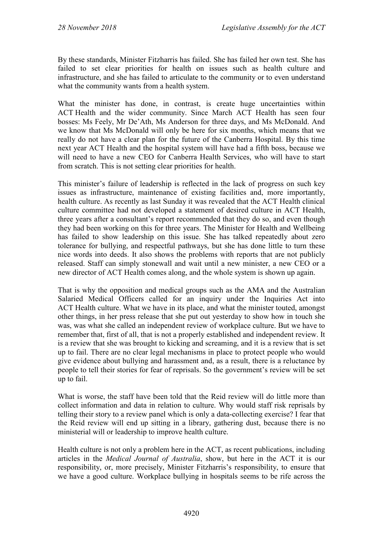By these standards, Minister Fitzharris has failed. She has failed her own test. She has failed to set clear priorities for health on issues such as health culture and infrastructure, and she has failed to articulate to the community or to even understand what the community wants from a health system.

What the minister has done, in contrast, is create huge uncertainties within ACT Health and the wider community. Since March ACT Health has seen four bosses: Ms Feely, Mr De'Ath, Ms Anderson for three days, and Ms McDonald. And we know that Ms McDonald will only be here for six months, which means that we really do not have a clear plan for the future of the Canberra Hospital. By this time next year ACT Health and the hospital system will have had a fifth boss, because we will need to have a new CEO for Canberra Health Services, who will have to start from scratch. This is not setting clear priorities for health.

This minister's failure of leadership is reflected in the lack of progress on such key issues as infrastructure, maintenance of existing facilities and, more importantly, health culture. As recently as last Sunday it was revealed that the ACT Health clinical culture committee had not developed a statement of desired culture in ACT Health, three years after a consultant's report recommended that they do so, and even though they had been working on this for three years. The Minister for Health and Wellbeing has failed to show leadership on this issue. She has talked repeatedly about zero tolerance for bullying, and respectful pathways, but she has done little to turn these nice words into deeds. It also shows the problems with reports that are not publicly released. Staff can simply stonewall and wait until a new minister, a new CEO or a new director of ACT Health comes along, and the whole system is shown up again.

That is why the opposition and medical groups such as the AMA and the Australian Salaried Medical Officers called for an inquiry under the Inquiries Act into ACT Health culture. What we have in its place, and what the minister touted, amongst other things, in her press release that she put out yesterday to show how in touch she was, was what she called an independent review of workplace culture. But we have to remember that, first of all, that is not a properly established and independent review. It is a review that she was brought to kicking and screaming, and it is a review that is set up to fail. There are no clear legal mechanisms in place to protect people who would give evidence about bullying and harassment and, as a result, there is a reluctance by people to tell their stories for fear of reprisals. So the government's review will be set up to fail.

What is worse, the staff have been told that the Reid review will do little more than collect information and data in relation to culture. Why would staff risk reprisals by telling their story to a review panel which is only a data-collecting exercise? I fear that the Reid review will end up sitting in a library, gathering dust, because there is no ministerial will or leadership to improve health culture.

Health culture is not only a problem here in the ACT, as recent publications, including articles in the *Medical Journal of Australia*, show, but here in the ACT it is our responsibility, or, more precisely, Minister Fitzharris's responsibility, to ensure that we have a good culture. Workplace bullying in hospitals seems to be rife across the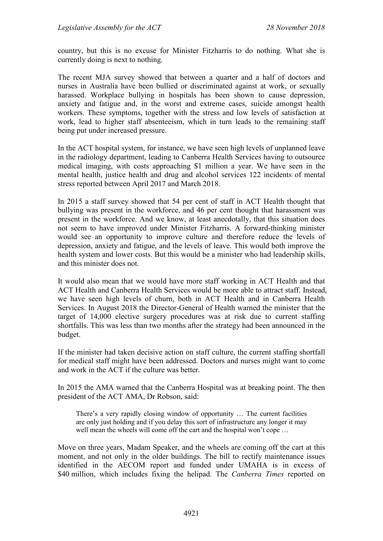country, but this is no excuse for Minister Fitzharris to do nothing. What she is currently doing is next to nothing.

The recent MJA survey showed that between a quarter and a half of doctors and nurses in Australia have been bullied or discriminated against at work, or sexually harassed. Workplace bullying in hospitals has been shown to cause depression, anxiety and fatigue and, in the worst and extreme cases, suicide amongst health workers. These symptoms, together with the stress and low levels of satisfaction at work, lead to higher staff absenteeism, which in turn leads to the remaining staff being put under increased pressure.

In the ACT hospital system, for instance, we have seen high levels of unplanned leave in the radiology department, leading to Canberra Health Services having to outsource medical imaging, with costs approaching \$1 million a year. We have seen in the mental health, justice health and drug and alcohol services 122 incidents of mental stress reported between April 2017 and March 2018.

In 2015 a staff survey showed that 54 per cent of staff in ACT Health thought that bullying was present in the workforce, and 46 per cent thought that harassment was present in the workforce. And we know, at least anecdotally, that this situation does not seem to have improved under Minister Fitzharris. A forward-thinking minister would see an opportunity to improve culture and therefore reduce the levels of depression, anxiety and fatigue, and the levels of leave. This would both improve the health system and lower costs. But this would be a minister who had leadership skills, and this minister does not.

It would also mean that we would have more staff working in ACT Health and that ACT Health and Canberra Health Services would be more able to attract staff. Instead, we have seen high levels of churn, both in ACT Health and in Canberra Health Services. In August 2018 the Director-General of Health warned the minister that the target of 14,000 elective surgery procedures was at risk due to current staffing shortfalls. This was less than two months after the strategy had been announced in the budget.

If the minister had taken decisive action on staff culture, the current staffing shortfall for medical staff might have been addressed. Doctors and nurses might want to come and work in the ACT if the culture was better.

In 2015 the AMA warned that the Canberra Hospital was at breaking point. The then president of the ACT AMA, Dr Robson, said:

There's a very rapidly closing window of opportunity … The current facilities are only just holding and if you delay this sort of infrastructure any longer it may well mean the wheels will come off the cart and the hospital won't cope ...

Move on three years, Madam Speaker, and the wheels are coming off the cart at this moment, and not only in the older buildings. The bill to rectify maintenance issues identified in the AECOM report and funded under UMAHA is in excess of \$40 million, which includes fixing the helipad. The *Canberra Times* reported on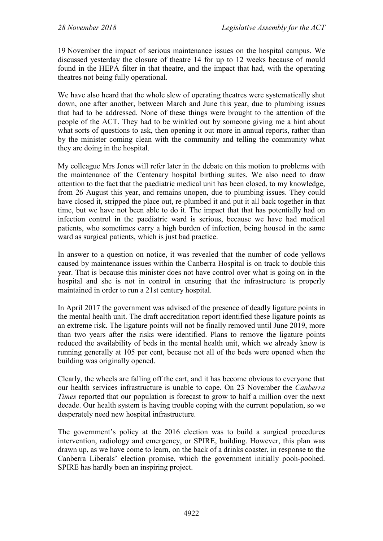19 November the impact of serious maintenance issues on the hospital campus. We discussed yesterday the closure of theatre 14 for up to 12 weeks because of mould found in the HEPA filter in that theatre, and the impact that had, with the operating theatres not being fully operational.

We have also heard that the whole slew of operating theatres were systematically shut down, one after another, between March and June this year, due to plumbing issues that had to be addressed. None of these things were brought to the attention of the people of the ACT. They had to be winkled out by someone giving me a hint about what sorts of questions to ask, then opening it out more in annual reports, rather than by the minister coming clean with the community and telling the community what they are doing in the hospital.

My colleague Mrs Jones will refer later in the debate on this motion to problems with the maintenance of the Centenary hospital birthing suites. We also need to draw attention to the fact that the paediatric medical unit has been closed, to my knowledge, from 26 August this year, and remains unopen, due to plumbing issues. They could have closed it, stripped the place out, re-plumbed it and put it all back together in that time, but we have not been able to do it. The impact that that has potentially had on infection control in the paediatric ward is serious, because we have had medical patients, who sometimes carry a high burden of infection, being housed in the same ward as surgical patients, which is just bad practice.

In answer to a question on notice, it was revealed that the number of code yellows caused by maintenance issues within the Canberra Hospital is on track to double this year. That is because this minister does not have control over what is going on in the hospital and she is not in control in ensuring that the infrastructure is properly maintained in order to run a 21st century hospital.

In April 2017 the government was advised of the presence of deadly ligature points in the mental health unit. The draft accreditation report identified these ligature points as an extreme risk. The ligature points will not be finally removed until June 2019, more than two years after the risks were identified. Plans to remove the ligature points reduced the availability of beds in the mental health unit, which we already know is running generally at 105 per cent, because not all of the beds were opened when the building was originally opened.

Clearly, the wheels are falling off the cart, and it has become obvious to everyone that our health services infrastructure is unable to cope. On 23 November the *Canberra Times* reported that our population is forecast to grow to half a million over the next decade. Our health system is having trouble coping with the current population, so we desperately need new hospital infrastructure.

The government's policy at the 2016 election was to build a surgical procedures intervention, radiology and emergency, or SPIRE, building. However, this plan was drawn up, as we have come to learn, on the back of a drinks coaster, in response to the Canberra Liberals' election promise, which the government initially pooh-poohed. SPIRE has hardly been an inspiring project.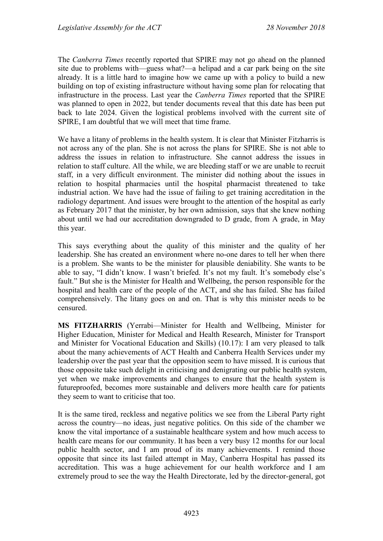The *Canberra Times* recently reported that SPIRE may not go ahead on the planned site due to problems with—guess what?—a helipad and a car park being on the site already. It is a little hard to imagine how we came up with a policy to build a new building on top of existing infrastructure without having some plan for relocating that infrastructure in the process. Last year the *Canberra Times* reported that the SPIRE was planned to open in 2022, but tender documents reveal that this date has been put back to late 2024. Given the logistical problems involved with the current site of SPIRE, I am doubtful that we will meet that time frame.

We have a litany of problems in the health system. It is clear that Minister Fitzharris is not across any of the plan. She is not across the plans for SPIRE. She is not able to address the issues in relation to infrastructure. She cannot address the issues in relation to staff culture. All the while, we are bleeding staff or we are unable to recruit staff, in a very difficult environment. The minister did nothing about the issues in relation to hospital pharmacies until the hospital pharmacist threatened to take industrial action. We have had the issue of failing to get training accreditation in the radiology department. And issues were brought to the attention of the hospital as early as February 2017 that the minister, by her own admission, says that she knew nothing about until we had our accreditation downgraded to D grade, from A grade, in May this year.

This says everything about the quality of this minister and the quality of her leadership. She has created an environment where no-one dares to tell her when there is a problem. She wants to be the minister for plausible deniability. She wants to be able to say, "I didn't know. I wasn't briefed. It's not my fault. It's somebody else's fault." But she is the Minister for Health and Wellbeing, the person responsible for the hospital and health care of the people of the ACT, and she has failed. She has failed comprehensively. The litany goes on and on. That is why this minister needs to be censured.

**MS FITZHARRIS** (Yerrabi—Minister for Health and Wellbeing, Minister for Higher Education, Minister for Medical and Health Research, Minister for Transport and Minister for Vocational Education and Skills) (10.17): I am very pleased to talk about the many achievements of ACT Health and Canberra Health Services under my leadership over the past year that the opposition seem to have missed. It is curious that those opposite take such delight in criticising and denigrating our public health system, yet when we make improvements and changes to ensure that the health system is futureproofed, becomes more sustainable and delivers more health care for patients they seem to want to criticise that too.

It is the same tired, reckless and negative politics we see from the Liberal Party right across the country—no ideas, just negative politics. On this side of the chamber we know the vital importance of a sustainable healthcare system and how much access to health care means for our community. It has been a very busy 12 months for our local public health sector, and I am proud of its many achievements. I remind those opposite that since its last failed attempt in May, Canberra Hospital has passed its accreditation. This was a huge achievement for our health workforce and I am extremely proud to see the way the Health Directorate, led by the director-general, got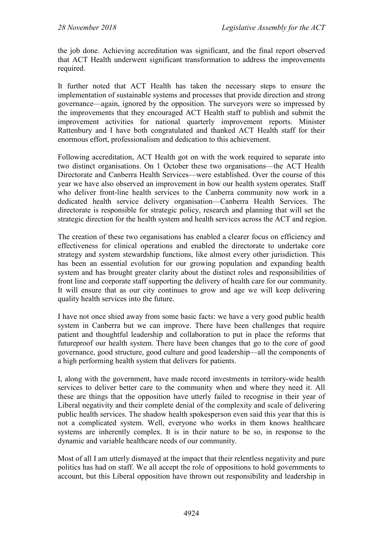the job done. Achieving accreditation was significant, and the final report observed that ACT Health underwent significant transformation to address the improvements required.

It further noted that ACT Health has taken the necessary steps to ensure the implementation of sustainable systems and processes that provide direction and strong governance—again, ignored by the opposition. The surveyors were so impressed by the improvements that they encouraged ACT Health staff to publish and submit the improvement activities for national quarterly improvement reports. Minister Rattenbury and I have both congratulated and thanked ACT Health staff for their enormous effort, professionalism and dedication to this achievement.

Following accreditation, ACT Health got on with the work required to separate into two distinct organisations. On 1 October these two organisations—the ACT Health Directorate and Canberra Health Services—were established. Over the course of this year we have also observed an improvement in how our health system operates. Staff who deliver front-line health services to the Canberra community now work in a dedicated health service delivery organisation—Canberra Health Services. The directorate is responsible for strategic policy, research and planning that will set the strategic direction for the health system and health services across the ACT and region.

The creation of these two organisations has enabled a clearer focus on efficiency and effectiveness for clinical operations and enabled the directorate to undertake core strategy and system stewardship functions, like almost every other jurisdiction. This has been an essential evolution for our growing population and expanding health system and has brought greater clarity about the distinct roles and responsibilities of front line and corporate staff supporting the delivery of health care for our community. It will ensure that as our city continues to grow and age we will keep delivering quality health services into the future.

I have not once shied away from some basic facts: we have a very good public health system in Canberra but we can improve. There have been challenges that require patient and thoughtful leadership and collaboration to put in place the reforms that futureproof our health system. There have been changes that go to the core of good governance, good structure, good culture and good leadership—all the components of a high performing health system that delivers for patients.

I, along with the government, have made record investments in territory-wide health services to deliver better care to the community when and where they need it. All these are things that the opposition have utterly failed to recognise in their year of Liberal negativity and their complete denial of the complexity and scale of delivering public health services. The shadow health spokesperson even said this year that this is not a complicated system. Well, everyone who works in them knows healthcare systems are inherently complex. It is in their nature to be so, in response to the dynamic and variable healthcare needs of our community.

Most of all I am utterly dismayed at the impact that their relentless negativity and pure politics has had on staff. We all accept the role of oppositions to hold governments to account, but this Liberal opposition have thrown out responsibility and leadership in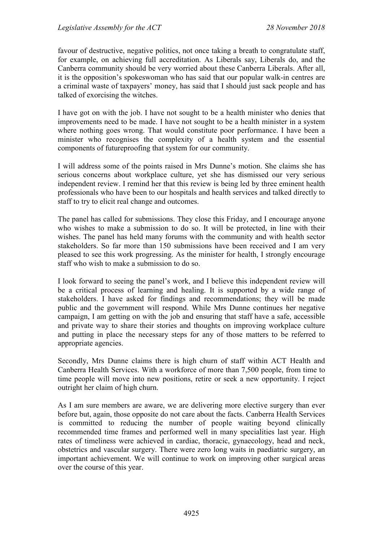favour of destructive, negative politics, not once taking a breath to congratulate staff, for example, on achieving full accreditation. As Liberals say, Liberals do, and the Canberra community should be very worried about these Canberra Liberals. After all, it is the opposition's spokeswoman who has said that our popular walk-in centres are a criminal waste of taxpayers' money, has said that I should just sack people and has talked of exorcising the witches.

I have got on with the job. I have not sought to be a health minister who denies that improvements need to be made. I have not sought to be a health minister in a system where nothing goes wrong. That would constitute poor performance. I have been a minister who recognises the complexity of a health system and the essential components of futureproofing that system for our community.

I will address some of the points raised in Mrs Dunne's motion. She claims she has serious concerns about workplace culture, yet she has dismissed our very serious independent review. I remind her that this review is being led by three eminent health professionals who have been to our hospitals and health services and talked directly to staff to try to elicit real change and outcomes.

The panel has called for submissions. They close this Friday, and I encourage anyone who wishes to make a submission to do so. It will be protected, in line with their wishes. The panel has held many forums with the community and with health sector stakeholders. So far more than 150 submissions have been received and I am very pleased to see this work progressing. As the minister for health, I strongly encourage staff who wish to make a submission to do so.

I look forward to seeing the panel's work, and I believe this independent review will be a critical process of learning and healing. It is supported by a wide range of stakeholders. I have asked for findings and recommendations; they will be made public and the government will respond. While Mrs Dunne continues her negative campaign, I am getting on with the job and ensuring that staff have a safe, accessible and private way to share their stories and thoughts on improving workplace culture and putting in place the necessary steps for any of those matters to be referred to appropriate agencies.

Secondly, Mrs Dunne claims there is high churn of staff within ACT Health and Canberra Health Services. With a workforce of more than 7,500 people, from time to time people will move into new positions, retire or seek a new opportunity. I reject outright her claim of high churn.

As I am sure members are aware, we are delivering more elective surgery than ever before but, again, those opposite do not care about the facts. Canberra Health Services is committed to reducing the number of people waiting beyond clinically recommended time frames and performed well in many specialities last year. High rates of timeliness were achieved in cardiac, thoracic, gynaecology, head and neck, obstetrics and vascular surgery. There were zero long waits in paediatric surgery, an important achievement. We will continue to work on improving other surgical areas over the course of this year.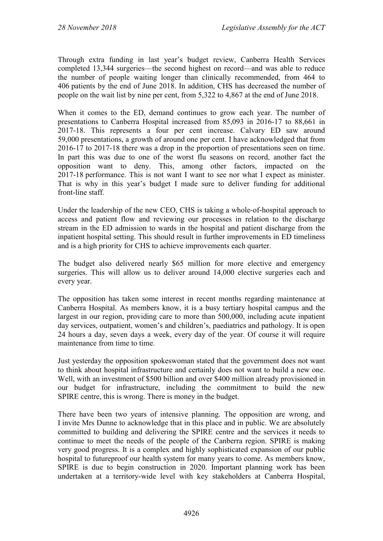Through extra funding in last year's budget review, Canberra Health Services completed 13,344 surgeries—the second highest on record—and was able to reduce the number of people waiting longer than clinically recommended, from 464 to 406 patients by the end of June 2018. In addition, CHS has decreased the number of people on the wait list by nine per cent, from 5,322 to 4,867 at the end of June 2018.

When it comes to the ED, demand continues to grow each year. The number of presentations to Canberra Hospital increased from 85,093 in 2016-17 to 88,661 in 2017-18. This represents a four per cent increase. Calvary ED saw around 59,000 presentations, a growth of around one per cent. I have acknowledged that from 2016-17 to 2017-18 there was a drop in the proportion of presentations seen on time. In part this was due to one of the worst flu seasons on record, another fact the opposition want to deny. This, among other factors, impacted on the 2017-18 performance. This is not want I want to see nor what I expect as minister. That is why in this year's budget I made sure to deliver funding for additional front-line staff.

Under the leadership of the new CEO, CHS is taking a whole-of-hospital approach to access and patient flow and reviewing our processes in relation to the discharge stream in the ED admission to wards in the hospital and patient discharge from the inpatient hospital setting. This should result in further improvements in ED timeliness and is a high priority for CHS to achieve improvements each quarter.

The budget also delivered nearly \$65 million for more elective and emergency surgeries. This will allow us to deliver around 14,000 elective surgeries each and every year.

The opposition has taken some interest in recent months regarding maintenance at Canberra Hospital. As members know, it is a busy tertiary hospital campus and the largest in our region, providing care to more than 500,000, including acute inpatient day services, outpatient, women's and children's, paediatrics and pathology. It is open 24 hours a day, seven days a week, every day of the year. Of course it will require maintenance from time to time.

Just yesterday the opposition spokeswoman stated that the government does not want to think about hospital infrastructure and certainly does not want to build a new one. Well, with an investment of \$500 billion and over \$400 million already provisioned in our budget for infrastructure, including the commitment to build the new SPIRE centre, this is wrong. There is money in the budget.

There have been two years of intensive planning. The opposition are wrong, and I invite Mrs Dunne to acknowledge that in this place and in public. We are absolutely committed to building and delivering the SPIRE centre and the services it needs to continue to meet the needs of the people of the Canberra region. SPIRE is making very good progress. It is a complex and highly sophisticated expansion of our public hospital to futureproof our health system for many years to come. As members know, SPIRE is due to begin construction in 2020. Important planning work has been undertaken at a territory-wide level with key stakeholders at Canberra Hospital,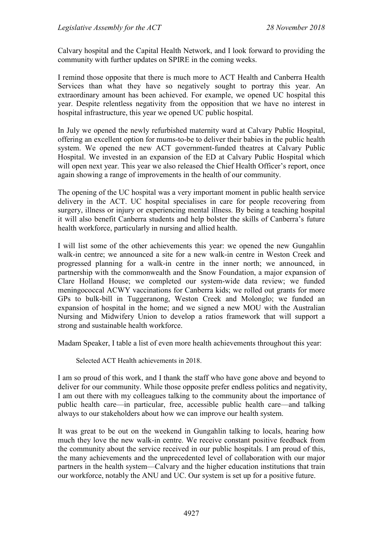Calvary hospital and the Capital Health Network, and I look forward to providing the community with further updates on SPIRE in the coming weeks.

I remind those opposite that there is much more to ACT Health and Canberra Health Services than what they have so negatively sought to portray this year. An extraordinary amount has been achieved. For example, we opened UC hospital this year. Despite relentless negativity from the opposition that we have no interest in hospital infrastructure, this year we opened UC public hospital.

In July we opened the newly refurbished maternity ward at Calvary Public Hospital, offering an excellent option for mums-to-be to deliver their babies in the public health system. We opened the new ACT government-funded theatres at Calvary Public Hospital. We invested in an expansion of the ED at Calvary Public Hospital which will open next year. This year we also released the Chief Health Officer's report, once again showing a range of improvements in the health of our community.

The opening of the UC hospital was a very important moment in public health service delivery in the ACT. UC hospital specialises in care for people recovering from surgery, illness or injury or experiencing mental illness. By being a teaching hospital it will also benefit Canberra students and help bolster the skills of Canberra's future health workforce, particularly in nursing and allied health.

I will list some of the other achievements this year: we opened the new Gungahlin walk-in centre; we announced a site for a new walk-in centre in Weston Creek and progressed planning for a walk-in centre in the inner north; we announced, in partnership with the commonwealth and the Snow Foundation, a major expansion of Clare Holland House; we completed our system-wide data review; we funded meningococcal ACWY vaccinations for Canberra kids; we rolled out grants for more GPs to bulk-bill in Tuggeranong, Weston Creek and Molonglo; we funded an expansion of hospital in the home; and we signed a new MOU with the Australian Nursing and Midwifery Union to develop a ratios framework that will support a strong and sustainable health workforce.

Madam Speaker, I table a list of even more health achievements throughout this year:

Selected ACT Health achievements in 2018.

I am so proud of this work, and I thank the staff who have gone above and beyond to deliver for our community. While those opposite prefer endless politics and negativity, I am out there with my colleagues talking to the community about the importance of public health care—in particular, free, accessible public health care—and talking always to our stakeholders about how we can improve our health system.

It was great to be out on the weekend in Gungahlin talking to locals, hearing how much they love the new walk-in centre. We receive constant positive feedback from the community about the service received in our public hospitals. I am proud of this, the many achievements and the unprecedented level of collaboration with our major partners in the health system—Calvary and the higher education institutions that train our workforce, notably the ANU and UC. Our system is set up for a positive future.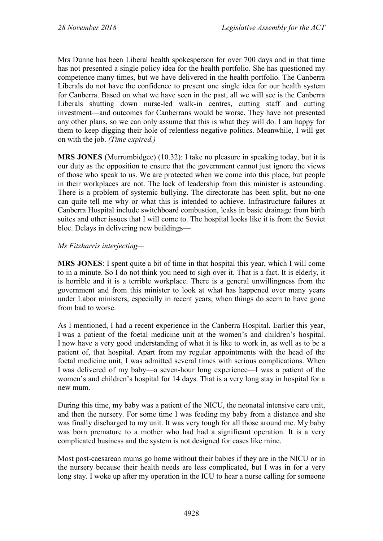Mrs Dunne has been Liberal health spokesperson for over 700 days and in that time has not presented a single policy idea for the health portfolio. She has questioned my competence many times, but we have delivered in the health portfolio. The Canberra Liberals do not have the confidence to present one single idea for our health system for Canberra. Based on what we have seen in the past, all we will see is the Canberra Liberals shutting down nurse-led walk-in centres, cutting staff and cutting investment—and outcomes for Canberrans would be worse. They have not presented any other plans, so we can only assume that this is what they will do. I am happy for them to keep digging their hole of relentless negative politics. Meanwhile, I will get on with the job. *(Time expired.)*

**MRS JONES** (Murrumbidgee) (10.32): I take no pleasure in speaking today, but it is our duty as the opposition to ensure that the government cannot just ignore the views of those who speak to us. We are protected when we come into this place, but people in their workplaces are not. The lack of leadership from this minister is astounding. There is a problem of systemic bullying. The directorate has been split, but no-one can quite tell me why or what this is intended to achieve. Infrastructure failures at Canberra Hospital include switchboard combustion, leaks in basic drainage from birth suites and other issues that I will come to. The hospital looks like it is from the Soviet bloc. Delays in delivering new buildings—

### *Ms Fitzharris interjecting—*

**MRS JONES**: I spent quite a bit of time in that hospital this year, which I will come to in a minute. So I do not think you need to sigh over it. That is a fact. It is elderly, it is horrible and it is a terrible workplace. There is a general unwillingness from the government and from this minister to look at what has happened over many years under Labor ministers, especially in recent years, when things do seem to have gone from bad to worse.

As I mentioned, I had a recent experience in the Canberra Hospital. Earlier this year, I was a patient of the foetal medicine unit at the women's and children's hospital. I now have a very good understanding of what it is like to work in, as well as to be a patient of, that hospital. Apart from my regular appointments with the head of the foetal medicine unit, I was admitted several times with serious complications. When I was delivered of my baby—a seven-hour long experience—I was a patient of the women's and children's hospital for 14 days. That is a very long stay in hospital for a new mum.

During this time, my baby was a patient of the NICU, the neonatal intensive care unit, and then the nursery. For some time I was feeding my baby from a distance and she was finally discharged to my unit. It was very tough for all those around me. My baby was born premature to a mother who had had a significant operation. It is a very complicated business and the system is not designed for cases like mine.

Most post-caesarean mums go home without their babies if they are in the NICU or in the nursery because their health needs are less complicated, but I was in for a very long stay. I woke up after my operation in the ICU to hear a nurse calling for someone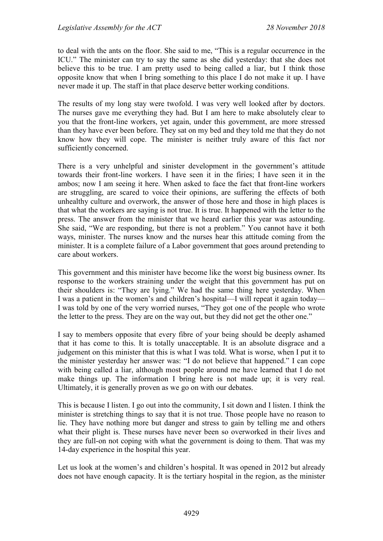to deal with the ants on the floor. She said to me, "This is a regular occurrence in the ICU." The minister can try to say the same as she did yesterday: that she does not believe this to be true. I am pretty used to being called a liar, but I think those opposite know that when I bring something to this place I do not make it up. I have never made it up. The staff in that place deserve better working conditions.

The results of my long stay were twofold. I was very well looked after by doctors. The nurses gave me everything they had. But I am here to make absolutely clear to you that the front-line workers, yet again, under this government, are more stressed than they have ever been before. They sat on my bed and they told me that they do not know how they will cope. The minister is neither truly aware of this fact nor sufficiently concerned.

There is a very unhelpful and sinister development in the government's attitude towards their front-line workers. I have seen it in the firies; I have seen it in the ambos; now I am seeing it here. When asked to face the fact that front-line workers are struggling, are scared to voice their opinions, are suffering the effects of both unhealthy culture and overwork, the answer of those here and those in high places is that what the workers are saying is not true. It is true. It happened with the letter to the press. The answer from the minister that we heard earlier this year was astounding. She said, "We are responding, but there is not a problem." You cannot have it both ways, minister. The nurses know and the nurses hear this attitude coming from the minister. It is a complete failure of a Labor government that goes around pretending to care about workers.

This government and this minister have become like the worst big business owner. Its response to the workers straining under the weight that this government has put on their shoulders is: "They are lying." We had the same thing here yesterday. When I was a patient in the women's and children's hospital—I will repeat it again today— I was told by one of the very worried nurses, "They got one of the people who wrote the letter to the press. They are on the way out, but they did not get the other one."

I say to members opposite that every fibre of your being should be deeply ashamed that it has come to this. It is totally unacceptable. It is an absolute disgrace and a judgement on this minister that this is what I was told. What is worse, when I put it to the minister yesterday her answer was: "I do not believe that happened." I can cope with being called a liar, although most people around me have learned that I do not make things up. The information I bring here is not made up; it is very real. Ultimately, it is generally proven as we go on with our debates.

This is because I listen. I go out into the community, I sit down and I listen. I think the minister is stretching things to say that it is not true. Those people have no reason to lie. They have nothing more but danger and stress to gain by telling me and others what their plight is. These nurses have never been so overworked in their lives and they are full-on not coping with what the government is doing to them. That was my 14-day experience in the hospital this year.

Let us look at the women's and children's hospital. It was opened in 2012 but already does not have enough capacity. It is the tertiary hospital in the region, as the minister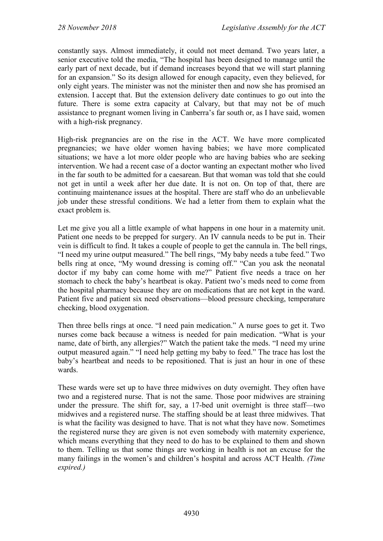constantly says. Almost immediately, it could not meet demand. Two years later, a senior executive told the media, "The hospital has been designed to manage until the early part of next decade, but if demand increases beyond that we will start planning for an expansion." So its design allowed for enough capacity, even they believed, for only eight years. The minister was not the minister then and now she has promised an extension. I accept that. But the extension delivery date continues to go out into the future. There is some extra capacity at Calvary, but that may not be of much assistance to pregnant women living in Canberra's far south or, as I have said, women with a high-risk pregnancy.

High-risk pregnancies are on the rise in the ACT. We have more complicated pregnancies; we have older women having babies; we have more complicated situations; we have a lot more older people who are having babies who are seeking intervention. We had a recent case of a doctor wanting an expectant mother who lived in the far south to be admitted for a caesarean. But that woman was told that she could not get in until a week after her due date. It is not on. On top of that, there are continuing maintenance issues at the hospital. There are staff who do an unbelievable job under these stressful conditions. We had a letter from them to explain what the exact problem is.

Let me give you all a little example of what happens in one hour in a maternity unit. Patient one needs to be prepped for surgery. An IV cannula needs to be put in. Their vein is difficult to find. It takes a couple of people to get the cannula in. The bell rings, "I need my urine output measured." The bell rings, "My baby needs a tube feed." Two bells ring at once, "My wound dressing is coming off." "Can you ask the neonatal doctor if my baby can come home with me?" Patient five needs a trace on her stomach to check the baby's heartbeat is okay. Patient two's meds need to come from the hospital pharmacy because they are on medications that are not kept in the ward. Patient five and patient six need observations—blood pressure checking, temperature checking, blood oxygenation.

Then three bells rings at once. "I need pain medication." A nurse goes to get it. Two nurses come back because a witness is needed for pain medication. "What is your name, date of birth, any allergies?" Watch the patient take the meds. "I need my urine output measured again." "I need help getting my baby to feed." The trace has lost the baby's heartbeat and needs to be repositioned. That is just an hour in one of these wards.

These wards were set up to have three midwives on duty overnight. They often have two and a registered nurse. That is not the same. Those poor midwives are straining under the pressure. The shift for, say, a 17-bed unit overnight is three staff—two midwives and a registered nurse. The staffing should be at least three midwives. That is what the facility was designed to have. That is not what they have now. Sometimes the registered nurse they are given is not even somebody with maternity experience, which means everything that they need to do has to be explained to them and shown to them. Telling us that some things are working in health is not an excuse for the many failings in the women's and children's hospital and across ACT Health. *(Time expired.)*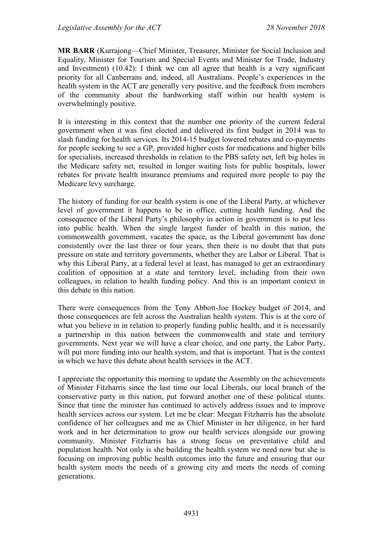**MR BARR** (Kurrajong—Chief Minister, Treasurer, Minister for Social Inclusion and Equality, Minister for Tourism and Special Events and Minister for Trade, Industry and Investment) (10.42): I think we can all agree that health is a very significant priority for all Canberrans and, indeed, all Australians. People's experiences in the health system in the ACT are generally very positive, and the feedback from members of the community about the hardworking staff within our health system is overwhelmingly positive.

It is interesting in this context that the number one priority of the current federal government when it was first elected and delivered its first budget in 2014 was to slash funding for health services. Its 2014-15 budget lowered rebates and co-payments for people seeking to see a GP, provided higher costs for medications and higher bills for specialists, increased thresholds in relation to the PBS safety net, left big holes in the Medicare safety net, resulted in longer waiting lists for public hospitals, lower rebates for private health insurance premiums and required more people to pay the Medicare levy surcharge.

The history of funding for our health system is one of the Liberal Party, at whichever level of government it happens to be in office, cutting health funding. And the consequence of the Liberal Party's philosophy in action in government is to put less into public health. When the single largest funder of health in this nation, the commonwealth government, vacates the space, as the Liberal government has done consistently over the last three or four years, then there is no doubt that that puts pressure on state and territory governments, whether they are Labor or Liberal. That is why this Liberal Party, at a federal level at least, has managed to get an extraordinary coalition of opposition at a state and territory level, including from their own colleagues, in relation to health funding policy. And this is an important context in this debate in this nation.

There were consequences from the Tony Abbott-Joe Hockey budget of 2014, and those consequences are felt across the Australian health system. This is at the core of what you believe in in relation to properly funding public health, and it is necessarily a partnership in this nation between the commonwealth and state and territory governments. Next year we will have a clear choice, and one party, the Labor Party, will put more funding into our health system, and that is important. That is the context in which we have this debate about health services in the ACT.

I appreciate the opportunity this morning to update the Assembly on the achievements of Minister Fitzharris since the last time our local Liberals, our local branch of the conservative party in this nation, put forward another one of these political stunts. Since that time the minister has continued to actively address issues and to improve health services across our system. Let me be clear: Meegan Fitzharris has the absolute confidence of her colleagues and me as Chief Minister in her diligence, in her hard work and in her determination to grow our health services alongside our growing community. Minister Fitzharris has a strong focus on preventative child and population health. Not only is she building the health system we need now but she is focusing on improving public health outcomes into the future and ensuring that our health system meets the needs of a growing city and meets the needs of coming generations.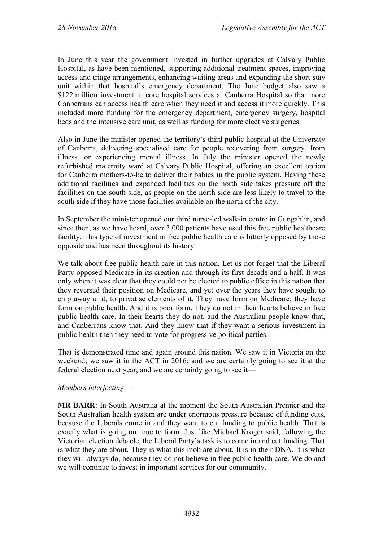In June this year the government invested in further upgrades at Calvary Public Hospital, as have been mentioned, supporting additional treatment spaces, improving access and triage arrangements, enhancing waiting areas and expanding the short-stay unit within that hospital's emergency department. The June budget also saw a \$122 million investment in core hospital services at Canberra Hospital so that more Canberrans can access health care when they need it and access it more quickly. This included more funding for the emergency department, emergency surgery, hospital beds and the intensive care unit, as well as funding for more elective surgeries.

Also in June the minister opened the territory's third public hospital at the University of Canberra, delivering specialised care for people recovering from surgery, from illness, or experiencing mental illness. In July the minister opened the newly refurbished maternity ward at Calvary Public Hospital, offering an excellent option for Canberra mothers-to-be to deliver their babies in the public system. Having these additional facilities and expanded facilities on the north side takes pressure off the facilities on the south side, as people on the north side are less likely to travel to the south side if they have those facilities available on the north of the city.

In September the minister opened our third nurse-led walk-in centre in Gungahlin, and since then, as we have heard, over 3,000 patients have used this free public healthcare facility. This type of investment in free public health care is bitterly opposed by those opposite and has been throughout its history.

We talk about free public health care in this nation. Let us not forget that the Liberal Party opposed Medicare in its creation and through its first decade and a half. It was only when it was clear that they could not be elected to public office in this nation that they reversed their position on Medicare, and yet over the years they have sought to chip away at it, to privatise elements of it. They have form on Medicare; they have form on public health. And it is poor form. They do not in their hearts believe in free public health care. In their hearts they do not, and the Australian people know that, and Canberrans know that. And they know that if they want a serious investment in public health then they need to vote for progressive political parties.

That is demonstrated time and again around this nation. We saw it in Victoria on the weekend; we saw it in the ACT in 2016; and we are certainly going to see it at the federal election next year; and we are certainly going to see it—

#### *Members interjecting*—

**MR BARR**: In South Australia at the moment the South Australian Premier and the South Australian health system are under enormous pressure because of funding cuts, because the Liberals come in and they want to cut funding to public health. That is exactly what is going on, true to form. Just like Michael Kroger said, following the Victorian election debacle, the Liberal Party's task is to come in and cut funding. That is what they are about. They is what this mob are about. It is in their DNA. It is what they will always do, because they do not believe in free public health care. We do and we will continue to invest in important services for our community.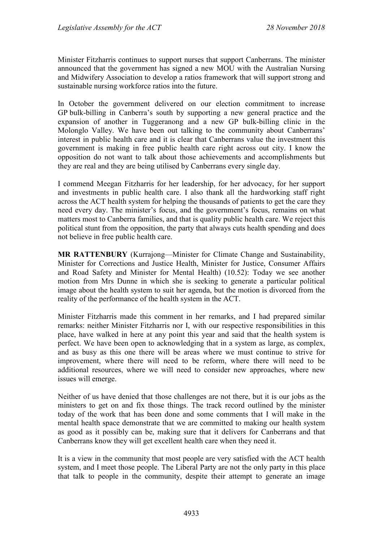Minister Fitzharris continues to support nurses that support Canberrans. The minister announced that the government has signed a new MOU with the Australian Nursing and Midwifery Association to develop a ratios framework that will support strong and sustainable nursing workforce ratios into the future.

In October the government delivered on our election commitment to increase GP bulk-billing in Canberra's south by supporting a new general practice and the expansion of another in Tuggeranong and a new GP bulk-billing clinic in the Molonglo Valley. We have been out talking to the community about Canberrans' interest in public health care and it is clear that Canberrans value the investment this government is making in free public health care right across out city. I know the opposition do not want to talk about those achievements and accomplishments but they are real and they are being utilised by Canberrans every single day.

I commend Meegan Fitzharris for her leadership, for her advocacy, for her support and investments in public health care. I also thank all the hardworking staff right across the ACT health system for helping the thousands of patients to get the care they need every day. The minister's focus, and the government's focus, remains on what matters most to Canberra families, and that is quality public health care. We reject this political stunt from the opposition, the party that always cuts health spending and does not believe in free public health care.

**MR RATTENBURY** (Kurrajong—Minister for Climate Change and Sustainability, Minister for Corrections and Justice Health, Minister for Justice, Consumer Affairs and Road Safety and Minister for Mental Health) (10.52): Today we see another motion from Mrs Dunne in which she is seeking to generate a particular political image about the health system to suit her agenda, but the motion is divorced from the reality of the performance of the health system in the ACT.

Minister Fitzharris made this comment in her remarks, and I had prepared similar remarks: neither Minister Fitzharris nor I, with our respective responsibilities in this place, have walked in here at any point this year and said that the health system is perfect. We have been open to acknowledging that in a system as large, as complex, and as busy as this one there will be areas where we must continue to strive for improvement, where there will need to be reform, where there will need to be additional resources, where we will need to consider new approaches, where new issues will emerge.

Neither of us have denied that those challenges are not there, but it is our jobs as the ministers to get on and fix those things. The track record outlined by the minister today of the work that has been done and some comments that I will make in the mental health space demonstrate that we are committed to making our health system as good as it possibly can be, making sure that it delivers for Canberrans and that Canberrans know they will get excellent health care when they need it.

It is a view in the community that most people are very satisfied with the ACT health system, and I meet those people. The Liberal Party are not the only party in this place that talk to people in the community, despite their attempt to generate an image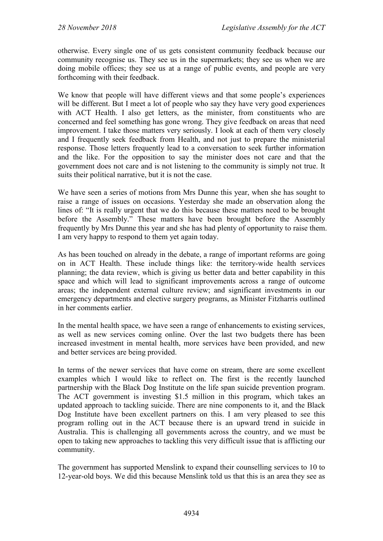otherwise. Every single one of us gets consistent community feedback because our community recognise us. They see us in the supermarkets; they see us when we are doing mobile offices; they see us at a range of public events, and people are very forthcoming with their feedback.

We know that people will have different views and that some people's experiences will be different. But I meet a lot of people who say they have very good experiences with ACT Health. I also get letters, as the minister, from constituents who are concerned and feel something has gone wrong. They give feedback on areas that need improvement. I take those matters very seriously. I look at each of them very closely and I frequently seek feedback from Health, and not just to prepare the ministerial response. Those letters frequently lead to a conversation to seek further information and the like. For the opposition to say the minister does not care and that the government does not care and is not listening to the community is simply not true. It suits their political narrative, but it is not the case.

We have seen a series of motions from Mrs Dunne this year, when she has sought to raise a range of issues on occasions. Yesterday she made an observation along the lines of: "It is really urgent that we do this because these matters need to be brought before the Assembly." These matters have been brought before the Assembly frequently by Mrs Dunne this year and she has had plenty of opportunity to raise them. I am very happy to respond to them yet again today.

As has been touched on already in the debate, a range of important reforms are going on in ACT Health. These include things like: the territory-wide health services planning; the data review, which is giving us better data and better capability in this space and which will lead to significant improvements across a range of outcome areas; the independent external culture review; and significant investments in our emergency departments and elective surgery programs, as Minister Fitzharris outlined in her comments earlier.

In the mental health space, we have seen a range of enhancements to existing services, as well as new services coming online. Over the last two budgets there has been increased investment in mental health, more services have been provided, and new and better services are being provided.

In terms of the newer services that have come on stream, there are some excellent examples which I would like to reflect on. The first is the recently launched partnership with the Black Dog Institute on the life span suicide prevention program. The ACT government is investing \$1.5 million in this program, which takes an updated approach to tackling suicide. There are nine components to it, and the Black Dog Institute have been excellent partners on this. I am very pleased to see this program rolling out in the ACT because there is an upward trend in suicide in Australia. This is challenging all governments across the country, and we must be open to taking new approaches to tackling this very difficult issue that is afflicting our community.

The government has supported Menslink to expand their counselling services to 10 to 12-year-old boys. We did this because Menslink told us that this is an area they see as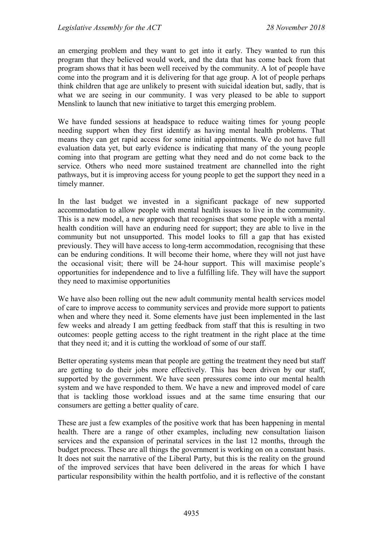an emerging problem and they want to get into it early. They wanted to run this program that they believed would work, and the data that has come back from that program shows that it has been well received by the community. A lot of people have come into the program and it is delivering for that age group. A lot of people perhaps think children that age are unlikely to present with suicidal ideation but, sadly, that is what we are seeing in our community. I was very pleased to be able to support Menslink to launch that new initiative to target this emerging problem.

We have funded sessions at headspace to reduce waiting times for young people needing support when they first identify as having mental health problems. That means they can get rapid access for some initial appointments. We do not have full evaluation data yet, but early evidence is indicating that many of the young people coming into that program are getting what they need and do not come back to the service. Others who need more sustained treatment are channelled into the right pathways, but it is improving access for young people to get the support they need in a timely manner.

In the last budget we invested in a significant package of new supported accommodation to allow people with mental health issues to live in the community. This is a new model, a new approach that recognises that some people with a mental health condition will have an enduring need for support; they are able to live in the community but not unsupported. This model looks to fill a gap that has existed previously. They will have access to long-term accommodation, recognising that these can be enduring conditions. It will become their home, where they will not just have the occasional visit; there will be 24-hour support. This will maximise people's opportunities for independence and to live a fulfilling life. They will have the support they need to maximise opportunities

We have also been rolling out the new adult community mental health services model of care to improve access to community services and provide more support to patients when and where they need it. Some elements have just been implemented in the last few weeks and already I am getting feedback from staff that this is resulting in two outcomes: people getting access to the right treatment in the right place at the time that they need it; and it is cutting the workload of some of our staff.

Better operating systems mean that people are getting the treatment they need but staff are getting to do their jobs more effectively. This has been driven by our staff, supported by the government. We have seen pressures come into our mental health system and we have responded to them. We have a new and improved model of care that is tackling those workload issues and at the same time ensuring that our consumers are getting a better quality of care.

These are just a few examples of the positive work that has been happening in mental health. There are a range of other examples, including new consultation liaison services and the expansion of perinatal services in the last 12 months, through the budget process. These are all things the government is working on on a constant basis. It does not suit the narrative of the Liberal Party, but this is the reality on the ground of the improved services that have been delivered in the areas for which I have particular responsibility within the health portfolio, and it is reflective of the constant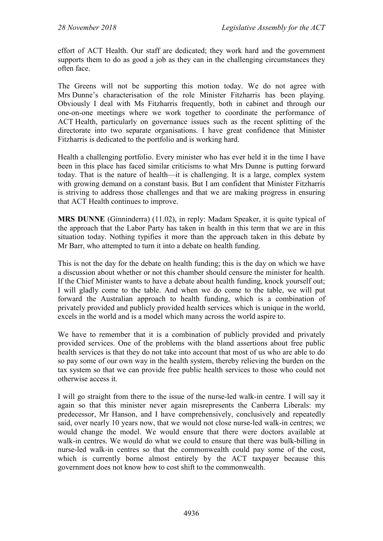effort of ACT Health. Our staff are dedicated; they work hard and the government supports them to do as good a job as they can in the challenging circumstances they often face.

The Greens will not be supporting this motion today. We do not agree with Mrs Dunne's characterisation of the role Minister Fitzharris has been playing. Obviously I deal with Ms Fitzharris frequently, both in cabinet and through our one-on-one meetings where we work together to coordinate the performance of ACT Health, particularly on governance issues such as the recent splitting of the directorate into two separate organisations. I have great confidence that Minister Fitzharris is dedicated to the portfolio and is working hard.

Health a challenging portfolio. Every minister who has ever held it in the time I have been in this place has faced similar criticisms to what Mrs Dunne is putting forward today. That is the nature of health—it is challenging. It is a large, complex system with growing demand on a constant basis. But I am confident that Minister Fitzharris is striving to address those challenges and that we are making progress in ensuring that ACT Health continues to improve.

**MRS DUNNE** (Ginninderra) (11.02), in reply: Madam Speaker, it is quite typical of the approach that the Labor Party has taken in health in this term that we are in this situation today. Nothing typifies it more than the approach taken in this debate by Mr Barr, who attempted to turn it into a debate on health funding.

This is not the day for the debate on health funding; this is the day on which we have a discussion about whether or not this chamber should censure the minister for health. If the Chief Minister wants to have a debate about health funding, knock yourself out; I will gladly come to the table. And when we do come to the table, we will put forward the Australian approach to health funding, which is a combination of privately provided and publicly provided health services which is unique in the world, excels in the world and is a model which many across the world aspire to.

We have to remember that it is a combination of publicly provided and privately provided services. One of the problems with the bland assertions about free public health services is that they do not take into account that most of us who are able to do so pay some of our own way in the health system, thereby relieving the burden on the tax system so that we can provide free public health services to those who could not otherwise access it.

I will go straight from there to the issue of the nurse-led walk-in centre. I will say it again so that this minister never again misrepresents the Canberra Liberals: my predecessor, Mr Hanson, and I have comprehensively, conclusively and repeatedly said, over nearly 10 years now, that we would not close nurse-led walk-in centres; we would change the model. We would ensure that there were doctors available at walk-in centres. We would do what we could to ensure that there was bulk-billing in nurse-led walk-in centres so that the commonwealth could pay some of the cost, which is currently borne almost entirely by the ACT taxpayer because this government does not know how to cost shift to the commonwealth.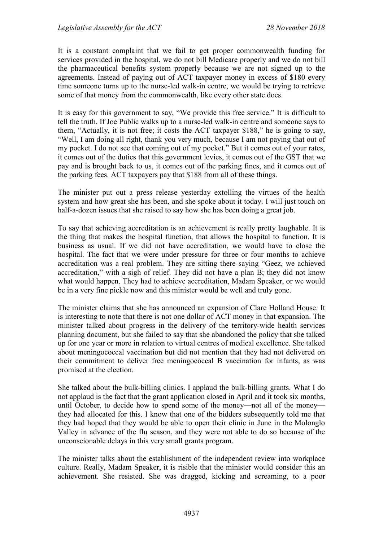It is a constant complaint that we fail to get proper commonwealth funding for services provided in the hospital, we do not bill Medicare properly and we do not bill the pharmaceutical benefits system properly because we are not signed up to the agreements. Instead of paying out of ACT taxpayer money in excess of \$180 every time someone turns up to the nurse-led walk-in centre, we would be trying to retrieve some of that money from the commonwealth, like every other state does.

It is easy for this government to say, "We provide this free service." It is difficult to tell the truth. If Joe Public walks up to a nurse-led walk-in centre and someone says to them, "Actually, it is not free; it costs the ACT taxpayer \$188," he is going to say, "Well, I am doing all right, thank you very much, because I am not paying that out of my pocket. I do not see that coming out of my pocket." But it comes out of your rates, it comes out of the duties that this government levies, it comes out of the GST that we pay and is brought back to us, it comes out of the parking fines, and it comes out of the parking fees. ACT taxpayers pay that \$188 from all of these things.

The minister put out a press release yesterday extolling the virtues of the health system and how great she has been, and she spoke about it today. I will just touch on half-a-dozen issues that she raised to say how she has been doing a great job.

To say that achieving accreditation is an achievement is really pretty laughable. It is the thing that makes the hospital function, that allows the hospital to function. It is business as usual. If we did not have accreditation, we would have to close the hospital. The fact that we were under pressure for three or four months to achieve accreditation was a real problem. They are sitting there saying "Geez, we achieved accreditation," with a sigh of relief. They did not have a plan B; they did not know what would happen. They had to achieve accreditation, Madam Speaker, or we would be in a very fine pickle now and this minister would be well and truly gone.

The minister claims that she has announced an expansion of Clare Holland House. It is interesting to note that there is not one dollar of ACT money in that expansion. The minister talked about progress in the delivery of the territory-wide health services planning document, but she failed to say that she abandoned the policy that she talked up for one year or more in relation to virtual centres of medical excellence. She talked about meningococcal vaccination but did not mention that they had not delivered on their commitment to deliver free meningococcal B vaccination for infants, as was promised at the election.

She talked about the bulk-billing clinics. I applaud the bulk-billing grants. What I do not applaud is the fact that the grant application closed in April and it took six months, until October, to decide how to spend some of the money—not all of the money they had allocated for this. I know that one of the bidders subsequently told me that they had hoped that they would be able to open their clinic in June in the Molonglo Valley in advance of the flu season, and they were not able to do so because of the unconscionable delays in this very small grants program.

The minister talks about the establishment of the independent review into workplace culture. Really, Madam Speaker, it is risible that the minister would consider this an achievement. She resisted. She was dragged, kicking and screaming, to a poor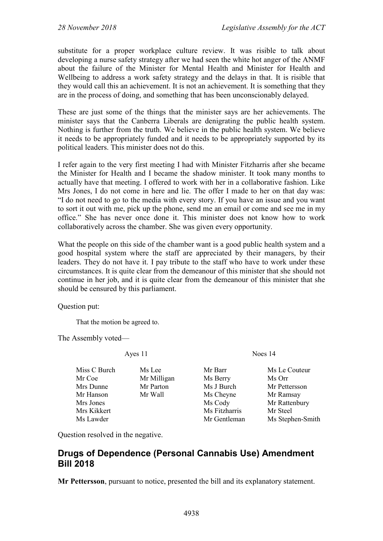substitute for a proper workplace culture review. It was risible to talk about developing a nurse safety strategy after we had seen the white hot anger of the ANMF about the failure of the Minister for Mental Health and Minister for Health and Wellbeing to address a work safety strategy and the delays in that. It is risible that they would call this an achievement. It is not an achievement. It is something that they are in the process of doing, and something that has been unconscionably delayed.

These are just some of the things that the minister says are her achievements. The minister says that the Canberra Liberals are denigrating the public health system. Nothing is further from the truth. We believe in the public health system. We believe it needs to be appropriately funded and it needs to be appropriately supported by its political leaders. This minister does not do this.

I refer again to the very first meeting I had with Minister Fitzharris after she became the Minister for Health and I became the shadow minister. It took many months to actually have that meeting. I offered to work with her in a collaborative fashion. Like Mrs Jones, I do not come in here and lie. The offer I made to her on that day was: "I do not need to go to the media with every story. If you have an issue and you want to sort it out with me, pick up the phone, send me an email or come and see me in my office." She has never once done it. This minister does not know how to work collaboratively across the chamber. She was given every opportunity.

What the people on this side of the chamber want is a good public health system and a good hospital system where the staff are appreciated by their managers, by their leaders. They do not have it. I pay tribute to the staff who have to work under these circumstances. It is quite clear from the demeanour of this minister that she should not continue in her job, and it is quite clear from the demeanour of this minister that she should be censured by this parliament.

Question put:

That the motion be agreed to.

The Assembly voted—

Ayes 11 Noes 14

Miss C Burch Ms Lee Mr Barr Ms Le Couteur<br>
Mr Coe Mr Milligan Ms Berry Ms Orr Mr Milligan Ms Berry Ms Orr Mrs Dunne Mr Parton Ms J Burch Mr Pettersson Mr Hanson Mr Wall Ms Cheyne Mr Ramsay Mrs Jones Ms Cody Mr Rattenbury Mrs Kikkert Ms Fitzharris Mr Steel Ms Lawder Mr Gentleman Ms Stephen-Smith

Question resolved in the negative.

# <span id="page-21-0"></span>**Drugs of Dependence (Personal Cannabis Use) Amendment Bill 2018**

**Mr Pettersson**, pursuant to notice, presented the bill and its explanatory statement.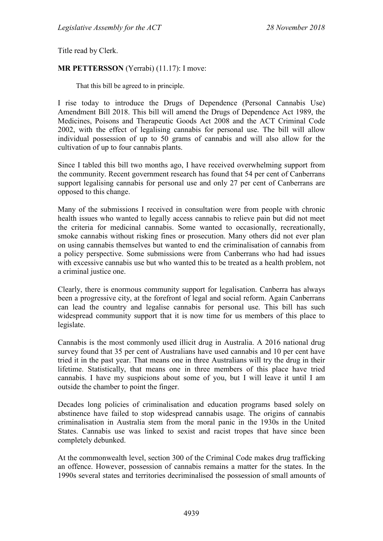Title read by Clerk.

#### **MR PETTERSSON** (Yerrabi) (11.17): I move:

That this bill be agreed to in principle.

I rise today to introduce the Drugs of Dependence (Personal Cannabis Use) Amendment Bill 2018. This bill will amend the Drugs of Dependence Act 1989, the Medicines, Poisons and Therapeutic Goods Act 2008 and the ACT Criminal Code 2002, with the effect of legalising cannabis for personal use. The bill will allow individual possession of up to 50 grams of cannabis and will also allow for the cultivation of up to four cannabis plants.

Since I tabled this bill two months ago, I have received overwhelming support from the community. Recent government research has found that 54 per cent of Canberrans support legalising cannabis for personal use and only 27 per cent of Canberrans are opposed to this change.

Many of the submissions I received in consultation were from people with chronic health issues who wanted to legally access cannabis to relieve pain but did not meet the criteria for medicinal cannabis. Some wanted to occasionally, recreationally, smoke cannabis without risking fines or prosecution. Many others did not ever plan on using cannabis themselves but wanted to end the criminalisation of cannabis from a policy perspective. Some submissions were from Canberrans who had had issues with excessive cannabis use but who wanted this to be treated as a health problem, not a criminal justice one.

Clearly, there is enormous community support for legalisation. Canberra has always been a progressive city, at the forefront of legal and social reform. Again Canberrans can lead the country and legalise cannabis for personal use. This bill has such widespread community support that it is now time for us members of this place to legislate.

Cannabis is the most commonly used illicit drug in Australia. A 2016 national drug survey found that 35 per cent of Australians have used cannabis and 10 per cent have tried it in the past year. That means one in three Australians will try the drug in their lifetime. Statistically, that means one in three members of this place have tried cannabis. I have my suspicions about some of you, but I will leave it until I am outside the chamber to point the finger.

Decades long policies of criminalisation and education programs based solely on abstinence have failed to stop widespread cannabis usage. The origins of cannabis criminalisation in Australia stem from the moral panic in the 1930s in the United States. Cannabis use was linked to sexist and racist tropes that have since been completely debunked.

At the commonwealth level, section 300 of the Criminal Code makes drug trafficking an offence. However, possession of cannabis remains a matter for the states. In the 1990s several states and territories decriminalised the possession of small amounts of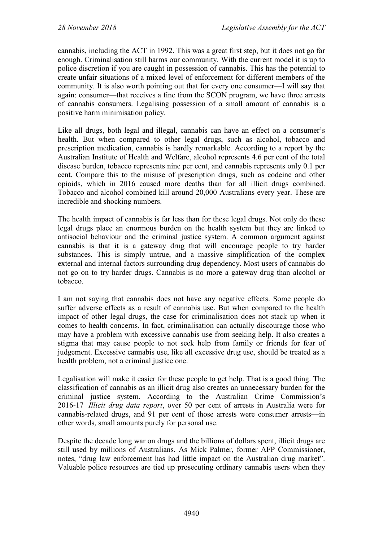cannabis, including the ACT in 1992. This was a great first step, but it does not go far enough. Criminalisation still harms our community. With the current model it is up to police discretion if you are caught in possession of cannabis. This has the potential to create unfair situations of a mixed level of enforcement for different members of the community. It is also worth pointing out that for every one consumer—I will say that again: consumer—that receives a fine from the SCON program, we have three arrests of cannabis consumers. Legalising possession of a small amount of cannabis is a positive harm minimisation policy.

Like all drugs, both legal and illegal, cannabis can have an effect on a consumer's health. But when compared to other legal drugs, such as alcohol, tobacco and prescription medication, cannabis is hardly remarkable. According to a report by the Australian Institute of Health and Welfare, alcohol represents 4.6 per cent of the total disease burden, tobacco represents nine per cent, and cannabis represents only 0.1 per cent. Compare this to the misuse of prescription drugs, such as codeine and other opioids, which in 2016 caused more deaths than for all illicit drugs combined. Tobacco and alcohol combined kill around 20,000 Australians every year. These are incredible and shocking numbers.

The health impact of cannabis is far less than for these legal drugs. Not only do these legal drugs place an enormous burden on the health system but they are linked to antisocial behaviour and the criminal justice system. A common argument against cannabis is that it is a gateway drug that will encourage people to try harder substances. This is simply untrue, and a massive simplification of the complex external and internal factors surrounding drug dependency. Most users of cannabis do not go on to try harder drugs. Cannabis is no more a gateway drug than alcohol or tobacco.

I am not saying that cannabis does not have any negative effects. Some people do suffer adverse effects as a result of cannabis use. But when compared to the health impact of other legal drugs, the case for criminalisation does not stack up when it comes to health concerns. In fact, criminalisation can actually discourage those who may have a problem with excessive cannabis use from seeking help. It also creates a stigma that may cause people to not seek help from family or friends for fear of judgement. Excessive cannabis use, like all excessive drug use, should be treated as a health problem, not a criminal justice one.

Legalisation will make it easier for these people to get help. That is a good thing. The classification of cannabis as an illicit drug also creates an unnecessary burden for the criminal justice system. According to the Australian Crime Commission's 2016-17 *Illicit drug data report*, over 50 per cent of arrests in Australia were for cannabis-related drugs, and 91 per cent of those arrests were consumer arrests—in other words, small amounts purely for personal use.

Despite the decade long war on drugs and the billions of dollars spent, illicit drugs are still used by millions of Australians. As Mick Palmer, former AFP Commissioner, notes, "drug law enforcement has had little impact on the Australian drug market". Valuable police resources are tied up prosecuting ordinary cannabis users when they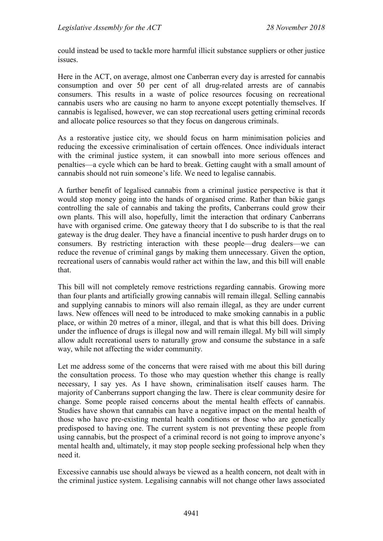could instead be used to tackle more harmful illicit substance suppliers or other justice issues.

Here in the ACT, on average, almost one Canberran every day is arrested for cannabis consumption and over 50 per cent of all drug-related arrests are of cannabis consumers. This results in a waste of police resources focusing on recreational cannabis users who are causing no harm to anyone except potentially themselves. If cannabis is legalised, however, we can stop recreational users getting criminal records and allocate police resources so that they focus on dangerous criminals.

As a restorative justice city, we should focus on harm minimisation policies and reducing the excessive criminalisation of certain offences. Once individuals interact with the criminal justice system, it can snowball into more serious offences and penalties—a cycle which can be hard to break. Getting caught with a small amount of cannabis should not ruin someone's life. We need to legalise cannabis.

A further benefit of legalised cannabis from a criminal justice perspective is that it would stop money going into the hands of organised crime. Rather than bikie gangs controlling the sale of cannabis and taking the profits, Canberrans could grow their own plants. This will also, hopefully, limit the interaction that ordinary Canberrans have with organised crime. One gateway theory that I do subscribe to is that the real gateway is the drug dealer. They have a financial incentive to push harder drugs on to consumers. By restricting interaction with these people—drug dealers—we can reduce the revenue of criminal gangs by making them unnecessary. Given the option, recreational users of cannabis would rather act within the law, and this bill will enable that.

This bill will not completely remove restrictions regarding cannabis. Growing more than four plants and artificially growing cannabis will remain illegal. Selling cannabis and supplying cannabis to minors will also remain illegal, as they are under current laws. New offences will need to be introduced to make smoking cannabis in a public place, or within 20 metres of a minor, illegal, and that is what this bill does. Driving under the influence of drugs is illegal now and will remain illegal. My bill will simply allow adult recreational users to naturally grow and consume the substance in a safe way, while not affecting the wider community.

Let me address some of the concerns that were raised with me about this bill during the consultation process. To those who may question whether this change is really necessary, I say yes. As I have shown, criminalisation itself causes harm. The majority of Canberrans support changing the law. There is clear community desire for change. Some people raised concerns about the mental health effects of cannabis. Studies have shown that cannabis can have a negative impact on the mental health of those who have pre-existing mental health conditions or those who are genetically predisposed to having one. The current system is not preventing these people from using cannabis, but the prospect of a criminal record is not going to improve anyone's mental health and, ultimately, it may stop people seeking professional help when they need it.

Excessive cannabis use should always be viewed as a health concern, not dealt with in the criminal justice system. Legalising cannabis will not change other laws associated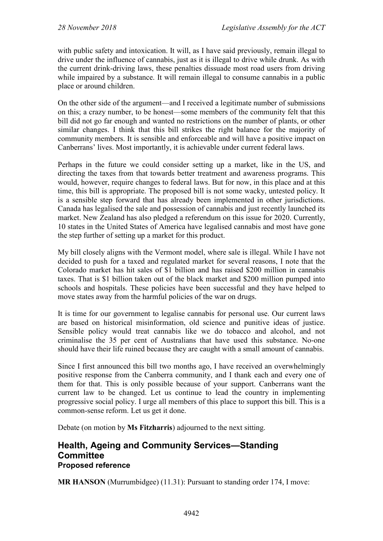with public safety and intoxication. It will, as I have said previously, remain illegal to drive under the influence of cannabis, just as it is illegal to drive while drunk. As with the current drink-driving laws, these penalties dissuade most road users from driving while impaired by a substance. It will remain illegal to consume cannabis in a public place or around children.

On the other side of the argument—and I received a legitimate number of submissions on this; a crazy number, to be honest—some members of the community felt that this bill did not go far enough and wanted no restrictions on the number of plants, or other similar changes. I think that this bill strikes the right balance for the majority of community members. It is sensible and enforceable and will have a positive impact on Canberrans' lives. Most importantly, it is achievable under current federal laws.

Perhaps in the future we could consider setting up a market, like in the US, and directing the taxes from that towards better treatment and awareness programs. This would, however, require changes to federal laws. But for now, in this place and at this time, this bill is appropriate. The proposed bill is not some wacky, untested policy. It is a sensible step forward that has already been implemented in other jurisdictions. Canada has legalised the sale and possession of cannabis and just recently launched its market. New Zealand has also pledged a referendum on this issue for 2020. Currently, 10 states in the United States of America have legalised cannabis and most have gone the step further of setting up a market for this product.

My bill closely aligns with the Vermont model, where sale is illegal. While I have not decided to push for a taxed and regulated market for several reasons, I note that the Colorado market has hit sales of \$1 billion and has raised \$200 million in cannabis taxes. That is \$1 billion taken out of the black market and \$200 million pumped into schools and hospitals. These policies have been successful and they have helped to move states away from the harmful policies of the war on drugs.

It is time for our government to legalise cannabis for personal use. Our current laws are based on historical misinformation, old science and punitive ideas of justice. Sensible policy would treat cannabis like we do tobacco and alcohol, and not criminalise the 35 per cent of Australians that have used this substance. No-one should have their life ruined because they are caught with a small amount of cannabis.

Since I first announced this bill two months ago, I have received an overwhelmingly positive response from the Canberra community, and I thank each and every one of them for that. This is only possible because of your support. Canberrans want the current law to be changed. Let us continue to lead the country in implementing progressive social policy. I urge all members of this place to support this bill. This is a common-sense reform. Let us get it done.

Debate (on motion by **Ms Fitzharris**) adjourned to the next sitting.

## <span id="page-25-0"></span>**Health, Ageing and Community Services—Standing Committee Proposed reference**

**MR HANSON** (Murrumbidgee) (11.31): Pursuant to standing order 174, I move: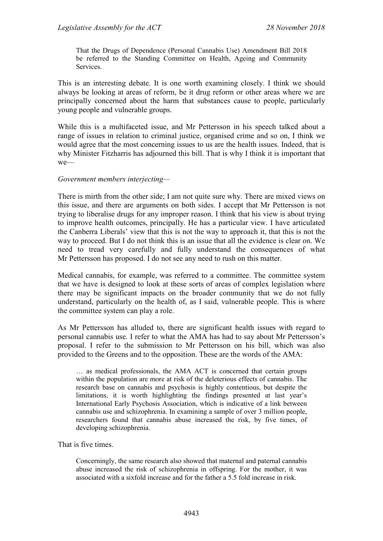That the Drugs of Dependence (Personal Cannabis Use) Amendment Bill 2018 be referred to the Standing Committee on Health, Ageing and Community Services.

This is an interesting debate. It is one worth examining closely. I think we should always be looking at areas of reform, be it drug reform or other areas where we are principally concerned about the harm that substances cause to people, particularly young people and vulnerable groups.

While this is a multifaceted issue, and Mr Pettersson in his speech talked about a range of issues in relation to criminal justice, organised crime and so on, I think we would agree that the most concerning issues to us are the health issues. Indeed, that is why Minister Fitzharris has adjourned this bill. That is why I think it is important that we—

#### *Government members interjecting—*

There is mirth from the other side; I am not quite sure why. There are mixed views on this issue, and there are arguments on both sides. I accept that Mr Pettersson is not trying to liberalise drugs for any improper reason. I think that his view is about trying to improve health outcomes, principally. He has a particular view. I have articulated the Canberra Liberals' view that this is not the way to approach it, that this is not the way to proceed. But I do not think this is an issue that all the evidence is clear on. We need to tread very carefully and fully understand the consequences of what Mr Pettersson has proposed. I do not see any need to rush on this matter.

Medical cannabis, for example, was referred to a committee. The committee system that we have is designed to look at these sorts of areas of complex legislation where there may be significant impacts on the broader community that we do not fully understand, particularly on the health of, as I said, vulnerable people. This is where the committee system can play a role.

As Mr Pettersson has alluded to, there are significant health issues with regard to personal cannabis use. I refer to what the AMA has had to say about Mr Pettersson's proposal. I refer to the submission to Mr Pettersson on his bill, which was also provided to the Greens and to the opposition. These are the words of the AMA:

… as medical professionals, the AMA ACT is concerned that certain groups within the population are more at risk of the deleterious effects of cannabis. The research base on cannabis and psychosis is highly contentious, but despite the limitations, it is worth highlighting the findings presented at last year's International Early Psychosis Association, which is indicative of a link between cannabis use and schizophrenia. In examining a sample of over 3 million people, researchers found that cannabis abuse increased the risk, by five times, of developing schizophrenia.

That is five times.

Concerningly, the same research also showed that maternal and paternal cannabis abuse increased the risk of schizophrenia in offspring. For the mother, it was associated with a sixfold increase and for the father a 5.5 fold increase in risk.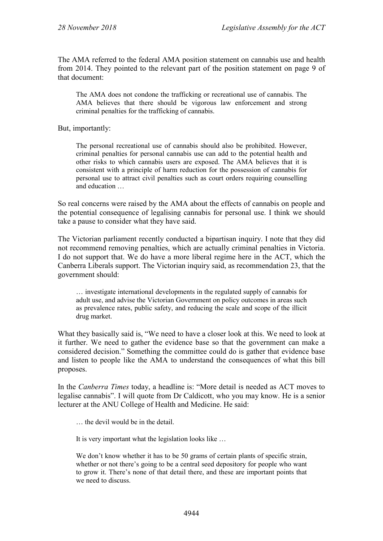The AMA referred to the federal AMA position statement on cannabis use and health from 2014. They pointed to the relevant part of the position statement on page 9 of that document:

The AMA does not condone the trafficking or recreational use of cannabis. The AMA believes that there should be vigorous law enforcement and strong criminal penalties for the trafficking of cannabis.

But, importantly:

The personal recreational use of cannabis should also be prohibited. However, criminal penalties for personal cannabis use can add to the potential health and other risks to which cannabis users are exposed. The AMA believes that it is consistent with a principle of harm reduction for the possession of cannabis for personal use to attract civil penalties such as court orders requiring counselling and education …

So real concerns were raised by the AMA about the effects of cannabis on people and the potential consequence of legalising cannabis for personal use. I think we should take a pause to consider what they have said.

The Victorian parliament recently conducted a bipartisan inquiry. I note that they did not recommend removing penalties, which are actually criminal penalties in Victoria. I do not support that. We do have a more liberal regime here in the ACT, which the Canberra Liberals support. The Victorian inquiry said, as recommendation 23, that the government should:

… investigate international developments in the regulated supply of cannabis for adult use, and advise the Victorian Government on policy outcomes in areas such as prevalence rates, public safety, and reducing the scale and scope of the illicit drug market.

What they basically said is, "We need to have a closer look at this. We need to look at it further. We need to gather the evidence base so that the government can make a considered decision." Something the committee could do is gather that evidence base and listen to people like the AMA to understand the consequences of what this bill proposes.

In the *Canberra Times* today, a headline is: "More detail is needed as ACT moves to legalise cannabis". I will quote from Dr Caldicott, who you may know. He is a senior lecturer at the ANU College of Health and Medicine. He said:

… the devil would be in the detail.

It is very important what the legislation looks like …

We don't know whether it has to be 50 grams of certain plants of specific strain, whether or not there's going to be a central seed depository for people who want to grow it. There's none of that detail there, and these are important points that we need to discuss.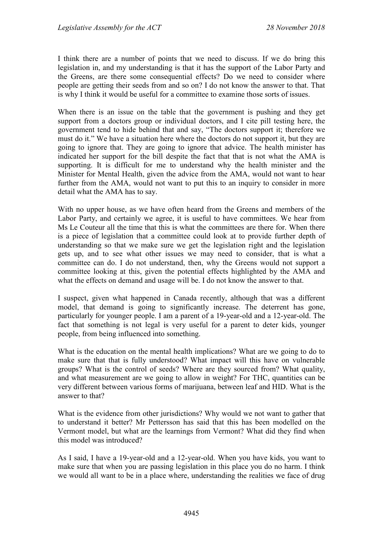I think there are a number of points that we need to discuss. If we do bring this legislation in, and my understanding is that it has the support of the Labor Party and the Greens, are there some consequential effects? Do we need to consider where people are getting their seeds from and so on? I do not know the answer to that. That is why I think it would be useful for a committee to examine those sorts of issues.

When there is an issue on the table that the government is pushing and they get support from a doctors group or individual doctors, and I cite pill testing here, the government tend to hide behind that and say, "The doctors support it; therefore we must do it." We have a situation here where the doctors do not support it, but they are going to ignore that. They are going to ignore that advice. The health minister has indicated her support for the bill despite the fact that that is not what the AMA is supporting. It is difficult for me to understand why the health minister and the Minister for Mental Health, given the advice from the AMA, would not want to hear further from the AMA, would not want to put this to an inquiry to consider in more detail what the AMA has to say.

With no upper house, as we have often heard from the Greens and members of the Labor Party, and certainly we agree, it is useful to have committees. We hear from Ms Le Couteur all the time that this is what the committees are there for. When there is a piece of legislation that a committee could look at to provide further depth of understanding so that we make sure we get the legislation right and the legislation gets up, and to see what other issues we may need to consider, that is what a committee can do. I do not understand, then, why the Greens would not support a committee looking at this, given the potential effects highlighted by the AMA and what the effects on demand and usage will be. I do not know the answer to that.

I suspect, given what happened in Canada recently, although that was a different model, that demand is going to significantly increase. The deterrent has gone, particularly for younger people. I am a parent of a 19-year-old and a 12-year-old. The fact that something is not legal is very useful for a parent to deter kids, younger people, from being influenced into something.

What is the education on the mental health implications? What are we going to do to make sure that that is fully understood? What impact will this have on vulnerable groups? What is the control of seeds? Where are they sourced from? What quality, and what measurement are we going to allow in weight? For THC, quantities can be very different between various forms of marijuana, between leaf and HID. What is the answer to that?

What is the evidence from other jurisdictions? Why would we not want to gather that to understand it better? Mr Pettersson has said that this has been modelled on the Vermont model, but what are the learnings from Vermont? What did they find when this model was introduced?

As I said, I have a 19-year-old and a 12-year-old. When you have kids, you want to make sure that when you are passing legislation in this place you do no harm. I think we would all want to be in a place where, understanding the realities we face of drug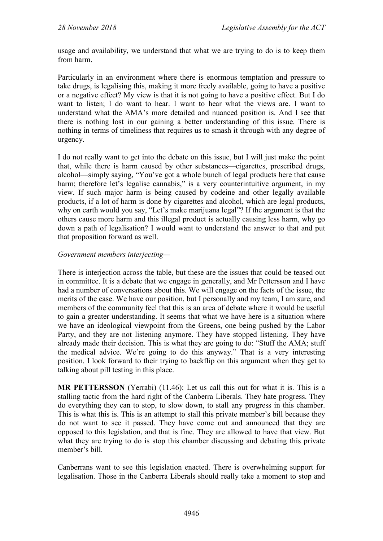usage and availability, we understand that what we are trying to do is to keep them from harm.

Particularly in an environment where there is enormous temptation and pressure to take drugs, is legalising this, making it more freely available, going to have a positive or a negative effect? My view is that it is not going to have a positive effect. But I do want to listen; I do want to hear. I want to hear what the views are. I want to understand what the AMA's more detailed and nuanced position is. And I see that there is nothing lost in our gaining a better understanding of this issue. There is nothing in terms of timeliness that requires us to smash it through with any degree of urgency.

I do not really want to get into the debate on this issue, but I will just make the point that, while there is harm caused by other substances—cigarettes, prescribed drugs, alcohol—simply saying, "You've got a whole bunch of legal products here that cause harm; therefore let's legalise cannabis," is a very counterintuitive argument, in my view. If such major harm is being caused by codeine and other legally available products, if a lot of harm is done by cigarettes and alcohol, which are legal products, why on earth would you say, "Let's make marijuana legal"? If the argument is that the others cause more harm and this illegal product is actually causing less harm, why go down a path of legalisation? I would want to understand the answer to that and put that proposition forward as well.

#### *Government members interjecting—*

There is interjection across the table, but these are the issues that could be teased out in committee. It is a debate that we engage in generally, and Mr Pettersson and I have had a number of conversations about this. We will engage on the facts of the issue, the merits of the case. We have our position, but I personally and my team, I am sure, and members of the community feel that this is an area of debate where it would be useful to gain a greater understanding. It seems that what we have here is a situation where we have an ideological viewpoint from the Greens, one being pushed by the Labor Party, and they are not listening anymore. They have stopped listening. They have already made their decision. This is what they are going to do: "Stuff the AMA; stuff the medical advice. We're going to do this anyway." That is a very interesting position. I look forward to their trying to backflip on this argument when they get to talking about pill testing in this place.

**MR PETTERSSON** (Yerrabi) (11.46): Let us call this out for what it is. This is a stalling tactic from the hard right of the Canberra Liberals. They hate progress. They do everything they can to stop, to slow down, to stall any progress in this chamber. This is what this is. This is an attempt to stall this private member's bill because they do not want to see it passed. They have come out and announced that they are opposed to this legislation, and that is fine. They are allowed to have that view. But what they are trying to do is stop this chamber discussing and debating this private member's bill.

Canberrans want to see this legislation enacted. There is overwhelming support for legalisation. Those in the Canberra Liberals should really take a moment to stop and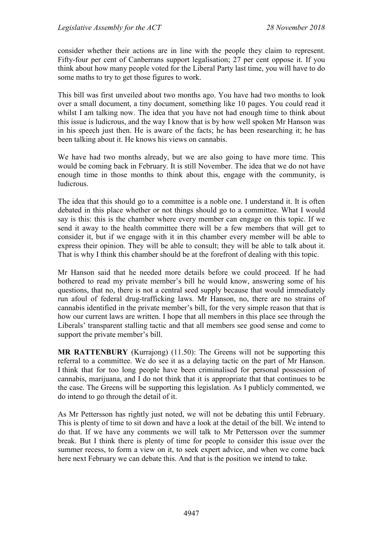consider whether their actions are in line with the people they claim to represent. Fifty-four per cent of Canberrans support legalisation; 27 per cent oppose it. If you think about how many people voted for the Liberal Party last time, you will have to do some maths to try to get those figures to work.

This bill was first unveiled about two months ago. You have had two months to look over a small document, a tiny document, something like 10 pages. You could read it whilst I am talking now. The idea that you have not had enough time to think about this issue is ludicrous, and the way I know that is by how well spoken Mr Hanson was in his speech just then. He is aware of the facts; he has been researching it; he has been talking about it. He knows his views on cannabis.

We have had two months already, but we are also going to have more time. This would be coming back in February. It is still November. The idea that we do not have enough time in those months to think about this, engage with the community, is ludicrous.

The idea that this should go to a committee is a noble one. I understand it. It is often debated in this place whether or not things should go to a committee. What I would say is this: this is the chamber where every member can engage on this topic. If we send it away to the health committee there will be a few members that will get to consider it, but if we engage with it in this chamber every member will be able to express their opinion. They will be able to consult; they will be able to talk about it. That is why I think this chamber should be at the forefront of dealing with this topic.

Mr Hanson said that he needed more details before we could proceed. If he had bothered to read my private member's bill he would know, answering some of his questions, that no, there is not a central seed supply because that would immediately run afoul of federal drug-trafficking laws. Mr Hanson, no, there are no strains of cannabis identified in the private member's bill, for the very simple reason that that is how our current laws are written. I hope that all members in this place see through the Liberals' transparent stalling tactic and that all members see good sense and come to support the private member's bill.

**MR RATTENBURY** (Kurrajong) (11.50): The Greens will not be supporting this referral to a committee. We do see it as a delaying tactic on the part of Mr Hanson. I think that for too long people have been criminalised for personal possession of cannabis, marijuana, and I do not think that it is appropriate that that continues to be the case. The Greens will be supporting this legislation. As I publicly commented, we do intend to go through the detail of it.

As Mr Pettersson has rightly just noted, we will not be debating this until February. This is plenty of time to sit down and have a look at the detail of the bill. We intend to do that. If we have any comments we will talk to Mr Pettersson over the summer break. But I think there is plenty of time for people to consider this issue over the summer recess, to form a view on it, to seek expert advice, and when we come back here next February we can debate this. And that is the position we intend to take.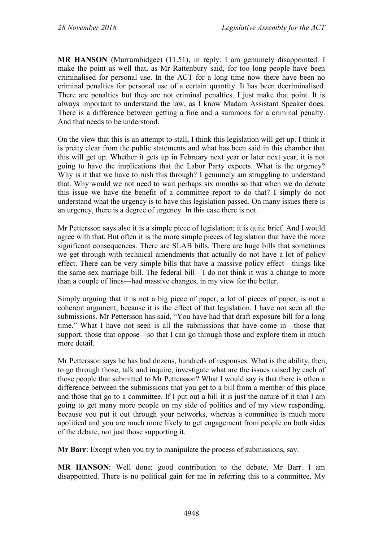**MR HANSON** (Murrumbidgee) (11.51), in reply: I am genuinely disappointed. I make the point as well that, as Mr Rattenbury said, for too long people have been criminalised for personal use. In the ACT for a long time now there have been no criminal penalties for personal use of a certain quantity. It has been decriminalised. There are penalties but they are not criminal penalties. I just make that point. It is always important to understand the law, as I know Madam Assistant Speaker does. There is a difference between getting a fine and a summons for a criminal penalty. And that needs to be understood.

On the view that this is an attempt to stall, I think this legislation will get up. I think it is pretty clear from the public statements and what has been said in this chamber that this will get up. Whether it gets up in February next year or later next year, it is not going to have the implications that the Labor Party expects. What is the urgency? Why is it that we have to rush this through? I genuinely am struggling to understand that. Why would we not need to wait perhaps six months so that when we do debate this issue we have the benefit of a committee report to do that? I simply do not understand what the urgency is to have this legislation passed. On many issues there is an urgency, there is a degree of urgency. In this case there is not.

Mr Pettersson says also it is a simple piece of legislation; it is quite brief. And I would agree with that. But often it is the more simple pieces of legislation that have the more significant consequences. There are SLAB bills. There are huge bills that sometimes we get through with technical amendments that actually do not have a lot of policy effect. There can be very simple bills that have a massive policy effect—things like the same-sex marriage bill. The federal bill—I do not think it was a change to more than a couple of lines—had massive changes, in my view for the better.

Simply arguing that it is not a big piece of paper, a lot of pieces of paper, is not a coherent argument, because it is the effect of that legislation. I have not seen all the submissions. Mr Pettersson has said, "You have had that draft exposure bill for a long time." What I have not seen is all the submissions that have come in—those that support, those that oppose—so that I can go through those and explore them in much more detail.

Mr Pettersson says he has had dozens, hundreds of responses. What is the ability, then, to go through those, talk and inquire, investigate what are the issues raised by each of those people that submitted to Mr Pettersson? What I would say is that there is often a difference between the submissions that you get to a bill from a member of this place and those that go to a committee. If I put out a bill it is just the nature of it that I am going to get many more people on my side of politics and of my view responding, because you put it out through your networks, whereas a committee is much more apolitical and you are much more likely to get engagement from people on both sides of the debate, not just those supporting it.

**Mr Barr**: Except when you try to manipulate the process of submissions, say.

**MR HANSON**: Well done; good contribution to the debate, Mr Barr. I am disappointed. There is no political gain for me in referring this to a committee. My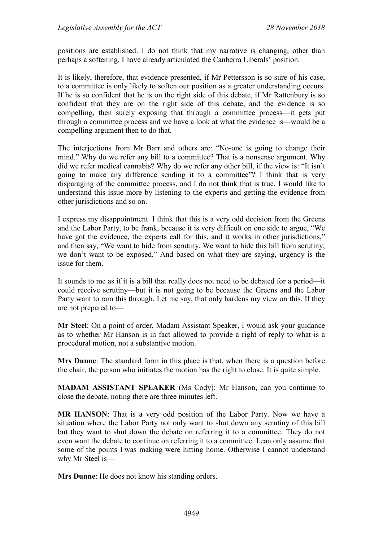positions are established. I do not think that my narrative is changing, other than perhaps a softening. I have already articulated the Canberra Liberals' position.

It is likely, therefore, that evidence presented, if Mr Pettersson is so sure of his case, to a committee is only likely to soften our position as a greater understanding occurs. If he is so confident that he is on the right side of this debate, if Mr Rattenbury is so confident that they are on the right side of this debate, and the evidence is so compelling, then surely exposing that through a committee process—it gets put through a committee process and we have a look at what the evidence is—would be a compelling argument then to do that.

The interjections from Mr Barr and others are: "No-one is going to change their mind." Why do we refer any bill to a committee? That is a nonsense argument. Why did we refer medical cannabis? Why do we refer any other bill, if the view is: "It isn't going to make any difference sending it to a committee"? I think that is very disparaging of the committee process, and I do not think that is true. I would like to understand this issue more by listening to the experts and getting the evidence from other jurisdictions and so on.

I express my disappointment. I think that this is a very odd decision from the Greens and the Labor Party, to be frank, because it is very difficult on one side to argue, "We have got the evidence, the experts call for this, and it works in other jurisdictions," and then say, "We want to hide from scrutiny. We want to hide this bill from scrutiny; we don't want to be exposed." And based on what they are saying, urgency is the issue for them.

It sounds to me as if it is a bill that really does not need to be debated for a period—it could receive scrutiny—but it is not going to be because the Greens and the Labor Party want to ram this through. Let me say, that only hardens my view on this. If they are not prepared to—

**Mr Steel**: On a point of order, Madam Assistant Speaker, I would ask your guidance as to whether Mr Hanson is in fact allowed to provide a right of reply to what is a procedural motion, not a substantive motion.

**Mrs Dunne**: The standard form in this place is that, when there is a question before the chair, the person who initiates the motion has the right to close. It is quite simple.

**MADAM ASSISTANT SPEAKER** (Ms Cody): Mr Hanson, can you continue to close the debate, noting there are three minutes left.

**MR HANSON**: That is a very odd position of the Labor Party. Now we have a situation where the Labor Party not only want to shut down any scrutiny of this bill but they want to shut down the debate on referring it to a committee. They do not even want the debate to continue on referring it to a committee. I can only assume that some of the points I was making were hitting home. Otherwise I cannot understand why Mr Steel is—

**Mrs Dunne**: He does not know his standing orders.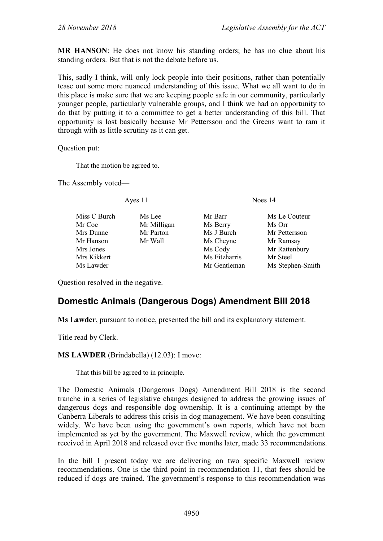**MR HANSON**: He does not know his standing orders; he has no clue about his standing orders. But that is not the debate before us.

This, sadly I think, will only lock people into their positions, rather than potentially tease out some more nuanced understanding of this issue. What we all want to do in this place is make sure that we are keeping people safe in our community, particularly younger people, particularly vulnerable groups, and I think we had an opportunity to do that by putting it to a committee to get a better understanding of this bill. That opportunity is lost basically because Mr Pettersson and the Greens want to ram it through with as little scrutiny as it can get.

Question put:

That the motion be agreed to.

The Assembly voted—

Ayes 11 Noes 14

Miss C Burch Ms Lee Mr Barr Ms Le Couteur<br>
Mr Coe Mr Milligan Ms Berry Ms Orr Mr Milligan Ms Berry Ms Orr Mrs Dunne Mr Parton Mrs J Burch Mr Pettersson<br>
Mr Hanson Mr Wall Mrs Chevne Mr Ramsav Mr Hanson Mr Wall Ms Cheyne Mr Ramsay<br>Mr Sones Ms Cody Mr Rattenbu Mrs Jones Ms Cody Mr Rattenbury<br>Mrs Kikkert Mrs Hizharris Mr Steel Ms Fitzharris Ms Lawder **Mr Gentleman** Ms Stephen-Smith

Question resolved in the negative.

# <span id="page-33-0"></span>**Domestic Animals (Dangerous Dogs) Amendment Bill 2018**

**Ms Lawder**, pursuant to notice, presented the bill and its explanatory statement.

Title read by Clerk.

**MS LAWDER** (Brindabella) (12.03): I move:

That this bill be agreed to in principle.

The Domestic Animals (Dangerous Dogs) Amendment Bill 2018 is the second tranche in a series of legislative changes designed to address the growing issues of dangerous dogs and responsible dog ownership. It is a continuing attempt by the Canberra Liberals to address this crisis in dog management. We have been consulting widely. We have been using the government's own reports, which have not been implemented as yet by the government. The Maxwell review, which the government received in April 2018 and released over five months later, made 33 recommendations.

In the bill I present today we are delivering on two specific Maxwell review recommendations. One is the third point in recommendation 11, that fees should be reduced if dogs are trained. The government's response to this recommendation was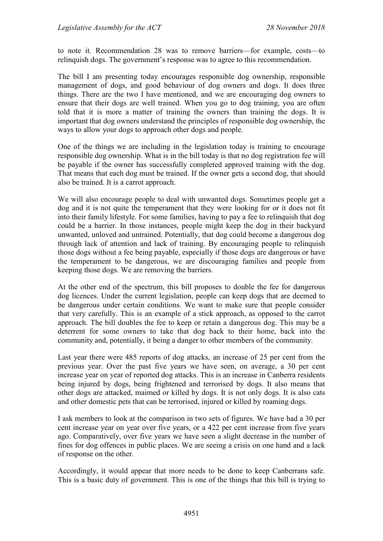to note it. Recommendation 28 was to remove barriers—for example, costs—to relinquish dogs. The government's response was to agree to this recommendation.

The bill I am presenting today encourages responsible dog ownership, responsible management of dogs, and good behaviour of dog owners and dogs. It does three things. There are the two I have mentioned, and we are encouraging dog owners to ensure that their dogs are well trained. When you go to dog training, you are often told that it is more a matter of training the owners than training the dogs. It is important that dog owners understand the principles of responsible dog ownership, the ways to allow your dogs to approach other dogs and people.

One of the things we are including in the legislation today is training to encourage responsible dog ownership. What is in the bill today is that no dog registration fee will be payable if the owner has successfully completed approved training with the dog. That means that each dog must be trained. If the owner gets a second dog, that should also be trained. It is a carrot approach.

We will also encourage people to deal with unwanted dogs. Sometimes people get a dog and it is not quite the temperament that they were looking for or it does not fit into their family lifestyle. For some families, having to pay a fee to relinquish that dog could be a barrier. In those instances, people might keep the dog in their backyard unwanted, unloved and untrained. Potentially, that dog could become a dangerous dog through lack of attention and lack of training. By encouraging people to relinquish those dogs without a fee being payable, especially if those dogs are dangerous or have the temperament to be dangerous, we are discouraging families and people from keeping those dogs. We are removing the barriers.

At the other end of the spectrum, this bill proposes to double the fee for dangerous dog licences. Under the current legislation, people can keep dogs that are deemed to be dangerous under certain conditions. We want to make sure that people consider that very carefully. This is an example of a stick approach, as opposed to the carrot approach. The bill doubles the fee to keep or retain a dangerous dog. This may be a deterrent for some owners to take that dog back to their home, back into the community and, potentially, it being a danger to other members of the community.

Last year there were 485 reports of dog attacks, an increase of 25 per cent from the previous year. Over the past five years we have seen, on average, a 30 per cent increase year on year of reported dog attacks. This is an increase in Canberra residents being injured by dogs, being frightened and terrorised by dogs. It also means that other dogs are attacked, maimed or killed by dogs. It is not only dogs. It is also cats and other domestic pets that can be terrorised, injured or killed by roaming dogs.

I ask members to look at the comparison in two sets of figures. We have had a 30 per cent increase year on year over five years, or a 422 per cent increase from five years ago. Comparatively, over five years we have seen a slight decrease in the number of fines for dog offences in public places. We are seeing a crisis on one hand and a lack of response on the other.

Accordingly, it would appear that more needs to be done to keep Canberrans safe. This is a basic duty of government. This is one of the things that this bill is trying to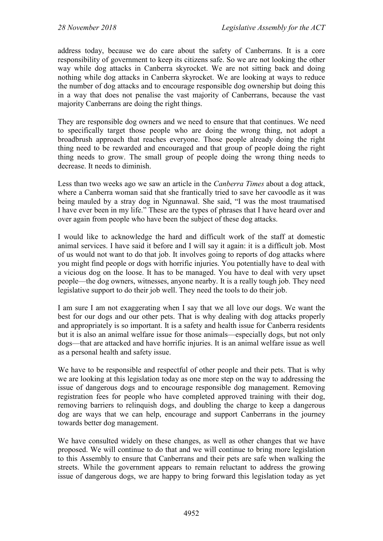address today, because we do care about the safety of Canberrans. It is a core responsibility of government to keep its citizens safe. So we are not looking the other way while dog attacks in Canberra skyrocket. We are not sitting back and doing nothing while dog attacks in Canberra skyrocket. We are looking at ways to reduce the number of dog attacks and to encourage responsible dog ownership but doing this in a way that does not penalise the vast majority of Canberrans, because the vast majority Canberrans are doing the right things.

They are responsible dog owners and we need to ensure that that continues. We need to specifically target those people who are doing the wrong thing, not adopt a broadbrush approach that reaches everyone. Those people already doing the right thing need to be rewarded and encouraged and that group of people doing the right thing needs to grow. The small group of people doing the wrong thing needs to decrease. It needs to diminish.

Less than two weeks ago we saw an article in the *Canberra Times* about a dog attack, where a Canberra woman said that she frantically tried to save her cavoodle as it was being mauled by a stray dog in Ngunnawal. She said, "I was the most traumatised I have ever been in my life." These are the types of phrases that I have heard over and over again from people who have been the subject of these dog attacks.

I would like to acknowledge the hard and difficult work of the staff at domestic animal services. I have said it before and I will say it again: it is a difficult job. Most of us would not want to do that job. It involves going to reports of dog attacks where you might find people or dogs with horrific injuries. You potentially have to deal with a vicious dog on the loose. It has to be managed. You have to deal with very upset people—the dog owners, witnesses, anyone nearby. It is a really tough job. They need legislative support to do their job well. They need the tools to do their job.

I am sure I am not exaggerating when I say that we all love our dogs. We want the best for our dogs and our other pets. That is why dealing with dog attacks properly and appropriately is so important. It is a safety and health issue for Canberra residents but it is also an animal welfare issue for those animals—especially dogs, but not only dogs—that are attacked and have horrific injuries. It is an animal welfare issue as well as a personal health and safety issue.

We have to be responsible and respectful of other people and their pets. That is why we are looking at this legislation today as one more step on the way to addressing the issue of dangerous dogs and to encourage responsible dog management. Removing registration fees for people who have completed approved training with their dog, removing barriers to relinquish dogs, and doubling the charge to keep a dangerous dog are ways that we can help, encourage and support Canberrans in the journey towards better dog management.

We have consulted widely on these changes, as well as other changes that we have proposed. We will continue to do that and we will continue to bring more legislation to this Assembly to ensure that Canberrans and their pets are safe when walking the streets. While the government appears to remain reluctant to address the growing issue of dangerous dogs, we are happy to bring forward this legislation today as yet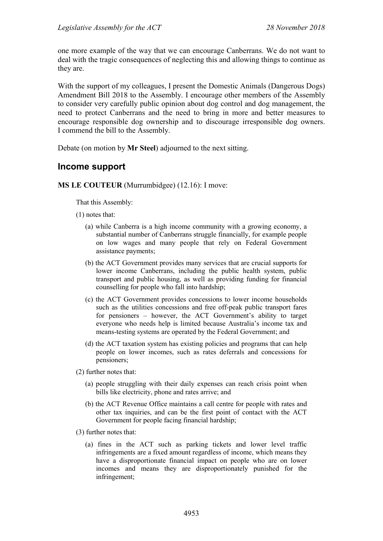one more example of the way that we can encourage Canberrans. We do not want to deal with the tragic consequences of neglecting this and allowing things to continue as they are.

With the support of my colleagues, I present the Domestic Animals (Dangerous Dogs) Amendment Bill 2018 to the Assembly. I encourage other members of the Assembly to consider very carefully public opinion about dog control and dog management, the need to protect Canberrans and the need to bring in more and better measures to encourage responsible dog ownership and to discourage irresponsible dog owners. I commend the bill to the Assembly.

Debate (on motion by **Mr Steel**) adjourned to the next sitting.

# **Income support**

#### **MS LE COUTEUR** (Murrumbidgee) (12.16): I move:

That this Assembly:

- (1) notes that:
	- (a) while Canberra is a high income community with a growing economy, a substantial number of Canberrans struggle financially, for example people on low wages and many people that rely on Federal Government assistance payments;
	- (b) the ACT Government provides many services that are crucial supports for lower income Canberrans, including the public health system, public transport and public housing, as well as providing funding for financial counselling for people who fall into hardship;
	- (c) the ACT Government provides concessions to lower income households such as the utilities concessions and free off-peak public transport fares for pensioners – however, the ACT Government's ability to target everyone who needs help is limited because Australia's income tax and means-testing systems are operated by the Federal Government; and
	- (d) the ACT taxation system has existing policies and programs that can help people on lower incomes, such as rates deferrals and concessions for pensioners;
- (2) further notes that:
	- (a) people struggling with their daily expenses can reach crisis point when bills like electricity, phone and rates arrive; and
	- (b) the ACT Revenue Office maintains a call centre for people with rates and other tax inquiries, and can be the first point of contact with the ACT Government for people facing financial hardship;
- (3) further notes that:
	- (a) fines in the ACT such as parking tickets and lower level traffic infringements are a fixed amount regardless of income, which means they have a disproportionate financial impact on people who are on lower incomes and means they are disproportionately punished for the infringement;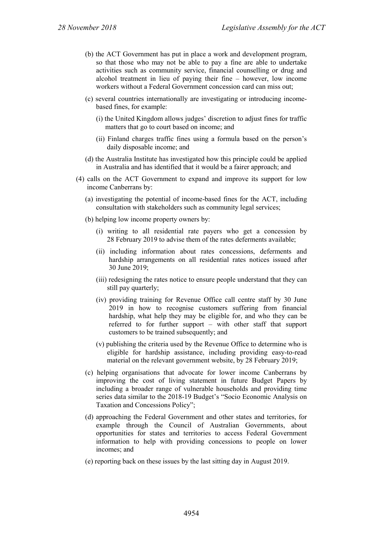- (b) the ACT Government has put in place a work and development program, so that those who may not be able to pay a fine are able to undertake activities such as community service, financial counselling or drug and alcohol treatment in lieu of paying their fine – however, low income workers without a Federal Government concession card can miss out;
- (c) several countries internationally are investigating or introducing incomebased fines, for example:
	- (i) the United Kingdom allows judges' discretion to adjust fines for traffic matters that go to court based on income; and
	- (ii) Finland charges traffic fines using a formula based on the person's daily disposable income; and
- (d) the Australia Institute has investigated how this principle could be applied in Australia and has identified that it would be a fairer approach; and
- (4) calls on the ACT Government to expand and improve its support for low income Canberrans by:
	- (a) investigating the potential of income-based fines for the ACT, including consultation with stakeholders such as community legal services;
	- (b) helping low income property owners by:
		- (i) writing to all residential rate payers who get a concession by 28 February 2019 to advise them of the rates deferments available;
		- (ii) including information about rates concessions, deferments and hardship arrangements on all residential rates notices issued after 30 June 2019;
		- (iii) redesigning the rates notice to ensure people understand that they can still pay quarterly;
		- (iv) providing training for Revenue Office call centre staff by 30 June 2019 in how to recognise customers suffering from financial hardship, what help they may be eligible for, and who they can be referred to for further support – with other staff that support customers to be trained subsequently; and
		- (v) publishing the criteria used by the Revenue Office to determine who is eligible for hardship assistance, including providing easy-to-read material on the relevant government website, by 28 February 2019;
	- (c) helping organisations that advocate for lower income Canberrans by improving the cost of living statement in future Budget Papers by including a broader range of vulnerable households and providing time series data similar to the 2018-19 Budget's "Socio Economic Analysis on Taxation and Concessions Policy";
	- (d) approaching the Federal Government and other states and territories, for example through the Council of Australian Governments, about opportunities for states and territories to access Federal Government information to help with providing concessions to people on lower incomes; and
	- (e) reporting back on these issues by the last sitting day in August 2019.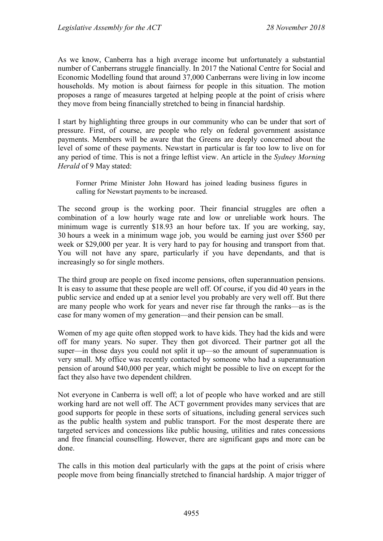As we know, Canberra has a high average income but unfortunately a substantial number of Canberrans struggle financially. In 2017 the National Centre for Social and Economic Modelling found that around 37,000 Canberrans were living in low income households. My motion is about fairness for people in this situation. The motion proposes a range of measures targeted at helping people at the point of crisis where they move from being financially stretched to being in financial hardship.

I start by highlighting three groups in our community who can be under that sort of pressure. First, of course, are people who rely on federal government assistance payments. Members will be aware that the Greens are deeply concerned about the level of some of these payments. Newstart in particular is far too low to live on for any period of time. This is not a fringe leftist view. An article in the *Sydney Morning Herald* of 9 May stated:

Former Prime Minister John Howard has joined leading business figures in calling for Newstart payments to be increased.

The second group is the working poor. Their financial struggles are often a combination of a low hourly wage rate and low or unreliable work hours. The minimum wage is currently \$18.93 an hour before tax. If you are working, say, 30 hours a week in a minimum wage job, you would be earning just over \$560 per week or \$29,000 per year. It is very hard to pay for housing and transport from that. You will not have any spare, particularly if you have dependants, and that is increasingly so for single mothers.

The third group are people on fixed income pensions, often superannuation pensions. It is easy to assume that these people are well off. Of course, if you did 40 years in the public service and ended up at a senior level you probably are very well off. But there are many people who work for years and never rise far through the ranks—as is the case for many women of my generation—and their pension can be small.

Women of my age quite often stopped work to have kids. They had the kids and were off for many years. No super. They then got divorced. Their partner got all the super—in those days you could not split it up—so the amount of superannuation is very small. My office was recently contacted by someone who had a superannuation pension of around \$40,000 per year, which might be possible to live on except for the fact they also have two dependent children.

Not everyone in Canberra is well off; a lot of people who have worked and are still working hard are not well off. The ACT government provides many services that are good supports for people in these sorts of situations, including general services such as the public health system and public transport. For the most desperate there are targeted services and concessions like public housing, utilities and rates concessions and free financial counselling. However, there are significant gaps and more can be done.

The calls in this motion deal particularly with the gaps at the point of crisis where people move from being financially stretched to financial hardship. A major trigger of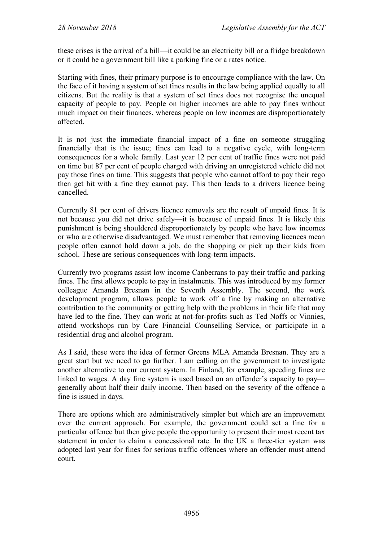these crises is the arrival of a bill—it could be an electricity bill or a fridge breakdown or it could be a government bill like a parking fine or a rates notice.

Starting with fines, their primary purpose is to encourage compliance with the law. On the face of it having a system of set fines results in the law being applied equally to all citizens. But the reality is that a system of set fines does not recognise the unequal capacity of people to pay. People on higher incomes are able to pay fines without much impact on their finances, whereas people on low incomes are disproportionately affected.

It is not just the immediate financial impact of a fine on someone struggling financially that is the issue; fines can lead to a negative cycle, with long-term consequences for a whole family. Last year 12 per cent of traffic fines were not paid on time but 87 per cent of people charged with driving an unregistered vehicle did not pay those fines on time. This suggests that people who cannot afford to pay their rego then get hit with a fine they cannot pay. This then leads to a drivers licence being cancelled.

Currently 81 per cent of drivers licence removals are the result of unpaid fines. It is not because you did not drive safely—it is because of unpaid fines. It is likely this punishment is being shouldered disproportionately by people who have low incomes or who are otherwise disadvantaged. We must remember that removing licences mean people often cannot hold down a job, do the shopping or pick up their kids from school. These are serious consequences with long-term impacts.

Currently two programs assist low income Canberrans to pay their traffic and parking fines. The first allows people to pay in instalments. This was introduced by my former colleague Amanda Bresnan in the Seventh Assembly. The second, the work development program, allows people to work off a fine by making an alternative contribution to the community or getting help with the problems in their life that may have led to the fine. They can work at not-for-profits such as Ted Noffs or Vinnies, attend workshops run by Care Financial Counselling Service, or participate in a residential drug and alcohol program.

As I said, these were the idea of former Greens MLA Amanda Bresnan. They are a great start but we need to go further. I am calling on the government to investigate another alternative to our current system. In Finland, for example, speeding fines are linked to wages. A day fine system is used based on an offender's capacity to pay generally about half their daily income. Then based on the severity of the offence a fine is issued in days.

There are options which are administratively simpler but which are an improvement over the current approach. For example, the government could set a fine for a particular offence but then give people the opportunity to present their most recent tax statement in order to claim a concessional rate. In the UK a three-tier system was adopted last year for fines for serious traffic offences where an offender must attend court.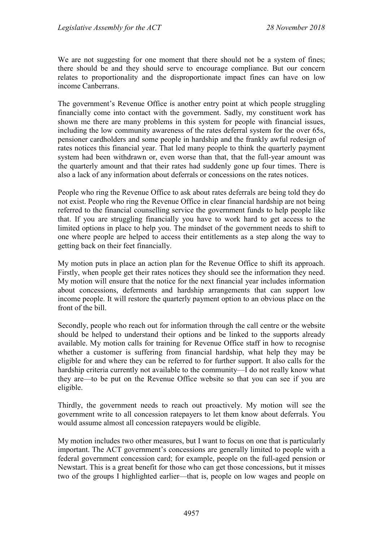We are not suggesting for one moment that there should not be a system of fines; there should be and they should serve to encourage compliance. But our concern relates to proportionality and the disproportionate impact fines can have on low income Canberrans.

The government's Revenue Office is another entry point at which people struggling financially come into contact with the government. Sadly, my constituent work has shown me there are many problems in this system for people with financial issues, including the low community awareness of the rates deferral system for the over 65s, pensioner cardholders and some people in hardship and the frankly awful redesign of rates notices this financial year. That led many people to think the quarterly payment system had been withdrawn or, even worse than that, that the full-year amount was the quarterly amount and that their rates had suddenly gone up four times. There is also a lack of any information about deferrals or concessions on the rates notices.

People who ring the Revenue Office to ask about rates deferrals are being told they do not exist. People who ring the Revenue Office in clear financial hardship are not being referred to the financial counselling service the government funds to help people like that. If you are struggling financially you have to work hard to get access to the limited options in place to help you. The mindset of the government needs to shift to one where people are helped to access their entitlements as a step along the way to getting back on their feet financially.

My motion puts in place an action plan for the Revenue Office to shift its approach. Firstly, when people get their rates notices they should see the information they need. My motion will ensure that the notice for the next financial year includes information about concessions, deferments and hardship arrangements that can support low income people. It will restore the quarterly payment option to an obvious place on the front of the bill.

Secondly, people who reach out for information through the call centre or the website should be helped to understand their options and be linked to the supports already available. My motion calls for training for Revenue Office staff in how to recognise whether a customer is suffering from financial hardship, what help they may be eligible for and where they can be referred to for further support. It also calls for the hardship criteria currently not available to the community—I do not really know what they are—to be put on the Revenue Office website so that you can see if you are eligible.

Thirdly, the government needs to reach out proactively. My motion will see the government write to all concession ratepayers to let them know about deferrals. You would assume almost all concession ratepayers would be eligible.

My motion includes two other measures, but I want to focus on one that is particularly important. The ACT government's concessions are generally limited to people with a federal government concession card; for example, people on the full-aged pension or Newstart. This is a great benefit for those who can get those concessions, but it misses two of the groups I highlighted earlier—that is, people on low wages and people on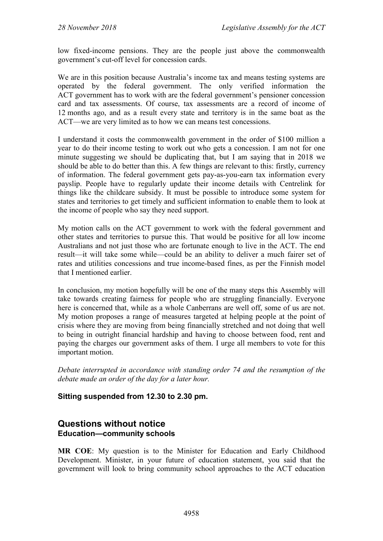low fixed-income pensions. They are the people just above the commonwealth government's cut-off level for concession cards.

We are in this position because Australia's income tax and means testing systems are operated by the federal government. The only verified information the ACT government has to work with are the federal government's pensioner concession card and tax assessments. Of course, tax assessments are a record of income of 12 months ago, and as a result every state and territory is in the same boat as the ACT—we are very limited as to how we can means test concessions.

I understand it costs the commonwealth government in the order of \$100 million a year to do their income testing to work out who gets a concession. I am not for one minute suggesting we should be duplicating that, but I am saying that in 2018 we should be able to do better than this. A few things are relevant to this: firstly, currency of information. The federal government gets pay-as-you-earn tax information every payslip. People have to regularly update their income details with Centrelink for things like the childcare subsidy. It must be possible to introduce some system for states and territories to get timely and sufficient information to enable them to look at the income of people who say they need support.

My motion calls on the ACT government to work with the federal government and other states and territories to pursue this. That would be positive for all low income Australians and not just those who are fortunate enough to live in the ACT. The end result—it will take some while—could be an ability to deliver a much fairer set of rates and utilities concessions and true income-based fines, as per the Finnish model that I mentioned earlier.

In conclusion, my motion hopefully will be one of the many steps this Assembly will take towards creating fairness for people who are struggling financially. Everyone here is concerned that, while as a whole Canberrans are well off, some of us are not. My motion proposes a range of measures targeted at helping people at the point of crisis where they are moving from being financially stretched and not doing that well to being in outright financial hardship and having to choose between food, rent and paying the charges our government asks of them. I urge all members to vote for this important motion.

*Debate interrupted in accordance with standing order 74 and the resumption of the debate made an order of the day for a later hour.*

## **Sitting suspended from 12.30 to 2.30 pm.**

## **Questions without notice Education—community schools**

**MR COE**: My question is to the Minister for Education and Early Childhood Development. Minister, in your future of education statement, you said that the government will look to bring community school approaches to the ACT education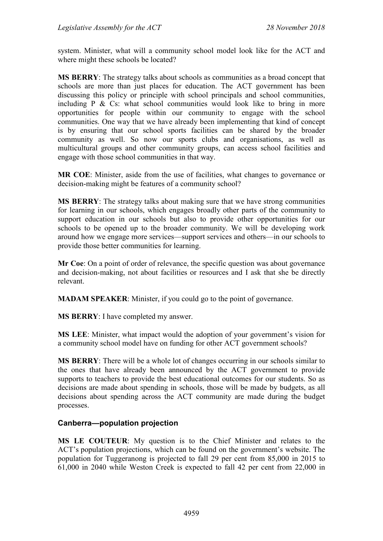system. Minister, what will a community school model look like for the ACT and where might these schools be located?

**MS BERRY**: The strategy talks about schools as communities as a broad concept that schools are more than just places for education. The ACT government has been discussing this policy or principle with school principals and school communities, including  $P \& Cs$ : what school communities would look like to bring in more opportunities for people within our community to engage with the school communities. One way that we have already been implementing that kind of concept is by ensuring that our school sports facilities can be shared by the broader community as well. So now our sports clubs and organisations, as well as multicultural groups and other community groups, can access school facilities and engage with those school communities in that way.

**MR COE**: Minister, aside from the use of facilities, what changes to governance or decision-making might be features of a community school?

**MS BERRY**: The strategy talks about making sure that we have strong communities for learning in our schools, which engages broadly other parts of the community to support education in our schools but also to provide other opportunities for our schools to be opened up to the broader community. We will be developing work around how we engage more services—support services and others—in our schools to provide those better communities for learning.

**Mr Coe**: On a point of order of relevance, the specific question was about governance and decision-making, not about facilities or resources and I ask that she be directly relevant.

**MADAM SPEAKER**: Minister, if you could go to the point of governance.

**MS BERRY**: I have completed my answer.

**MS LEE**: Minister, what impact would the adoption of your government's vision for a community school model have on funding for other ACT government schools?

**MS BERRY**: There will be a whole lot of changes occurring in our schools similar to the ones that have already been announced by the ACT government to provide supports to teachers to provide the best educational outcomes for our students. So as decisions are made about spending in schools, those will be made by budgets, as all decisions about spending across the ACT community are made during the budget processes.

#### **Canberra—population projection**

**MS LE COUTEUR**: My question is to the Chief Minister and relates to the ACT's population projections, which can be found on the government's website. The population for Tuggeranong is projected to fall 29 per cent from 85,000 in 2015 to 61,000 in 2040 while Weston Creek is expected to fall 42 per cent from 22,000 in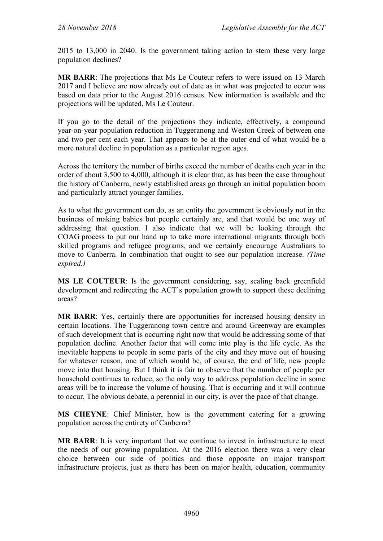2015 to 13,000 in 2040. Is the government taking action to stem these very large population declines?

**MR BARR**: The projections that Ms Le Couteur refers to were issued on 13 March 2017 and I believe are now already out of date as in what was projected to occur was based on data prior to the August 2016 census. New information is available and the projections will be updated, Ms Le Couteur.

If you go to the detail of the projections they indicate, effectively, a compound year-on-year population reduction in Tuggeranong and Weston Creek of between one and two per cent each year. That appears to be at the outer end of what would be a more natural decline in population as a particular region ages.

Across the territory the number of births exceed the number of deaths each year in the order of about 3,500 to 4,000, although it is clear that, as has been the case throughout the history of Canberra, newly established areas go through an initial population boom and particularly attract younger families.

As to what the government can do, as an entity the government is obviously not in the business of making babies but people certainly are, and that would be one way of addressing that question. I also indicate that we will be looking through the COAG process to put our hand up to take more international migrants through both skilled programs and refugee programs, and we certainly encourage Australians to move to Canberra. In combination that ought to see our population increase. *(Time expired.)*

**MS LE COUTEUR**: Is the government considering, say, scaling back greenfield development and redirecting the ACT's population growth to support these declining areas?

**MR BARR**: Yes, certainly there are opportunities for increased housing density in certain locations. The Tuggeranong town centre and around Greenway are examples of such development that is occurring right now that would be addressing some of that population decline. Another factor that will come into play is the life cycle. As the inevitable happens to people in some parts of the city and they move out of housing for whatever reason, one of which would be, of course, the end of life, new people move into that housing. But I think it is fair to observe that the number of people per household continues to reduce, so the only way to address population decline in some areas will be to increase the volume of housing. That is occurring and it will continue to occur. The obvious debate, a perennial in our city, is over the pace of that change.

**MS CHEYNE**: Chief Minister, how is the government catering for a growing population across the entirety of Canberra?

**MR BARR**: It is very important that we continue to invest in infrastructure to meet the needs of our growing population. At the 2016 election there was a very clear choice between our side of politics and those opposite on major transport infrastructure projects, just as there has been on major health, education, community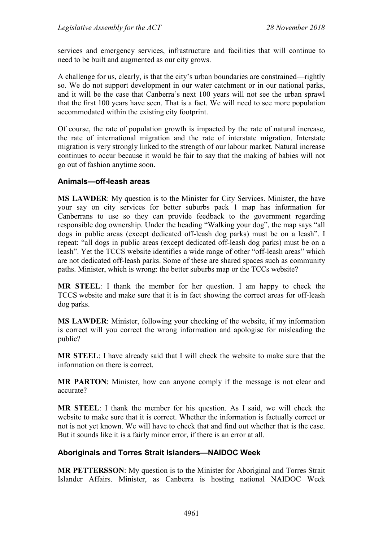services and emergency services, infrastructure and facilities that will continue to need to be built and augmented as our city grows.

A challenge for us, clearly, is that the city's urban boundaries are constrained—rightly so. We do not support development in our water catchment or in our national parks, and it will be the case that Canberra's next 100 years will not see the urban sprawl that the first 100 years have seen. That is a fact. We will need to see more population accommodated within the existing city footprint.

Of course, the rate of population growth is impacted by the rate of natural increase, the rate of international migration and the rate of interstate migration. Interstate migration is very strongly linked to the strength of our labour market. Natural increase continues to occur because it would be fair to say that the making of babies will not go out of fashion anytime soon.

#### **Animals—off-leash areas**

**MS LAWDER**: My question is to the Minister for City Services. Minister, the have your say on city services for better suburbs pack 1 map has information for Canberrans to use so they can provide feedback to the government regarding responsible dog ownership. Under the heading "Walking your dog", the map says "all dogs in public areas (except dedicated off-leash dog parks) must be on a leash". I repeat: "all dogs in public areas (except dedicated off-leash dog parks) must be on a leash". Yet the TCCS website identifies a wide range of other "off-leash areas" which are not dedicated off-leash parks. Some of these are shared spaces such as community paths. Minister, which is wrong: the better suburbs map or the TCCs website?

**MR STEEL**: I thank the member for her question. I am happy to check the TCCS website and make sure that it is in fact showing the correct areas for off-leash dog parks.

**MS LAWDER**: Minister, following your checking of the website, if my information is correct will you correct the wrong information and apologise for misleading the public?

**MR STEEL**: I have already said that I will check the website to make sure that the information on there is correct.

**MR PARTON**: Minister, how can anyone comply if the message is not clear and accurate?

**MR STEEL**: I thank the member for his question. As I said, we will check the website to make sure that it is correct. Whether the information is factually correct or not is not yet known. We will have to check that and find out whether that is the case. But it sounds like it is a fairly minor error, if there is an error at all.

#### **Aboriginals and Torres Strait Islanders—NAIDOC Week**

**MR PETTERSSON**: My question is to the Minister for Aboriginal and Torres Strait Islander Affairs. Minister, as Canberra is hosting national NAIDOC Week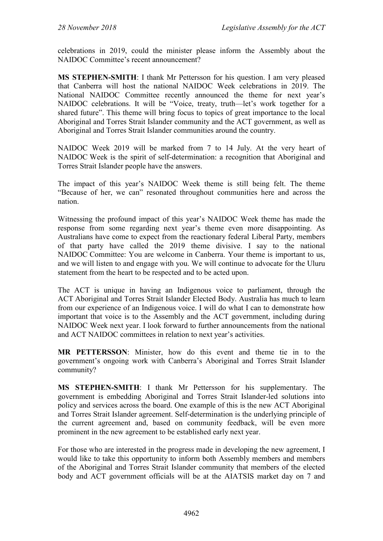celebrations in 2019, could the minister please inform the Assembly about the NAIDOC Committee's recent announcement?

**MS STEPHEN-SMITH**: I thank Mr Pettersson for his question. I am very pleased that Canberra will host the national NAIDOC Week celebrations in 2019. The National NAIDOC Committee recently announced the theme for next year's NAIDOC celebrations. It will be "Voice, treaty, truth—let's work together for a shared future". This theme will bring focus to topics of great importance to the local Aboriginal and Torres Strait Islander community and the ACT government, as well as Aboriginal and Torres Strait Islander communities around the country.

NAIDOC Week 2019 will be marked from 7 to 14 July. At the very heart of NAIDOC Week is the spirit of self-determination: a recognition that Aboriginal and Torres Strait Islander people have the answers.

The impact of this year's NAIDOC Week theme is still being felt. The theme "Because of her, we can" resonated throughout communities here and across the nation.

Witnessing the profound impact of this year's NAIDOC Week theme has made the response from some regarding next year's theme even more disappointing. As Australians have come to expect from the reactionary federal Liberal Party, members of that party have called the 2019 theme divisive. I say to the national NAIDOC Committee: You are welcome in Canberra. Your theme is important to us, and we will listen to and engage with you. We will continue to advocate for the Uluru statement from the heart to be respected and to be acted upon.

The ACT is unique in having an Indigenous voice to parliament, through the ACT Aboriginal and Torres Strait Islander Elected Body. Australia has much to learn from our experience of an Indigenous voice. I will do what I can to demonstrate how important that voice is to the Assembly and the ACT government, including during NAIDOC Week next year. I look forward to further announcements from the national and ACT NAIDOC committees in relation to next year's activities.

**MR PETTERSSON**: Minister, how do this event and theme tie in to the government's ongoing work with Canberra's Aboriginal and Torres Strait Islander community?

**MS STEPHEN-SMITH**: I thank Mr Pettersson for his supplementary. The government is embedding Aboriginal and Torres Strait Islander-led solutions into policy and services across the board. One example of this is the new ACT Aboriginal and Torres Strait Islander agreement. Self-determination is the underlying principle of the current agreement and, based on community feedback, will be even more prominent in the new agreement to be established early next year.

For those who are interested in the progress made in developing the new agreement, I would like to take this opportunity to inform both Assembly members and members of the Aboriginal and Torres Strait Islander community that members of the elected body and ACT government officials will be at the AIATSIS market day on 7 and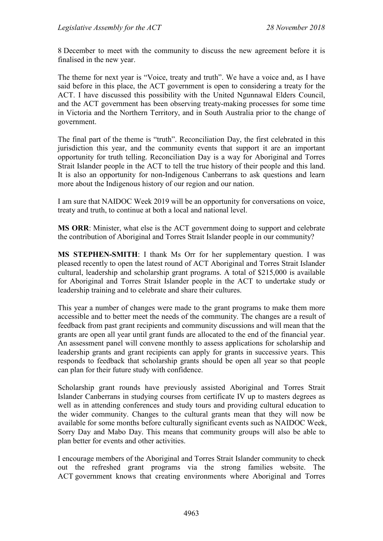8 December to meet with the community to discuss the new agreement before it is finalised in the new year.

The theme for next year is "Voice, treaty and truth". We have a voice and, as I have said before in this place, the ACT government is open to considering a treaty for the ACT. I have discussed this possibility with the United Ngunnawal Elders Council, and the ACT government has been observing treaty-making processes for some time in Victoria and the Northern Territory, and in South Australia prior to the change of government.

The final part of the theme is "truth". Reconciliation Day, the first celebrated in this jurisdiction this year, and the community events that support it are an important opportunity for truth telling. Reconciliation Day is a way for Aboriginal and Torres Strait Islander people in the ACT to tell the true history of their people and this land. It is also an opportunity for non-Indigenous Canberrans to ask questions and learn more about the Indigenous history of our region and our nation.

I am sure that NAIDOC Week 2019 will be an opportunity for conversations on voice, treaty and truth, to continue at both a local and national level.

**MS ORR**: Minister, what else is the ACT government doing to support and celebrate the contribution of Aboriginal and Torres Strait Islander people in our community?

**MS STEPHEN-SMITH**: I thank Ms Orr for her supplementary question. I was pleased recently to open the latest round of ACT Aboriginal and Torres Strait Islander cultural, leadership and scholarship grant programs. A total of \$215,000 is available for Aboriginal and Torres Strait Islander people in the ACT to undertake study or leadership training and to celebrate and share their cultures.

This year a number of changes were made to the grant programs to make them more accessible and to better meet the needs of the community. The changes are a result of feedback from past grant recipients and community discussions and will mean that the grants are open all year until grant funds are allocated to the end of the financial year. An assessment panel will convene monthly to assess applications for scholarship and leadership grants and grant recipients can apply for grants in successive years. This responds to feedback that scholarship grants should be open all year so that people can plan for their future study with confidence.

Scholarship grant rounds have previously assisted Aboriginal and Torres Strait Islander Canberrans in studying courses from certificate IV up to masters degrees as well as in attending conferences and study tours and providing cultural education to the wider community. Changes to the cultural grants mean that they will now be available for some months before culturally significant events such as NAIDOC Week, Sorry Day and Mabo Day. This means that community groups will also be able to plan better for events and other activities.

I encourage members of the Aboriginal and Torres Strait Islander community to check out the refreshed grant programs via the strong families website. The ACT government knows that creating environments where Aboriginal and Torres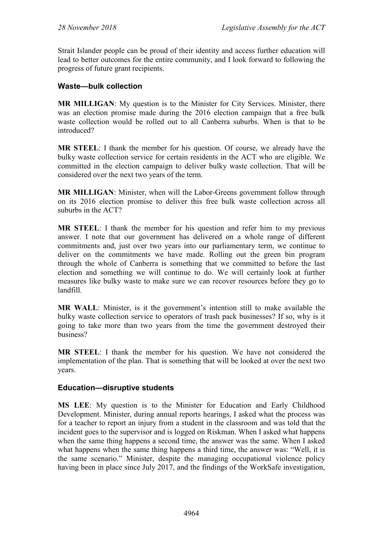Strait Islander people can be proud of their identity and access further education will lead to better outcomes for the entire community, and I look forward to following the progress of future grant recipients.

#### **Waste—bulk collection**

**MR MILLIGAN**: My question is to the Minister for City Services. Minister, there was an election promise made during the 2016 election campaign that a free bulk waste collection would be rolled out to all Canberra suburbs. When is that to be introduced?

**MR STEEL**: I thank the member for his question. Of course, we already have the bulky waste collection service for certain residents in the ACT who are eligible. We committed in the election campaign to deliver bulky waste collection. That will be considered over the next two years of the term.

**MR MILLIGAN**: Minister, when will the Labor-Greens government follow through on its 2016 election promise to deliver this free bulk waste collection across all suburbs in the ACT?

**MR STEEL**: I thank the member for his question and refer him to my previous answer. I note that our government has delivered on a whole range of different commitments and, just over two years into our parliamentary term, we continue to deliver on the commitments we have made. Rolling out the green bin program through the whole of Canberra is something that we committed to before the last election and something we will continue to do. We will certainly look at further measures like bulky waste to make sure we can recover resources before they go to landfill.

**MR WALL**: Minister, is it the government's intention still to make available the bulky waste collection service to operators of trash pack businesses? If so, why is it going to take more than two years from the time the government destroyed their business?

**MR STEEL**: I thank the member for his question. We have not considered the implementation of the plan. That is something that will be looked at over the next two years.

#### **Education—disruptive students**

**MS LEE**: My question is to the Minister for Education and Early Childhood Development. Minister, during annual reports hearings, I asked what the process was for a teacher to report an injury from a student in the classroom and was told that the incident goes to the supervisor and is logged on Riskman. When I asked what happens when the same thing happens a second time, the answer was the same. When I asked what happens when the same thing happens a third time, the answer was: "Well, it is the same scenario." Minister, despite the managing occupational violence policy having been in place since July 2017, and the findings of the WorkSafe investigation,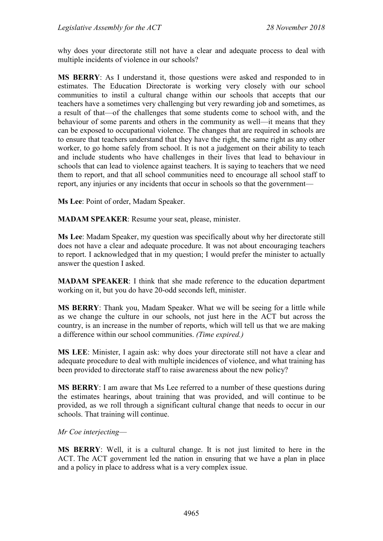why does your directorate still not have a clear and adequate process to deal with multiple incidents of violence in our schools?

**MS BERRY**: As I understand it, those questions were asked and responded to in estimates. The Education Directorate is working very closely with our school communities to instil a cultural change within our schools that accepts that our teachers have a sometimes very challenging but very rewarding job and sometimes, as a result of that—of the challenges that some students come to school with, and the behaviour of some parents and others in the community as well—it means that they can be exposed to occupational violence. The changes that are required in schools are to ensure that teachers understand that they have the right, the same right as any other worker, to go home safely from school. It is not a judgement on their ability to teach and include students who have challenges in their lives that lead to behaviour in schools that can lead to violence against teachers. It is saying to teachers that we need them to report, and that all school communities need to encourage all school staff to report, any injuries or any incidents that occur in schools so that the government—

**Ms Lee**: Point of order, Madam Speaker.

**MADAM SPEAKER**: Resume your seat, please, minister.

**Ms Lee**: Madam Speaker, my question was specifically about why her directorate still does not have a clear and adequate procedure. It was not about encouraging teachers to report. I acknowledged that in my question; I would prefer the minister to actually answer the question I asked.

**MADAM SPEAKER**: I think that she made reference to the education department working on it, but you do have 20-odd seconds left, minister.

**MS BERRY**: Thank you, Madam Speaker. What we will be seeing for a little while as we change the culture in our schools, not just here in the ACT but across the country, is an increase in the number of reports, which will tell us that we are making a difference within our school communities. *(Time expired.)*

**MS LEE**: Minister, I again ask: why does your directorate still not have a clear and adequate procedure to deal with multiple incidences of violence, and what training has been provided to directorate staff to raise awareness about the new policy?

**MS BERRY**: I am aware that Ms Lee referred to a number of these questions during the estimates hearings, about training that was provided, and will continue to be provided, as we roll through a significant cultural change that needs to occur in our schools. That training will continue.

*Mr Coe interjecting*—

**MS BERRY**: Well, it is a cultural change. It is not just limited to here in the ACT. The ACT government led the nation in ensuring that we have a plan in place and a policy in place to address what is a very complex issue.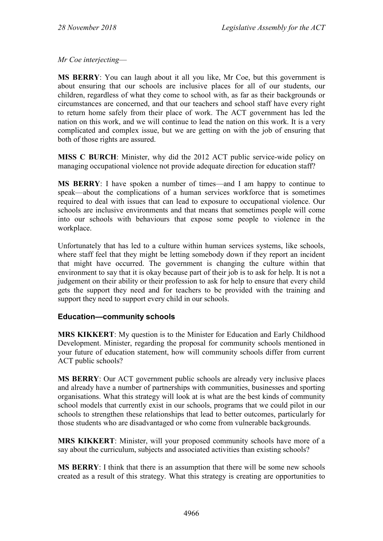*Mr Coe interjecting*—

**MS BERRY**: You can laugh about it all you like, Mr Coe, but this government is about ensuring that our schools are inclusive places for all of our students, our children, regardless of what they come to school with, as far as their backgrounds or circumstances are concerned, and that our teachers and school staff have every right to return home safely from their place of work. The ACT government has led the nation on this work, and we will continue to lead the nation on this work. It is a very complicated and complex issue, but we are getting on with the job of ensuring that both of those rights are assured.

**MISS C BURCH**: Minister, why did the 2012 ACT public service-wide policy on managing occupational violence not provide adequate direction for education staff?

**MS BERRY**: I have spoken a number of times—and I am happy to continue to speak—about the complications of a human services workforce that is sometimes required to deal with issues that can lead to exposure to occupational violence. Our schools are inclusive environments and that means that sometimes people will come into our schools with behaviours that expose some people to violence in the workplace.

Unfortunately that has led to a culture within human services systems, like schools, where staff feel that they might be letting somebody down if they report an incident that might have occurred. The government is changing the culture within that environment to say that it is okay because part of their job is to ask for help. It is not a judgement on their ability or their profession to ask for help to ensure that every child gets the support they need and for teachers to be provided with the training and support they need to support every child in our schools.

## **Education—community schools**

**MRS KIKKERT**: My question is to the Minister for Education and Early Childhood Development. Minister, regarding the proposal for community schools mentioned in your future of education statement, how will community schools differ from current ACT public schools?

**MS BERRY**: Our ACT government public schools are already very inclusive places and already have a number of partnerships with communities, businesses and sporting organisations. What this strategy will look at is what are the best kinds of community school models that currently exist in our schools, programs that we could pilot in our schools to strengthen these relationships that lead to better outcomes, particularly for those students who are disadvantaged or who come from vulnerable backgrounds.

**MRS KIKKERT**: Minister, will your proposed community schools have more of a say about the curriculum, subjects and associated activities than existing schools?

**MS BERRY**: I think that there is an assumption that there will be some new schools created as a result of this strategy. What this strategy is creating are opportunities to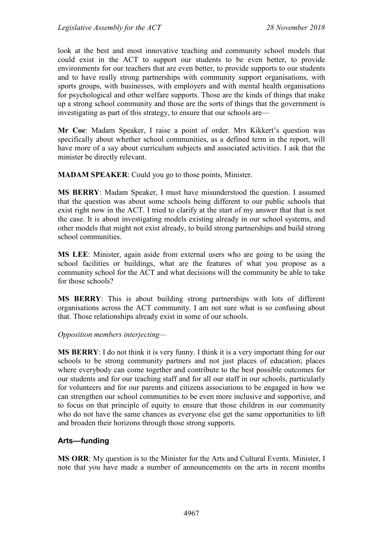look at the best and most innovative teaching and community school models that could exist in the ACT to support our students to be even better, to provide environments for our teachers that are even better, to provide supports to our students and to have really strong partnerships with community support organisations, with sports groups, with businesses, with employers and with mental health organisations for psychological and other welfare supports. Those are the kinds of things that make up a strong school community and those are the sorts of things that the government is investigating as part of this strategy, to ensure that our schools are—

**Mr Coe**: Madam Speaker, I raise a point of order. Mrs Kikkert's question was specifically about whether school communities, as a defined term in the report, will have more of a say about curriculum subjects and associated activities. I ask that the minister be directly relevant.

**MADAM SPEAKER**: Could you go to those points, Minister.

**MS BERRY**: Madam Speaker, I must have misunderstood the question. I assumed that the question was about some schools being different to our public schools that exist right now in the ACT. I tried to clarify at the start of my answer that that is not the case. It is about investigating models existing already in our school systems, and other models that might not exist already, to build strong partnerships and build strong school communities.

**MS LEE**: Minister, again aside from external users who are going to be using the school facilities or buildings, what are the features of what you propose as a community school for the ACT and what decisions will the community be able to take for those schools?

**MS BERRY**: This is about building strong partnerships with lots of different organisations across the ACT community. I am not sure what is so confusing about that. Those relationships already exist in some of our schools.

*Opposition members interjecting—*

**MS BERRY**: I do not think it is very funny. I think it is a very important thing for our schools to be strong community partners and not just places of education; places where everybody can come together and contribute to the best possible outcomes for our students and for our teaching staff and for all our staff in our schools, particularly for volunteers and for our parents and citizens associations to be engaged in how we can strengthen our school communities to be even more inclusive and supportive, and to focus on that principle of equity to ensure that those children in our community who do not have the same chances as everyone else get the same opportunities to lift and broaden their horizons through those strong supports.

## **Arts—funding**

**MS ORR**: My question is to the Minister for the Arts and Cultural Events. Minister, I note that you have made a number of announcements on the arts in recent months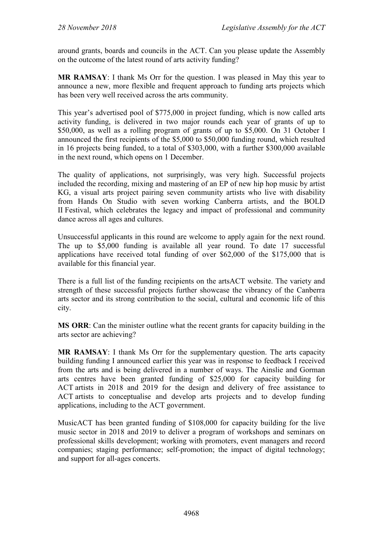around grants, boards and councils in the ACT. Can you please update the Assembly on the outcome of the latest round of arts activity funding?

**MR RAMSAY**: I thank Ms Orr for the question. I was pleased in May this year to announce a new, more flexible and frequent approach to funding arts projects which has been very well received across the arts community.

This year's advertised pool of \$775,000 in project funding, which is now called arts activity funding, is delivered in two major rounds each year of grants of up to \$50,000, as well as a rolling program of grants of up to \$5,000. On 31 October I announced the first recipients of the \$5,000 to \$50,000 funding round, which resulted in 16 projects being funded, to a total of \$303,000, with a further \$300,000 available in the next round, which opens on 1 December.

The quality of applications, not surprisingly, was very high. Successful projects included the recording, mixing and mastering of an EP of new hip hop music by artist KG, a visual arts project pairing seven community artists who live with disability from Hands On Studio with seven working Canberra artists, and the BOLD II Festival, which celebrates the legacy and impact of professional and community dance across all ages and cultures.

Unsuccessful applicants in this round are welcome to apply again for the next round. The up to \$5,000 funding is available all year round. To date 17 successful applications have received total funding of over \$62,000 of the \$175,000 that is available for this financial year.

There is a full list of the funding recipients on the artsACT website. The variety and strength of these successful projects further showcase the vibrancy of the Canberra arts sector and its strong contribution to the social, cultural and economic life of this city.

**MS ORR**: Can the minister outline what the recent grants for capacity building in the arts sector are achieving?

**MR RAMSAY**: I thank Ms Orr for the supplementary question. The arts capacity building funding I announced earlier this year was in response to feedback I received from the arts and is being delivered in a number of ways. The Ainslie and Gorman arts centres have been granted funding of \$25,000 for capacity building for ACT artists in 2018 and 2019 for the design and delivery of free assistance to ACT artists to conceptualise and develop arts projects and to develop funding applications, including to the ACT government.

MusicACT has been granted funding of \$108,000 for capacity building for the live music sector in 2018 and 2019 to deliver a program of workshops and seminars on professional skills development; working with promoters, event managers and record companies; staging performance; self-promotion; the impact of digital technology; and support for all-ages concerts.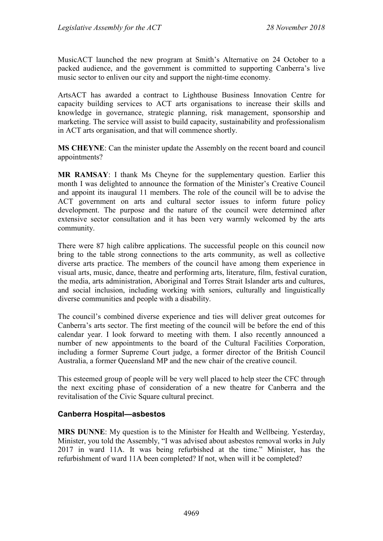MusicACT launched the new program at Smith's Alternative on 24 October to a packed audience, and the government is committed to supporting Canberra's live music sector to enliven our city and support the night-time economy.

ArtsACT has awarded a contract to Lighthouse Business Innovation Centre for capacity building services to ACT arts organisations to increase their skills and knowledge in governance, strategic planning, risk management, sponsorship and marketing. The service will assist to build capacity, sustainability and professionalism in ACT arts organisation, and that will commence shortly.

**MS CHEYNE**: Can the minister update the Assembly on the recent board and council appointments?

**MR RAMSAY**: I thank Ms Cheyne for the supplementary question. Earlier this month I was delighted to announce the formation of the Minister's Creative Council and appoint its inaugural 11 members. The role of the council will be to advise the ACT government on arts and cultural sector issues to inform future policy development. The purpose and the nature of the council were determined after extensive sector consultation and it has been very warmly welcomed by the arts community.

There were 87 high calibre applications. The successful people on this council now bring to the table strong connections to the arts community, as well as collective diverse arts practice. The members of the council have among them experience in visual arts, music, dance, theatre and performing arts, literature, film, festival curation, the media, arts administration, Aboriginal and Torres Strait Islander arts and cultures, and social inclusion, including working with seniors, culturally and linguistically diverse communities and people with a disability.

The council's combined diverse experience and ties will deliver great outcomes for Canberra's arts sector. The first meeting of the council will be before the end of this calendar year. I look forward to meeting with them. I also recently announced a number of new appointments to the board of the Cultural Facilities Corporation, including a former Supreme Court judge, a former director of the British Council Australia, a former Queensland MP and the new chair of the creative council.

This esteemed group of people will be very well placed to help steer the CFC through the next exciting phase of consideration of a new theatre for Canberra and the revitalisation of the Civic Square cultural precinct.

## **Canberra Hospital—asbestos**

**MRS DUNNE**: My question is to the Minister for Health and Wellbeing. Yesterday, Minister, you told the Assembly, "I was advised about asbestos removal works in July 2017 in ward 11A. It was being refurbished at the time." Minister, has the refurbishment of ward 11A been completed? If not, when will it be completed?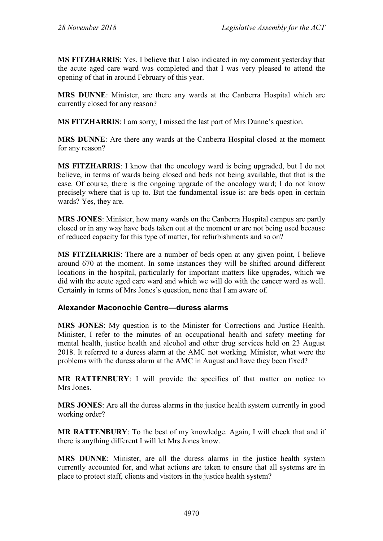**MS FITZHARRIS**: Yes. I believe that I also indicated in my comment yesterday that the acute aged care ward was completed and that I was very pleased to attend the opening of that in around February of this year.

**MRS DUNNE**: Minister, are there any wards at the Canberra Hospital which are currently closed for any reason?

**MS FITZHARRIS**: I am sorry; I missed the last part of Mrs Dunne's question.

**MRS DUNNE**: Are there any wards at the Canberra Hospital closed at the moment for any reason?

**MS FITZHARRIS**: I know that the oncology ward is being upgraded, but I do not believe, in terms of wards being closed and beds not being available, that that is the case. Of course, there is the ongoing upgrade of the oncology ward; I do not know precisely where that is up to. But the fundamental issue is: are beds open in certain wards? Yes, they are.

**MRS JONES**: Minister, how many wards on the Canberra Hospital campus are partly closed or in any way have beds taken out at the moment or are not being used because of reduced capacity for this type of matter, for refurbishments and so on?

**MS FITZHARRIS**: There are a number of beds open at any given point, I believe around 670 at the moment. In some instances they will be shifted around different locations in the hospital, particularly for important matters like upgrades, which we did with the acute aged care ward and which we will do with the cancer ward as well. Certainly in terms of Mrs Jones's question, none that I am aware of.

## **Alexander Maconochie Centre—duress alarms**

**MRS JONES**: My question is to the Minister for Corrections and Justice Health. Minister, I refer to the minutes of an occupational health and safety meeting for mental health, justice health and alcohol and other drug services held on 23 August 2018. It referred to a duress alarm at the AMC not working. Minister, what were the problems with the duress alarm at the AMC in August and have they been fixed?

**MR RATTENBURY**: I will provide the specifics of that matter on notice to Mrs Jones.

**MRS JONES**: Are all the duress alarms in the justice health system currently in good working order?

**MR RATTENBURY**: To the best of my knowledge. Again, I will check that and if there is anything different I will let Mrs Jones know.

**MRS DUNNE**: Minister, are all the duress alarms in the justice health system currently accounted for, and what actions are taken to ensure that all systems are in place to protect staff, clients and visitors in the justice health system?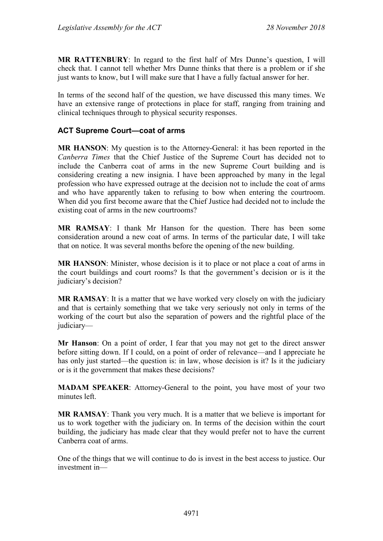**MR RATTENBURY**: In regard to the first half of Mrs Dunne's question, I will check that. I cannot tell whether Mrs Dunne thinks that there is a problem or if she just wants to know, but I will make sure that I have a fully factual answer for her.

In terms of the second half of the question, we have discussed this many times. We have an extensive range of protections in place for staff, ranging from training and clinical techniques through to physical security responses.

## **ACT Supreme Court—coat of arms**

**MR HANSON**: My question is to the Attorney-General: it has been reported in the *Canberra Times* that the Chief Justice of the Supreme Court has decided not to include the Canberra coat of arms in the new Supreme Court building and is considering creating a new insignia. I have been approached by many in the legal profession who have expressed outrage at the decision not to include the coat of arms and who have apparently taken to refusing to bow when entering the courtroom. When did you first become aware that the Chief Justice had decided not to include the existing coat of arms in the new courtrooms?

**MR RAMSAY**: I thank Mr Hanson for the question. There has been some consideration around a new coat of arms. In terms of the particular date, I will take that on notice. It was several months before the opening of the new building.

**MR HANSON**: Minister, whose decision is it to place or not place a coat of arms in the court buildings and court rooms? Is that the government's decision or is it the judiciary's decision?

**MR RAMSAY**: It is a matter that we have worked very closely on with the judiciary and that is certainly something that we take very seriously not only in terms of the working of the court but also the separation of powers and the rightful place of the judiciary—

**Mr Hanson**: On a point of order, I fear that you may not get to the direct answer before sitting down. If I could, on a point of order of relevance—and I appreciate he has only just started—the question is: in law, whose decision is it? Is it the judiciary or is it the government that makes these decisions?

**MADAM SPEAKER**: Attorney-General to the point, you have most of your two minutes left.

**MR RAMSAY**: Thank you very much. It is a matter that we believe is important for us to work together with the judiciary on. In terms of the decision within the court building, the judiciary has made clear that they would prefer not to have the current Canberra coat of arms.

One of the things that we will continue to do is invest in the best access to justice. Our investment in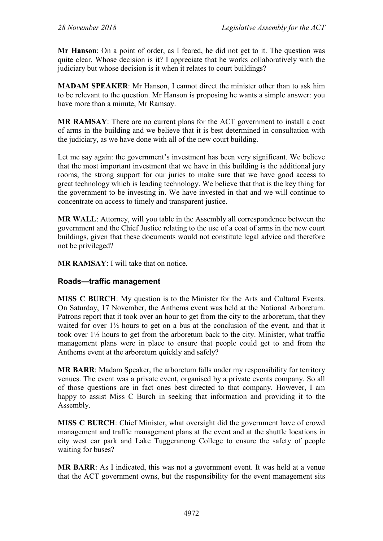**Mr Hanson**: On a point of order, as I feared, he did not get to it. The question was quite clear. Whose decision is it? I appreciate that he works collaboratively with the judiciary but whose decision is it when it relates to court buildings?

**MADAM SPEAKER**: Mr Hanson, I cannot direct the minister other than to ask him to be relevant to the question. Mr Hanson is proposing he wants a simple answer: you have more than a minute, Mr Ramsay.

**MR RAMSAY**: There are no current plans for the ACT government to install a coat of arms in the building and we believe that it is best determined in consultation with the judiciary, as we have done with all of the new court building.

Let me say again: the government's investment has been very significant. We believe that the most important investment that we have in this building is the additional jury rooms, the strong support for our juries to make sure that we have good access to great technology which is leading technology. We believe that that is the key thing for the government to be investing in. We have invested in that and we will continue to concentrate on access to timely and transparent justice.

**MR WALL**: Attorney, will you table in the Assembly all correspondence between the government and the Chief Justice relating to the use of a coat of arms in the new court buildings, given that these documents would not constitute legal advice and therefore not be privileged?

**MR RAMSAY**: I will take that on notice.

## **Roads—traffic management**

**MISS C BURCH**: My question is to the Minister for the Arts and Cultural Events. On Saturday, 17 November, the Anthems event was held at the National Arboretum. Patrons report that it took over an hour to get from the city to the arboretum, that they waited for over 1½ hours to get on a bus at the conclusion of the event, and that it took over 1½ hours to get from the arboretum back to the city. Minister, what traffic management plans were in place to ensure that people could get to and from the Anthems event at the arboretum quickly and safely?

**MR BARR**: Madam Speaker, the arboretum falls under my responsibility for territory venues. The event was a private event, organised by a private events company. So all of those questions are in fact ones best directed to that company. However, I am happy to assist Miss C Burch in seeking that information and providing it to the Assembly.

**MISS C BURCH**: Chief Minister, what oversight did the government have of crowd management and traffic management plans at the event and at the shuttle locations in city west car park and Lake Tuggeranong College to ensure the safety of people waiting for buses?

**MR BARR**: As I indicated, this was not a government event. It was held at a venue that the ACT government owns, but the responsibility for the event management sits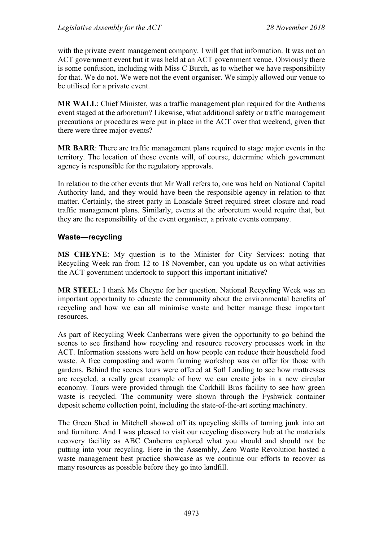with the private event management company. I will get that information. It was not an ACT government event but it was held at an ACT government venue. Obviously there is some confusion, including with Miss C Burch, as to whether we have responsibility for that. We do not. We were not the event organiser. We simply allowed our venue to be utilised for a private event.

**MR WALL**: Chief Minister, was a traffic management plan required for the Anthems event staged at the arboretum? Likewise, what additional safety or traffic management precautions or procedures were put in place in the ACT over that weekend, given that there were three major events?

**MR BARR**: There are traffic management plans required to stage major events in the territory. The location of those events will, of course, determine which government agency is responsible for the regulatory approvals.

In relation to the other events that Mr Wall refers to, one was held on National Capital Authority land, and they would have been the responsible agency in relation to that matter. Certainly, the street party in Lonsdale Street required street closure and road traffic management plans. Similarly, events at the arboretum would require that, but they are the responsibility of the event organiser, a private events company.

#### **Waste—recycling**

**MS CHEYNE**: My question is to the Minister for City Services: noting that Recycling Week ran from 12 to 18 November, can you update us on what activities the ACT government undertook to support this important initiative?

**MR STEEL**: I thank Ms Cheyne for her question. National Recycling Week was an important opportunity to educate the community about the environmental benefits of recycling and how we can all minimise waste and better manage these important resources.

As part of Recycling Week Canberrans were given the opportunity to go behind the scenes to see firsthand how recycling and resource recovery processes work in the ACT. Information sessions were held on how people can reduce their household food waste. A free composting and worm farming workshop was on offer for those with gardens. Behind the scenes tours were offered at Soft Landing to see how mattresses are recycled, a really great example of how we can create jobs in a new circular economy. Tours were provided through the Corkhill Bros facility to see how green waste is recycled. The community were shown through the Fyshwick container deposit scheme collection point, including the state-of-the-art sorting machinery.

The Green Shed in Mitchell showed off its upcycling skills of turning junk into art and furniture. And I was pleased to visit our recycling discovery hub at the materials recovery facility as ABC Canberra explored what you should and should not be putting into your recycling. Here in the Assembly, Zero Waste Revolution hosted a waste management best practice showcase as we continue our efforts to recover as many resources as possible before they go into landfill.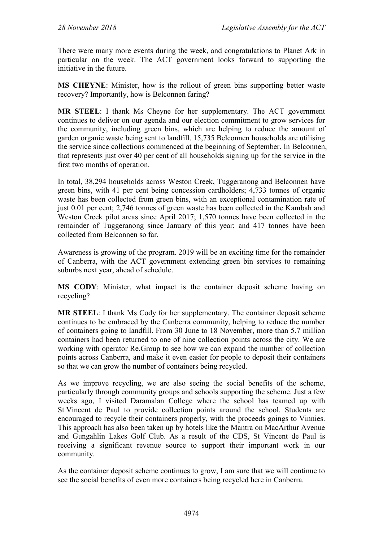There were many more events during the week, and congratulations to Planet Ark in particular on the week. The ACT government looks forward to supporting the initiative in the future.

**MS CHEYNE**: Minister, how is the rollout of green bins supporting better waste recovery? Importantly, how is Belconnen faring?

**MR STEEL**: I thank Ms Cheyne for her supplementary. The ACT government continues to deliver on our agenda and our election commitment to grow services for the community, including green bins, which are helping to reduce the amount of garden organic waste being sent to landfill. 15,735 Belconnen households are utilising the service since collections commenced at the beginning of September. In Belconnen, that represents just over 40 per cent of all households signing up for the service in the first two months of operation.

In total, 38,294 households across Weston Creek, Tuggeranong and Belconnen have green bins, with 41 per cent being concession cardholders; 4,733 tonnes of organic waste has been collected from green bins, with an exceptional contamination rate of just 0.01 per cent; 2,746 tonnes of green waste has been collected in the Kambah and Weston Creek pilot areas since April 2017; 1,570 tonnes have been collected in the remainder of Tuggeranong since January of this year; and 417 tonnes have been collected from Belconnen so far.

Awareness is growing of the program. 2019 will be an exciting time for the remainder of Canberra, with the ACT government extending green bin services to remaining suburbs next year, ahead of schedule.

**MS CODY**: Minister, what impact is the container deposit scheme having on recycling?

**MR STEEL**: I thank Ms Cody for her supplementary. The container deposit scheme continues to be embraced by the Canberra community, helping to reduce the number of containers going to landfill. From 30 June to 18 November, more than 5.7 million containers had been returned to one of nine collection points across the city. We are working with operator Re.Group to see how we can expand the number of collection points across Canberra, and make it even easier for people to deposit their containers so that we can grow the number of containers being recycled.

As we improve recycling, we are also seeing the social benefits of the scheme, particularly through community groups and schools supporting the scheme. Just a few weeks ago, I visited Daramalan College where the school has teamed up with St Vincent de Paul to provide collection points around the school. Students are encouraged to recycle their containers properly, with the proceeds goings to Vinnies. This approach has also been taken up by hotels like the Mantra on MacArthur Avenue and Gungahlin Lakes Golf Club. As a result of the CDS, St Vincent de Paul is receiving a significant revenue source to support their important work in our community.

As the container deposit scheme continues to grow, I am sure that we will continue to see the social benefits of even more containers being recycled here in Canberra.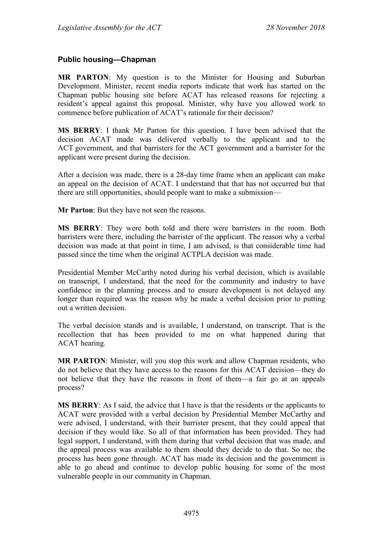## **Public housing—Chapman**

**MR PARTON**: My question is to the Minister for Housing and Suburban Development. Minister, recent media reports indicate that work has started on the Chapman public housing site before ACAT has released reasons for rejecting a resident's appeal against this proposal. Minister, why have you allowed work to commence before publication of ACAT's rationale for their decision?

**MS BERRY**: I thank Mr Parton for this question. I have been advised that the decision ACAT made was delivered verbally to the applicant and to the ACT government, and that barristers for the ACT government and a barrister for the applicant were present during the decision.

After a decision was made, there is a 28-day time frame when an applicant can make an appeal on the decision of ACAT. I understand that that has not occurred but that there are still opportunities, should people want to make a submission—

**Mr Parton**: But they have not seen the reasons.

**MS BERRY**: They were both told and there were barristers in the room. Both barristers were there, including the barrister of the applicant. The reason why a verbal decision was made at that point in time, I am advised, is that considerable time had passed since the time when the original ACTPLA decision was made.

Presidential Member McCarthy noted during his verbal decision, which is available on transcript, I understand, that the need for the community and industry to have confidence in the planning process and to ensure development is not delayed any longer than required was the reason why he made a verbal decision prior to putting out a written decision.

The verbal decision stands and is available, I understand, on transcript. That is the recollection that has been provided to me on what happened during that ACAT hearing.

**MR PARTON**: Minister, will you stop this work and allow Chapman residents, who do not believe that they have access to the reasons for this ACAT decision—they do not believe that they have the reasons in front of them—a fair go at an appeals process?

**MS BERRY**: As I said, the advice that I have is that the residents or the applicants to ACAT were provided with a verbal decision by Presidential Member McCarthy and were advised, I understand, with their barrister present, that they could appeal that decision if they would like. So all of that information has been provided. They had legal support, I understand, with them during that verbal decision that was made, and the appeal process was available to them should they decide to do that. So no; the process has been gone through. ACAT has made its decision and the government is able to go ahead and continue to develop public housing for some of the most vulnerable people in our community in Chapman.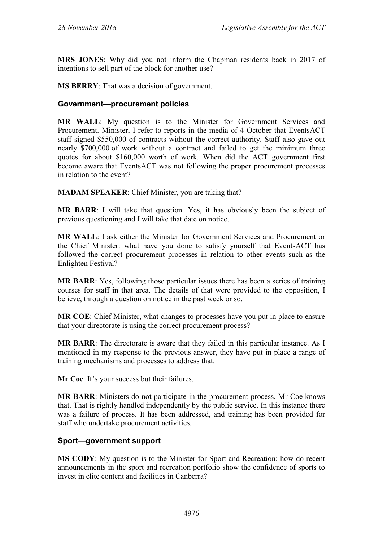**MRS JONES**: Why did you not inform the Chapman residents back in 2017 of intentions to sell part of the block for another use?

**MS BERRY**: That was a decision of government.

#### **Government—procurement policies**

**MR WALL**: My question is to the Minister for Government Services and Procurement. Minister, I refer to reports in the media of 4 October that EventsACT staff signed \$550,000 of contracts without the correct authority. Staff also gave out nearly \$700,000 of work without a contract and failed to get the minimum three quotes for about \$160,000 worth of work. When did the ACT government first become aware that EventsACT was not following the proper procurement processes in relation to the event?

**MADAM SPEAKER**: Chief Minister, you are taking that?

**MR BARR**: I will take that question. Yes, it has obviously been the subject of previous questioning and I will take that date on notice.

**MR WALL**: I ask either the Minister for Government Services and Procurement or the Chief Minister: what have you done to satisfy yourself that EventsACT has followed the correct procurement processes in relation to other events such as the Enlighten Festival?

**MR BARR**: Yes, following those particular issues there has been a series of training courses for staff in that area. The details of that were provided to the opposition, I believe, through a question on notice in the past week or so.

**MR COE**: Chief Minister, what changes to processes have you put in place to ensure that your directorate is using the correct procurement process?

**MR BARR**: The directorate is aware that they failed in this particular instance. As I mentioned in my response to the previous answer, they have put in place a range of training mechanisms and processes to address that.

**Mr Coe**: It's your success but their failures.

**MR BARR**: Ministers do not participate in the procurement process. Mr Coe knows that. That is rightly handled independently by the public service. In this instance there was a failure of process. It has been addressed, and training has been provided for staff who undertake procurement activities.

## **Sport—government support**

**MS CODY**: My question is to the Minister for Sport and Recreation: how do recent announcements in the sport and recreation portfolio show the confidence of sports to invest in elite content and facilities in Canberra?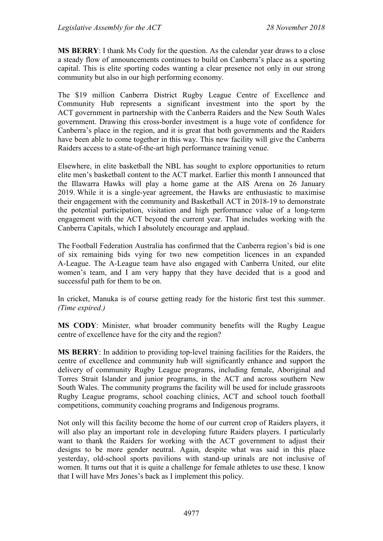**MS BERRY**: I thank Ms Cody for the question. As the calendar year draws to a close a steady flow of announcements continues to build on Canberra's place as a sporting capital. This is elite sporting codes wanting a clear presence not only in our strong community but also in our high performing economy.

The \$19 million Canberra District Rugby League Centre of Excellence and Community Hub represents a significant investment into the sport by the ACT government in partnership with the Canberra Raiders and the New South Wales government. Drawing this cross-border investment is a huge vote of confidence for Canberra's place in the region, and it is great that both governments and the Raiders have been able to come together in this way. This new facility will give the Canberra Raiders access to a state-of-the-art high performance training venue.

Elsewhere, in elite basketball the NBL has sought to explore opportunities to return elite men's basketball content to the ACT market. Earlier this month I announced that the Illawarra Hawks will play a home game at the AIS Arena on 26 January 2019. While it is a single-year agreement, the Hawks are enthusiastic to maximise their engagement with the community and Basketball ACT in 2018-19 to demonstrate the potential participation, visitation and high performance value of a long-term engagement with the ACT beyond the current year. That includes working with the Canberra Capitals, which I absolutely encourage and applaud.

The Football Federation Australia has confirmed that the Canberra region's bid is one of six remaining bids vying for two new competition licences in an expanded A-League. The A-League team have also engaged with Canberra United, our elite women's team, and I am very happy that they have decided that is a good and successful path for them to be on.

In cricket, Manuka is of course getting ready for the historic first test this summer. *(Time expired.)*

**MS CODY**: Minister, what broader community benefits will the Rugby League centre of excellence have for the city and the region?

**MS BERRY**: In addition to providing top-level training facilities for the Raiders, the centre of excellence and community hub will significantly enhance and support the delivery of community Rugby League programs, including female, Aboriginal and Torres Strait Islander and junior programs, in the ACT and across southern New South Wales. The community programs the facility will be used for include grassroots Rugby League programs, school coaching clinics, ACT and school touch football competitions, community coaching programs and Indigenous programs.

Not only will this facility become the home of our current crop of Raiders players, it will also play an important role in developing future Raiders players. I particularly want to thank the Raiders for working with the ACT government to adjust their designs to be more gender neutral. Again, despite what was said in this place yesterday, old-school sports pavilions with stand-up urinals are not inclusive of women. It turns out that it is quite a challenge for female athletes to use these. I know that I will have Mrs Jones's back as I implement this policy.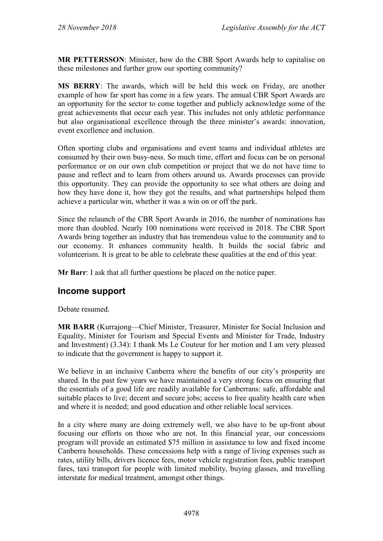**MR PETTERSSON**: Minister, how do the CBR Sport Awards help to capitalise on these milestones and further grow our sporting community?

**MS BERRY**: The awards, which will be held this week on Friday, are another example of how far sport has come in a few years. The annual CBR Sport Awards are an opportunity for the sector to come together and publicly acknowledge some of the great achievements that occur each year. This includes not only athletic performance but also organisational excellence through the three minister's awards: innovation, event excellence and inclusion.

Often sporting clubs and organisations and event teams and individual athletes are consumed by their own busy-ness. So much time, effort and focus can be on personal performance or on our own club competition or project that we do not have time to pause and reflect and to learn from others around us. Awards processes can provide this opportunity. They can provide the opportunity to see what others are doing and how they have done it, how they got the results, and what partnerships helped them achieve a particular win, whether it was a win on or off the park.

Since the relaunch of the CBR Sport Awards in 2016, the number of nominations has more than doubled. Nearly 100 nominations were received in 2018. The CBR Sport Awards bring together an industry that has tremendous value to the community and to our economy. It enhances community health. It builds the social fabric and volunteerism. It is great to be able to celebrate these qualities at the end of this year.

**Mr Barr**: I ask that all further questions be placed on the notice paper.

# **Income support**

Debate resumed.

**MR BARR** (Kurrajong—Chief Minister, Treasurer, Minister for Social Inclusion and Equality, Minister for Tourism and Special Events and Minister for Trade, Industry and Investment) (3.34): I thank Ms Le Couteur for her motion and I am very pleased to indicate that the government is happy to support it.

We believe in an inclusive Canberra where the benefits of our city's prosperity are shared. In the past few years we have maintained a very strong focus on ensuring that the essentials of a good life are readily available for Canberrans: safe, affordable and suitable places to live; decent and secure jobs; access to free quality health care when and where it is needed; and good education and other reliable local services.

In a city where many are doing extremely well, we also have to be up-front about focusing our efforts on those who are not. In this financial year, our concessions program will provide an estimated \$75 million in assistance to low and fixed income Canberra households. These concessions help with a range of living expenses such as rates, utility bills, drivers licence fees, motor vehicle registration fees, public transport fares, taxi transport for people with limited mobility, buying glasses, and travelling interstate for medical treatment, amongst other things.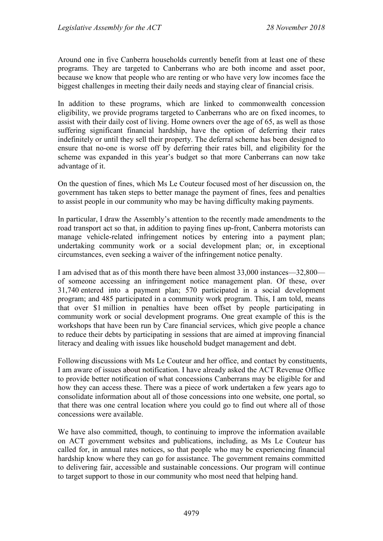Around one in five Canberra households currently benefit from at least one of these programs. They are targeted to Canberrans who are both income and asset poor, because we know that people who are renting or who have very low incomes face the biggest challenges in meeting their daily needs and staying clear of financial crisis.

In addition to these programs, which are linked to commonwealth concession eligibility, we provide programs targeted to Canberrans who are on fixed incomes, to assist with their daily cost of living. Home owners over the age of 65, as well as those suffering significant financial hardship, have the option of deferring their rates indefinitely or until they sell their property. The deferral scheme has been designed to ensure that no-one is worse off by deferring their rates bill, and eligibility for the scheme was expanded in this year's budget so that more Canberrans can now take advantage of it.

On the question of fines, which Ms Le Couteur focused most of her discussion on, the government has taken steps to better manage the payment of fines, fees and penalties to assist people in our community who may be having difficulty making payments.

In particular, I draw the Assembly's attention to the recently made amendments to the road transport act so that, in addition to paying fines up-front, Canberra motorists can manage vehicle-related infringement notices by entering into a payment plan; undertaking community work or a social development plan; or, in exceptional circumstances, even seeking a waiver of the infringement notice penalty.

I am advised that as of this month there have been almost 33,000 instances—32,800 of someone accessing an infringement notice management plan. Of these, over 31,740 entered into a payment plan; 570 participated in a social development program; and 485 participated in a community work program. This, I am told, means that over \$1 million in penalties have been offset by people participating in community work or social development programs. One great example of this is the workshops that have been run by Care financial services, which give people a chance to reduce their debts by participating in sessions that are aimed at improving financial literacy and dealing with issues like household budget management and debt.

Following discussions with Ms Le Couteur and her office, and contact by constituents, I am aware of issues about notification. I have already asked the ACT Revenue Office to provide better notification of what concessions Canberrans may be eligible for and how they can access these. There was a piece of work undertaken a few years ago to consolidate information about all of those concessions into one website, one portal, so that there was one central location where you could go to find out where all of those concessions were available.

We have also committed, though, to continuing to improve the information available on ACT government websites and publications, including, as Ms Le Couteur has called for, in annual rates notices, so that people who may be experiencing financial hardship know where they can go for assistance. The government remains committed to delivering fair, accessible and sustainable concessions. Our program will continue to target support to those in our community who most need that helping hand.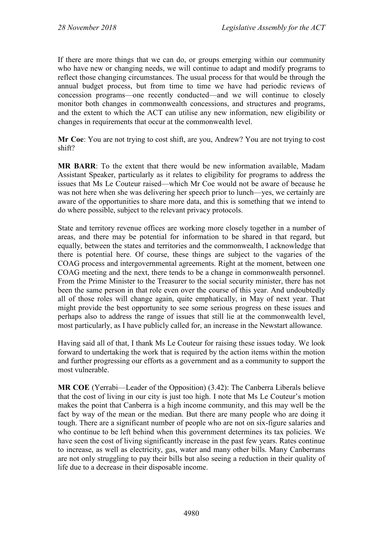If there are more things that we can do, or groups emerging within our community who have new or changing needs, we will continue to adapt and modify programs to reflect those changing circumstances. The usual process for that would be through the annual budget process, but from time to time we have had periodic reviews of concession programs—one recently conducted—and we will continue to closely monitor both changes in commonwealth concessions, and structures and programs, and the extent to which the ACT can utilise any new information, new eligibility or changes in requirements that occur at the commonwealth level.

**Mr Coe**: You are not trying to cost shift, are you, Andrew? You are not trying to cost shift?

**MR BARR**: To the extent that there would be new information available, Madam Assistant Speaker, particularly as it relates to eligibility for programs to address the issues that Ms Le Couteur raised—which Mr Coe would not be aware of because he was not here when she was delivering her speech prior to lunch—yes, we certainly are aware of the opportunities to share more data, and this is something that we intend to do where possible, subject to the relevant privacy protocols.

State and territory revenue offices are working more closely together in a number of areas, and there may be potential for information to be shared in that regard, but equally, between the states and territories and the commonwealth, I acknowledge that there is potential here. Of course, these things are subject to the vagaries of the COAG process and intergovernmental agreements. Right at the moment, between one COAG meeting and the next, there tends to be a change in commonwealth personnel. From the Prime Minister to the Treasurer to the social security minister, there has not been the same person in that role even over the course of this year. And undoubtedly all of those roles will change again, quite emphatically, in May of next year. That might provide the best opportunity to see some serious progress on these issues and perhaps also to address the range of issues that still lie at the commonwealth level, most particularly, as I have publicly called for, an increase in the Newstart allowance.

Having said all of that, I thank Ms Le Couteur for raising these issues today. We look forward to undertaking the work that is required by the action items within the motion and further progressing our efforts as a government and as a community to support the most vulnerable.

**MR COE** (Yerrabi—Leader of the Opposition) (3.42): The Canberra Liberals believe that the cost of living in our city is just too high. I note that Ms Le Couteur's motion makes the point that Canberra is a high income community, and this may well be the fact by way of the mean or the median. But there are many people who are doing it tough. There are a significant number of people who are not on six-figure salaries and who continue to be left behind when this government determines its tax policies. We have seen the cost of living significantly increase in the past few years. Rates continue to increase, as well as electricity, gas, water and many other bills. Many Canberrans are not only struggling to pay their bills but also seeing a reduction in their quality of life due to a decrease in their disposable income.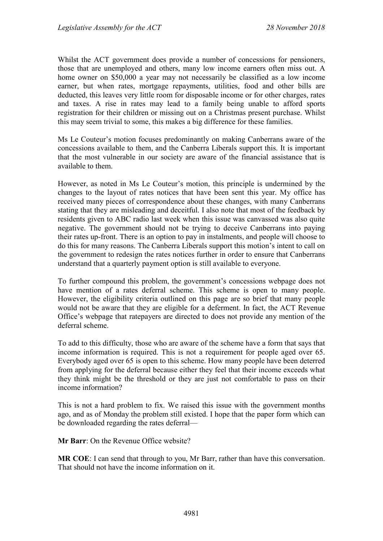Whilst the ACT government does provide a number of concessions for pensioners, those that are unemployed and others, many low income earners often miss out. A home owner on \$50,000 a year may not necessarily be classified as a low income earner, but when rates, mortgage repayments, utilities, food and other bills are deducted, this leaves very little room for disposable income or for other charges, rates and taxes. A rise in rates may lead to a family being unable to afford sports registration for their children or missing out on a Christmas present purchase. Whilst this may seem trivial to some, this makes a big difference for these families.

Ms Le Couteur's motion focuses predominantly on making Canberrans aware of the concessions available to them, and the Canberra Liberals support this. It is important that the most vulnerable in our society are aware of the financial assistance that is available to them.

However, as noted in Ms Le Couteur's motion, this principle is undermined by the changes to the layout of rates notices that have been sent this year. My office has received many pieces of correspondence about these changes, with many Canberrans stating that they are misleading and deceitful. I also note that most of the feedback by residents given to ABC radio last week when this issue was canvassed was also quite negative. The government should not be trying to deceive Canberrans into paying their rates up-front. There is an option to pay in instalments, and people will choose to do this for many reasons. The Canberra Liberals support this motion's intent to call on the government to redesign the rates notices further in order to ensure that Canberrans understand that a quarterly payment option is still available to everyone.

To further compound this problem, the government's concessions webpage does not have mention of a rates deferral scheme. This scheme is open to many people. However, the eligibility criteria outlined on this page are so brief that many people would not be aware that they are eligible for a deferment. In fact, the ACT Revenue Office's webpage that ratepayers are directed to does not provide any mention of the deferral scheme.

To add to this difficulty, those who are aware of the scheme have a form that says that income information is required. This is not a requirement for people aged over 65. Everybody aged over 65 is open to this scheme. How many people have been deterred from applying for the deferral because either they feel that their income exceeds what they think might be the threshold or they are just not comfortable to pass on their income information?

This is not a hard problem to fix. We raised this issue with the government months ago, and as of Monday the problem still existed. I hope that the paper form which can be downloaded regarding the rates deferral—

**Mr Barr**: On the Revenue Office website?

**MR COE**: I can send that through to you, Mr Barr, rather than have this conversation. That should not have the income information on it.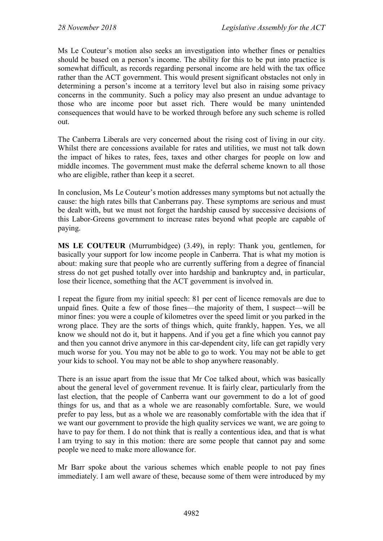Ms Le Couteur's motion also seeks an investigation into whether fines or penalties should be based on a person's income. The ability for this to be put into practice is somewhat difficult, as records regarding personal income are held with the tax office rather than the ACT government. This would present significant obstacles not only in determining a person's income at a territory level but also in raising some privacy concerns in the community. Such a policy may also present an undue advantage to those who are income poor but asset rich. There would be many unintended consequences that would have to be worked through before any such scheme is rolled out.

The Canberra Liberals are very concerned about the rising cost of living in our city. Whilst there are concessions available for rates and utilities, we must not talk down the impact of hikes to rates, fees, taxes and other charges for people on low and middle incomes. The government must make the deferral scheme known to all those who are eligible, rather than keep it a secret.

In conclusion, Ms Le Couteur's motion addresses many symptoms but not actually the cause: the high rates bills that Canberrans pay. These symptoms are serious and must be dealt with, but we must not forget the hardship caused by successive decisions of this Labor-Greens government to increase rates beyond what people are capable of paying.

**MS LE COUTEUR** (Murrumbidgee) (3.49), in reply: Thank you, gentlemen, for basically your support for low income people in Canberra. That is what my motion is about: making sure that people who are currently suffering from a degree of financial stress do not get pushed totally over into hardship and bankruptcy and, in particular, lose their licence, something that the ACT government is involved in.

I repeat the figure from my initial speech: 81 per cent of licence removals are due to unpaid fines. Quite a few of those fines—the majority of them, I suspect—will be minor fines: you were a couple of kilometres over the speed limit or you parked in the wrong place. They are the sorts of things which, quite frankly, happen. Yes, we all know we should not do it, but it happens. And if you get a fine which you cannot pay and then you cannot drive anymore in this car-dependent city, life can get rapidly very much worse for you. You may not be able to go to work. You may not be able to get your kids to school. You may not be able to shop anywhere reasonably.

There is an issue apart from the issue that Mr Coe talked about, which was basically about the general level of government revenue. It is fairly clear, particularly from the last election, that the people of Canberra want our government to do a lot of good things for us, and that as a whole we are reasonably comfortable. Sure, we would prefer to pay less, but as a whole we are reasonably comfortable with the idea that if we want our government to provide the high quality services we want, we are going to have to pay for them. I do not think that is really a contentious idea, and that is what I am trying to say in this motion: there are some people that cannot pay and some people we need to make more allowance for.

Mr Barr spoke about the various schemes which enable people to not pay fines immediately. I am well aware of these, because some of them were introduced by my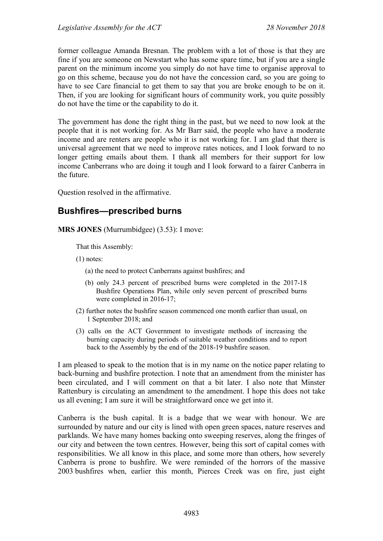former colleague Amanda Bresnan. The problem with a lot of those is that they are fine if you are someone on Newstart who has some spare time, but if you are a single parent on the minimum income you simply do not have time to organise approval to go on this scheme, because you do not have the concession card, so you are going to have to see Care financial to get them to say that you are broke enough to be on it. Then, if you are looking for significant hours of community work, you quite possibly do not have the time or the capability to do it.

The government has done the right thing in the past, but we need to now look at the people that it is not working for. As Mr Barr said, the people who have a moderate income and are renters are people who it is not working for. I am glad that there is universal agreement that we need to improve rates notices, and I look forward to no longer getting emails about them. I thank all members for their support for low income Canberrans who are doing it tough and I look forward to a fairer Canberra in the future.

Question resolved in the affirmative.

# **Bushfires—prescribed burns**

**MRS JONES** (Murrumbidgee) (3.53): I move:

That this Assembly:

- (1) notes:
	- (a) the need to protect Canberrans against bushfires; and
	- (b) only 24.3 percent of prescribed burns were completed in the 2017-18 Bushfire Operations Plan, while only seven percent of prescribed burns were completed in 2016-17;
- (2) further notes the bushfire season commenced one month earlier than usual, on 1 September 2018; and
- (3) calls on the ACT Government to investigate methods of increasing the burning capacity during periods of suitable weather conditions and to report back to the Assembly by the end of the 2018-19 bushfire season.

I am pleased to speak to the motion that is in my name on the notice paper relating to back-burning and bushfire protection. I note that an amendment from the minister has been circulated, and I will comment on that a bit later. I also note that Minster Rattenbury is circulating an amendment to the amendment. I hope this does not take us all evening; I am sure it will be straightforward once we get into it.

Canberra is the bush capital. It is a badge that we wear with honour. We are surrounded by nature and our city is lined with open green spaces, nature reserves and parklands. We have many homes backing onto sweeping reserves, along the fringes of our city and between the town centres. However, being this sort of capital comes with responsibilities. We all know in this place, and some more than others, how severely Canberra is prone to bushfire. We were reminded of the horrors of the massive 2003 bushfires when, earlier this month, Pierces Creek was on fire, just eight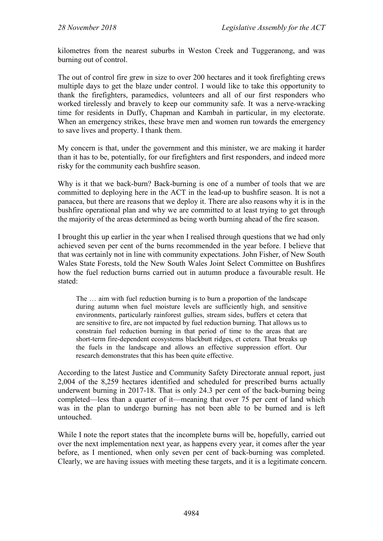kilometres from the nearest suburbs in Weston Creek and Tuggeranong, and was burning out of control.

The out of control fire grew in size to over 200 hectares and it took firefighting crews multiple days to get the blaze under control. I would like to take this opportunity to thank the firefighters, paramedics, volunteers and all of our first responders who worked tirelessly and bravely to keep our community safe. It was a nerve-wracking time for residents in Duffy, Chapman and Kambah in particular, in my electorate. When an emergency strikes, these brave men and women run towards the emergency to save lives and property. I thank them.

My concern is that, under the government and this minister, we are making it harder than it has to be, potentially, for our firefighters and first responders, and indeed more risky for the community each bushfire season.

Why is it that we back-burn? Back-burning is one of a number of tools that we are committed to deploying here in the ACT in the lead-up to bushfire season. It is not a panacea, but there are reasons that we deploy it. There are also reasons why it is in the bushfire operational plan and why we are committed to at least trying to get through the majority of the areas determined as being worth burning ahead of the fire season.

I brought this up earlier in the year when I realised through questions that we had only achieved seven per cent of the burns recommended in the year before. I believe that that was certainly not in line with community expectations. John Fisher, of New South Wales State Forests, told the New South Wales Joint Select Committee on Bushfires how the fuel reduction burns carried out in autumn produce a favourable result. He stated:

The … aim with fuel reduction burning is to burn a proportion of the landscape during autumn when fuel moisture levels are sufficiently high, and sensitive environments, particularly rainforest gullies, stream sides, buffers et cetera that are sensitive to fire, are not impacted by fuel reduction burning. That allows us to constrain fuel reduction burning in that period of time to the areas that are short-term fire-dependent ecosystems blackbutt ridges, et cetera. That breaks up the fuels in the landscape and allows an effective suppression effort. Our research demonstrates that this has been quite effective.

According to the latest Justice and Community Safety Directorate annual report, just 2,004 of the 8,259 hectares identified and scheduled for prescribed burns actually underwent burning in 2017-18. That is only 24.3 per cent of the back-burning being completed—less than a quarter of it—meaning that over 75 per cent of land which was in the plan to undergo burning has not been able to be burned and is left untouched.

While I note the report states that the incomplete burns will be, hopefully, carried out over the next implementation next year, as happens every year, it comes after the year before, as I mentioned, when only seven per cent of back-burning was completed. Clearly, we are having issues with meeting these targets, and it is a legitimate concern.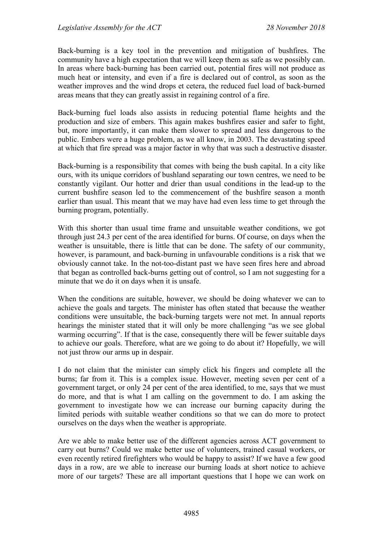Back-burning is a key tool in the prevention and mitigation of bushfires. The community have a high expectation that we will keep them as safe as we possibly can. In areas where back-burning has been carried out, potential fires will not produce as much heat or intensity, and even if a fire is declared out of control, as soon as the weather improves and the wind drops et cetera, the reduced fuel load of back-burned areas means that they can greatly assist in regaining control of a fire.

Back-burning fuel loads also assists in reducing potential flame heights and the production and size of embers. This again makes bushfires easier and safer to fight, but, more importantly, it can make them slower to spread and less dangerous to the public. Embers were a huge problem, as we all know, in 2003. The devastating speed at which that fire spread was a major factor in why that was such a destructive disaster.

Back-burning is a responsibility that comes with being the bush capital. In a city like ours, with its unique corridors of bushland separating our town centres, we need to be constantly vigilant. Our hotter and drier than usual conditions in the lead-up to the current bushfire season led to the commencement of the bushfire season a month earlier than usual. This meant that we may have had even less time to get through the burning program, potentially.

With this shorter than usual time frame and unsuitable weather conditions, we got through just 24.3 per cent of the area identified for burns. Of course, on days when the weather is unsuitable, there is little that can be done. The safety of our community, however, is paramount, and back-burning in unfavourable conditions is a risk that we obviously cannot take. In the not-too-distant past we have seen fires here and abroad that began as controlled back-burns getting out of control, so I am not suggesting for a minute that we do it on days when it is unsafe.

When the conditions are suitable, however, we should be doing whatever we can to achieve the goals and targets. The minister has often stated that because the weather conditions were unsuitable, the back-burning targets were not met. In annual reports hearings the minister stated that it will only be more challenging "as we see global warming occurring". If that is the case, consequently there will be fewer suitable days to achieve our goals. Therefore, what are we going to do about it? Hopefully, we will not just throw our arms up in despair.

I do not claim that the minister can simply click his fingers and complete all the burns; far from it. This is a complex issue. However, meeting seven per cent of a government target, or only 24 per cent of the area identified, to me, says that we must do more, and that is what I am calling on the government to do. I am asking the government to investigate how we can increase our burning capacity during the limited periods with suitable weather conditions so that we can do more to protect ourselves on the days when the weather is appropriate.

Are we able to make better use of the different agencies across ACT government to carry out burns? Could we make better use of volunteers, trained casual workers, or even recently retired firefighters who would be happy to assist? If we have a few good days in a row, are we able to increase our burning loads at short notice to achieve more of our targets? These are all important questions that I hope we can work on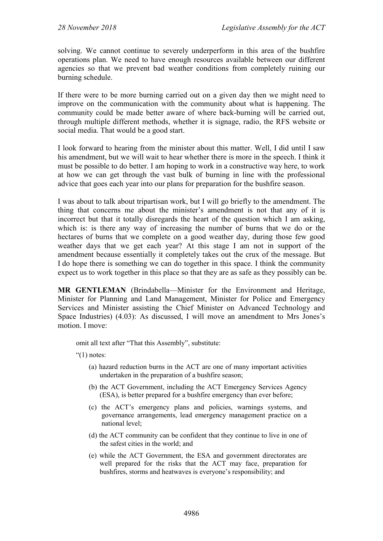solving. We cannot continue to severely underperform in this area of the bushfire operations plan. We need to have enough resources available between our different agencies so that we prevent bad weather conditions from completely ruining our burning schedule.

If there were to be more burning carried out on a given day then we might need to improve on the communication with the community about what is happening. The community could be made better aware of where back-burning will be carried out, through multiple different methods, whether it is signage, radio, the RFS website or social media. That would be a good start.

I look forward to hearing from the minister about this matter. Well, I did until I saw his amendment, but we will wait to hear whether there is more in the speech. I think it must be possible to do better. I am hoping to work in a constructive way here, to work at how we can get through the vast bulk of burning in line with the professional advice that goes each year into our plans for preparation for the bushfire season.

I was about to talk about tripartisan work, but I will go briefly to the amendment. The thing that concerns me about the minister's amendment is not that any of it is incorrect but that it totally disregards the heart of the question which I am asking, which is: is there any way of increasing the number of burns that we do or the hectares of burns that we complete on a good weather day, during those few good weather days that we get each year? At this stage I am not in support of the amendment because essentially it completely takes out the crux of the message. But I do hope there is something we can do together in this space. I think the community expect us to work together in this place so that they are as safe as they possibly can be.

**MR GENTLEMAN** (Brindabella—Minister for the Environment and Heritage, Minister for Planning and Land Management, Minister for Police and Emergency Services and Minister assisting the Chief Minister on Advanced Technology and Space Industries) (4.03): As discussed, I will move an amendment to Mrs Jones's motion. I move:

omit all text after "That this Assembly", substitute:

" $(1)$  notes:

- (a) hazard reduction burns in the ACT are one of many important activities undertaken in the preparation of a bushfire season;
- (b) the ACT Government, including the ACT Emergency Services Agency (ESA), is better prepared for a bushfire emergency than ever before;
- (c) the ACT's emergency plans and policies, warnings systems, and governance arrangements, lead emergency management practice on a national level;
- (d) the ACT community can be confident that they continue to live in one of the safest cities in the world; and
- (e) while the ACT Government, the ESA and government directorates are well prepared for the risks that the ACT may face, preparation for bushfires, storms and heatwaves is everyone's responsibility; and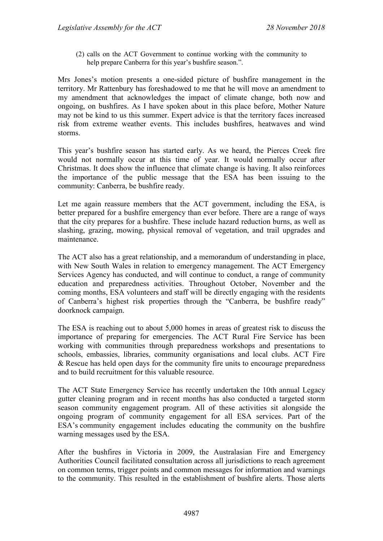(2) calls on the ACT Government to continue working with the community to help prepare Canberra for this year's bushfire season.".

Mrs Jones's motion presents a one-sided picture of bushfire management in the territory. Mr Rattenbury has foreshadowed to me that he will move an amendment to my amendment that acknowledges the impact of climate change, both now and ongoing, on bushfires. As I have spoken about in this place before, Mother Nature may not be kind to us this summer. Expert advice is that the territory faces increased risk from extreme weather events. This includes bushfires, heatwaves and wind storms.

This year's bushfire season has started early. As we heard, the Pierces Creek fire would not normally occur at this time of year. It would normally occur after Christmas. It does show the influence that climate change is having. It also reinforces the importance of the public message that the ESA has been issuing to the community: Canberra, be bushfire ready.

Let me again reassure members that the ACT government, including the ESA, is better prepared for a bushfire emergency than ever before. There are a range of ways that the city prepares for a bushfire. These include hazard reduction burns, as well as slashing, grazing, mowing, physical removal of vegetation, and trail upgrades and maintenance.

The ACT also has a great relationship, and a memorandum of understanding in place, with New South Wales in relation to emergency management. The ACT Emergency Services Agency has conducted, and will continue to conduct, a range of community education and preparedness activities. Throughout October, November and the coming months, ESA volunteers and staff will be directly engaging with the residents of Canberra's highest risk properties through the "Canberra, be bushfire ready" doorknock campaign.

The ESA is reaching out to about 5,000 homes in areas of greatest risk to discuss the importance of preparing for emergencies. The ACT Rural Fire Service has been working with communities through preparedness workshops and presentations to schools, embassies, libraries, community organisations and local clubs. ACT Fire & Rescue has held open days for the community fire units to encourage preparedness and to build recruitment for this valuable resource.

The ACT State Emergency Service has recently undertaken the 10th annual Legacy gutter cleaning program and in recent months has also conducted a targeted storm season community engagement program. All of these activities sit alongside the ongoing program of community engagement for all ESA services. Part of the ESA's community engagement includes educating the community on the bushfire warning messages used by the ESA.

After the bushfires in Victoria in 2009, the Australasian Fire and Emergency Authorities Council facilitated consultation across all jurisdictions to reach agreement on common terms, trigger points and common messages for information and warnings to the community. This resulted in the establishment of bushfire alerts. Those alerts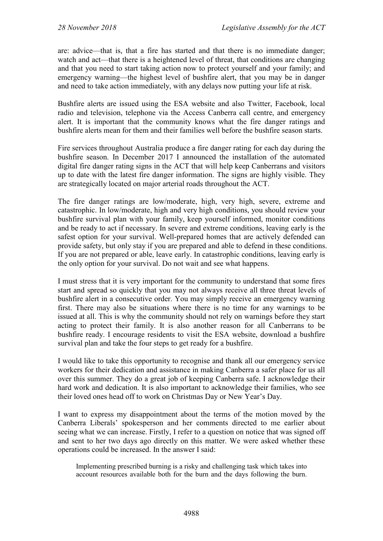are: advice—that is, that a fire has started and that there is no immediate danger; watch and act—that there is a heightened level of threat, that conditions are changing and that you need to start taking action now to protect yourself and your family; and emergency warning—the highest level of bushfire alert, that you may be in danger and need to take action immediately, with any delays now putting your life at risk.

Bushfire alerts are issued using the ESA website and also Twitter, Facebook, local radio and television, telephone via the Access Canberra call centre, and emergency alert. It is important that the community knows what the fire danger ratings and bushfire alerts mean for them and their families well before the bushfire season starts.

Fire services throughout Australia produce a fire danger rating for each day during the bushfire season. In December 2017 I announced the installation of the automated digital fire danger rating signs in the ACT that will help keep Canberrans and visitors up to date with the latest fire danger information. The signs are highly visible. They are strategically located on major arterial roads throughout the ACT.

The fire danger ratings are low/moderate, high, very high, severe, extreme and catastrophic. In low/moderate, high and very high conditions, you should review your bushfire survival plan with your family, keep yourself informed, monitor conditions and be ready to act if necessary. In severe and extreme conditions, leaving early is the safest option for your survival. Well-prepared homes that are actively defended can provide safety, but only stay if you are prepared and able to defend in these conditions. If you are not prepared or able, leave early. In catastrophic conditions, leaving early is the only option for your survival. Do not wait and see what happens.

I must stress that it is very important for the community to understand that some fires start and spread so quickly that you may not always receive all three threat levels of bushfire alert in a consecutive order. You may simply receive an emergency warning first. There may also be situations where there is no time for any warnings to be issued at all. This is why the community should not rely on warnings before they start acting to protect their family. It is also another reason for all Canberrans to be bushfire ready. I encourage residents to visit the ESA website, download a bushfire survival plan and take the four steps to get ready for a bushfire.

I would like to take this opportunity to recognise and thank all our emergency service workers for their dedication and assistance in making Canberra a safer place for us all over this summer. They do a great job of keeping Canberra safe. I acknowledge their hard work and dedication. It is also important to acknowledge their families, who see their loved ones head off to work on Christmas Day or New Year's Day.

I want to express my disappointment about the terms of the motion moved by the Canberra Liberals' spokesperson and her comments directed to me earlier about seeing what we can increase. Firstly, I refer to a question on notice that was signed off and sent to her two days ago directly on this matter. We were asked whether these operations could be increased. In the answer I said:

Implementing prescribed burning is a risky and challenging task which takes into account resources available both for the burn and the days following the burn.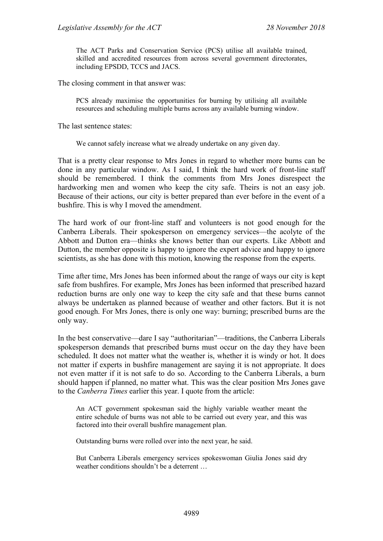The ACT Parks and Conservation Service (PCS) utilise all available trained, skilled and accredited resources from across several government directorates, including EPSDD, TCCS and JACS.

The closing comment in that answer was:

PCS already maximise the opportunities for burning by utilising all available resources and scheduling multiple burns across any available burning window.

The last sentence states:

We cannot safely increase what we already undertake on any given day.

That is a pretty clear response to Mrs Jones in regard to whether more burns can be done in any particular window. As I said, I think the hard work of front-line staff should be remembered. I think the comments from Mrs Jones disrespect the hardworking men and women who keep the city safe. Theirs is not an easy job. Because of their actions, our city is better prepared than ever before in the event of a bushfire. This is why I moved the amendment.

The hard work of our front-line staff and volunteers is not good enough for the Canberra Liberals. Their spokesperson on emergency services—the acolyte of the Abbott and Dutton era—thinks she knows better than our experts. Like Abbott and Dutton, the member opposite is happy to ignore the expert advice and happy to ignore scientists, as she has done with this motion, knowing the response from the experts.

Time after time, Mrs Jones has been informed about the range of ways our city is kept safe from bushfires. For example, Mrs Jones has been informed that prescribed hazard reduction burns are only one way to keep the city safe and that these burns cannot always be undertaken as planned because of weather and other factors. But it is not good enough. For Mrs Jones, there is only one way: burning; prescribed burns are the only way.

In the best conservative—dare I say "authoritarian"—traditions, the Canberra Liberals spokesperson demands that prescribed burns must occur on the day they have been scheduled. It does not matter what the weather is, whether it is windy or hot. It does not matter if experts in bushfire management are saying it is not appropriate. It does not even matter if it is not safe to do so. According to the Canberra Liberals, a burn should happen if planned, no matter what. This was the clear position Mrs Jones gave to the *Canberra Times* earlier this year. I quote from the article:

An ACT government spokesman said the highly variable weather meant the entire schedule of burns was not able to be carried out every year, and this was factored into their overall bushfire management plan.

Outstanding burns were rolled over into the next year, he said.

But Canberra Liberals emergency services spokeswoman Giulia Jones said dry weather conditions shouldn't be a deterrent …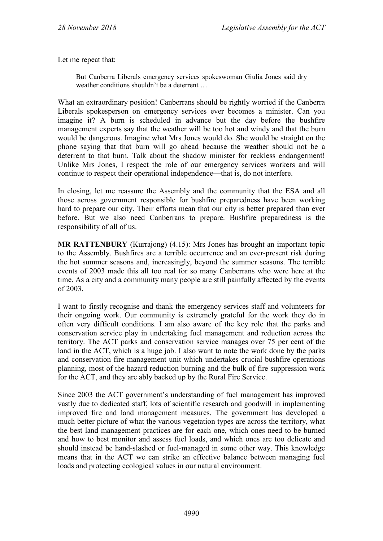Let me repeat that:

But Canberra Liberals emergency services spokeswoman Giulia Jones said dry weather conditions shouldn't be a deterrent …

What an extraordinary position! Canberrans should be rightly worried if the Canberra Liberals spokesperson on emergency services ever becomes a minister. Can you imagine it? A burn is scheduled in advance but the day before the bushfire management experts say that the weather will be too hot and windy and that the burn would be dangerous. Imagine what Mrs Jones would do. She would be straight on the phone saying that that burn will go ahead because the weather should not be a deterrent to that burn. Talk about the shadow minister for reckless endangerment! Unlike Mrs Jones, I respect the role of our emergency services workers and will continue to respect their operational independence—that is, do not interfere.

In closing, let me reassure the Assembly and the community that the ESA and all those across government responsible for bushfire preparedness have been working hard to prepare our city. Their efforts mean that our city is better prepared than ever before. But we also need Canberrans to prepare. Bushfire preparedness is the responsibility of all of us.

**MR RATTENBURY** (Kurrajong) (4.15): Mrs Jones has brought an important topic to the Assembly. Bushfires are a terrible occurrence and an ever-present risk during the hot summer seasons and, increasingly, beyond the summer seasons. The terrible events of 2003 made this all too real for so many Canberrans who were here at the time. As a city and a community many people are still painfully affected by the events of 2003.

I want to firstly recognise and thank the emergency services staff and volunteers for their ongoing work. Our community is extremely grateful for the work they do in often very difficult conditions. I am also aware of the key role that the parks and conservation service play in undertaking fuel management and reduction across the territory. The ACT parks and conservation service manages over 75 per cent of the land in the ACT, which is a huge job. I also want to note the work done by the parks and conservation fire management unit which undertakes crucial bushfire operations planning, most of the hazard reduction burning and the bulk of fire suppression work for the ACT, and they are ably backed up by the Rural Fire Service.

Since 2003 the ACT government's understanding of fuel management has improved vastly due to dedicated staff, lots of scientific research and goodwill in implementing improved fire and land management measures. The government has developed a much better picture of what the various vegetation types are across the territory, what the best land management practices are for each one, which ones need to be burned and how to best monitor and assess fuel loads, and which ones are too delicate and should instead be hand-slashed or fuel-managed in some other way. This knowledge means that in the ACT we can strike an effective balance between managing fuel loads and protecting ecological values in our natural environment.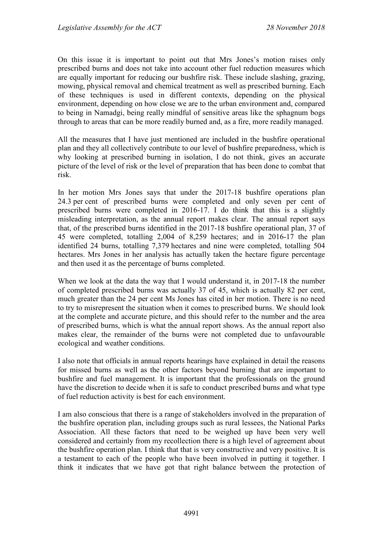On this issue it is important to point out that Mrs Jones's motion raises only prescribed burns and does not take into account other fuel reduction measures which are equally important for reducing our bushfire risk. These include slashing, grazing, mowing, physical removal and chemical treatment as well as prescribed burning. Each of these techniques is used in different contexts, depending on the physical environment, depending on how close we are to the urban environment and, compared to being in Namadgi, being really mindful of sensitive areas like the sphagnum bogs through to areas that can be more readily burned and, as a fire, more readily managed.

All the measures that I have just mentioned are included in the bushfire operational plan and they all collectively contribute to our level of bushfire preparedness, which is why looking at prescribed burning in isolation, I do not think, gives an accurate picture of the level of risk or the level of preparation that has been done to combat that risk.

In her motion Mrs Jones says that under the 2017-18 bushfire operations plan 24.3 per cent of prescribed burns were completed and only seven per cent of prescribed burns were completed in 2016-17. I do think that this is a slightly misleading interpretation, as the annual report makes clear. The annual report says that, of the prescribed burns identified in the 2017-18 bushfire operational plan, 37 of 45 were completed, totalling 2,004 of 8,259 hectares; and in 2016-17 the plan identified 24 burns, totalling 7,379 hectares and nine were completed, totalling 504 hectares. Mrs Jones in her analysis has actually taken the hectare figure percentage and then used it as the percentage of burns completed.

When we look at the data the way that I would understand it, in 2017-18 the number of completed prescribed burns was actually 37 of 45, which is actually 82 per cent, much greater than the 24 per cent Ms Jones has cited in her motion. There is no need to try to misrepresent the situation when it comes to prescribed burns. We should look at the complete and accurate picture, and this should refer to the number and the area of prescribed burns, which is what the annual report shows. As the annual report also makes clear, the remainder of the burns were not completed due to unfavourable ecological and weather conditions.

I also note that officials in annual reports hearings have explained in detail the reasons for missed burns as well as the other factors beyond burning that are important to bushfire and fuel management. It is important that the professionals on the ground have the discretion to decide when it is safe to conduct prescribed burns and what type of fuel reduction activity is best for each environment.

I am also conscious that there is a range of stakeholders involved in the preparation of the bushfire operation plan, including groups such as rural lessees, the National Parks Association. All these factors that need to be weighed up have been very well considered and certainly from my recollection there is a high level of agreement about the bushfire operation plan. I think that that is very constructive and very positive. It is a testament to each of the people who have been involved in putting it together. I think it indicates that we have got that right balance between the protection of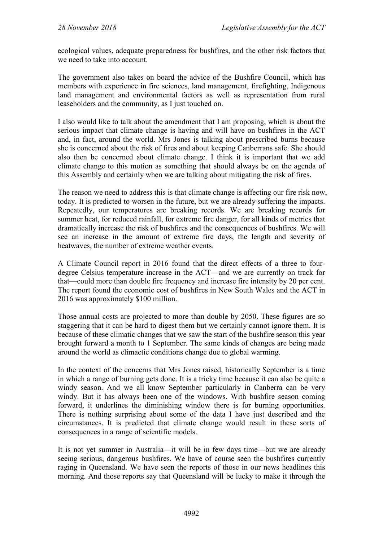ecological values, adequate preparedness for bushfires, and the other risk factors that we need to take into account.

The government also takes on board the advice of the Bushfire Council, which has members with experience in fire sciences, land management, firefighting, Indigenous land management and environmental factors as well as representation from rural leaseholders and the community, as I just touched on.

I also would like to talk about the amendment that I am proposing, which is about the serious impact that climate change is having and will have on bushfires in the ACT and, in fact, around the world. Mrs Jones is talking about prescribed burns because she is concerned about the risk of fires and about keeping Canberrans safe. She should also then be concerned about climate change. I think it is important that we add climate change to this motion as something that should always be on the agenda of this Assembly and certainly when we are talking about mitigating the risk of fires.

The reason we need to address this is that climate change is affecting our fire risk now, today. It is predicted to worsen in the future, but we are already suffering the impacts. Repeatedly, our temperatures are breaking records. We are breaking records for summer heat, for reduced rainfall, for extreme fire danger, for all kinds of metrics that dramatically increase the risk of bushfires and the consequences of bushfires. We will see an increase in the amount of extreme fire days, the length and severity of heatwaves, the number of extreme weather events.

A Climate Council report in 2016 found that the direct effects of a three to fourdegree Celsius temperature increase in the ACT—and we are currently on track for that—could more than double fire frequency and increase fire intensity by 20 per cent. The report found the economic cost of bushfires in New South Wales and the ACT in 2016 was approximately \$100 million.

Those annual costs are projected to more than double by 2050. These figures are so staggering that it can be hard to digest them but we certainly cannot ignore them. It is because of these climatic changes that we saw the start of the bushfire season this year brought forward a month to 1 September. The same kinds of changes are being made around the world as climactic conditions change due to global warming.

In the context of the concerns that Mrs Jones raised, historically September is a time in which a range of burning gets done. It is a tricky time because it can also be quite a windy season. And we all know September particularly in Canberra can be very windy. But it has always been one of the windows. With bushfire season coming forward, it underlines the diminishing window there is for burning opportunities. There is nothing surprising about some of the data I have just described and the circumstances. It is predicted that climate change would result in these sorts of consequences in a range of scientific models.

It is not yet summer in Australia—it will be in few days time—but we are already seeing serious, dangerous bushfires. We have of course seen the bushfires currently raging in Queensland. We have seen the reports of those in our news headlines this morning. And those reports say that Queensland will be lucky to make it through the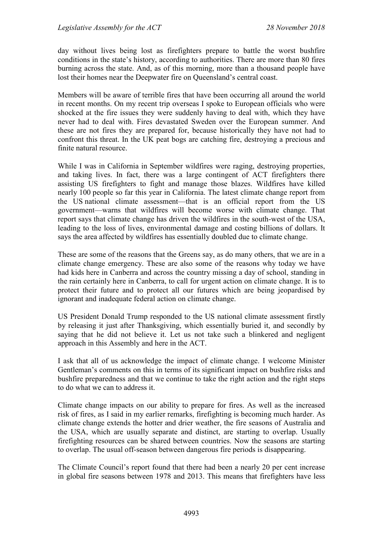day without lives being lost as firefighters prepare to battle the worst bushfire conditions in the state's history, according to authorities. There are more than 80 fires burning across the state. And, as of this morning, more than a thousand people have lost their homes near the Deepwater fire on Queensland's central coast.

Members will be aware of terrible fires that have been occurring all around the world in recent months. On my recent trip overseas I spoke to European officials who were shocked at the fire issues they were suddenly having to deal with, which they have never had to deal with. Fires devastated Sweden over the European summer. And these are not fires they are prepared for, because historically they have not had to confront this threat. In the UK peat bogs are catching fire, destroying a precious and finite natural resource.

While I was in California in September wildfires were raging, destroying properties, and taking lives. In fact, there was a large contingent of ACT firefighters there assisting US firefighters to fight and manage those blazes. Wildfires have killed nearly 100 people so far this year in California. The latest climate change report from the US national climate assessment—that is an official report from the US government—warns that wildfires will become worse with climate change. That report says that climate change has driven the wildfires in the south-west of the USA, leading to the loss of lives, environmental damage and costing billions of dollars. It says the area affected by wildfires has essentially doubled due to climate change.

These are some of the reasons that the Greens say, as do many others, that we are in a climate change emergency. These are also some of the reasons why today we have had kids here in Canberra and across the country missing a day of school, standing in the rain certainly here in Canberra, to call for urgent action on climate change. It is to protect their future and to protect all our futures which are being jeopardised by ignorant and inadequate federal action on climate change.

US President Donald Trump responded to the US national climate assessment firstly by releasing it just after Thanksgiving, which essentially buried it, and secondly by saying that he did not believe it. Let us not take such a blinkered and negligent approach in this Assembly and here in the ACT.

I ask that all of us acknowledge the impact of climate change. I welcome Minister Gentleman's comments on this in terms of its significant impact on bushfire risks and bushfire preparedness and that we continue to take the right action and the right steps to do what we can to address it.

Climate change impacts on our ability to prepare for fires. As well as the increased risk of fires, as I said in my earlier remarks, firefighting is becoming much harder. As climate change extends the hotter and drier weather, the fire seasons of Australia and the USA, which are usually separate and distinct, are starting to overlap. Usually firefighting resources can be shared between countries. Now the seasons are starting to overlap. The usual off-season between dangerous fire periods is disappearing.

The Climate Council's report found that there had been a nearly 20 per cent increase in global fire seasons between 1978 and 2013. This means that firefighters have less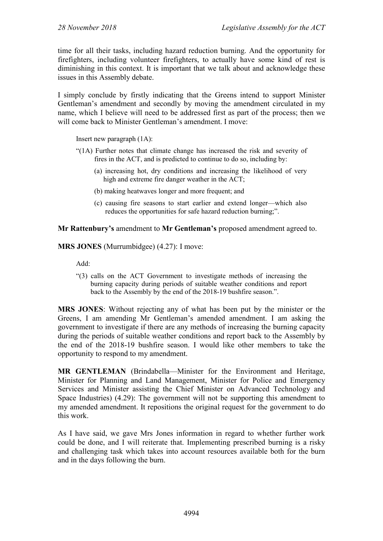time for all their tasks, including hazard reduction burning. And the opportunity for firefighters, including volunteer firefighters, to actually have some kind of rest is diminishing in this context. It is important that we talk about and acknowledge these issues in this Assembly debate.

I simply conclude by firstly indicating that the Greens intend to support Minister Gentleman's amendment and secondly by moving the amendment circulated in my name, which I believe will need to be addressed first as part of the process; then we will come back to Minister Gentleman's amendment. I move:

Insert new paragraph (1A):

- "(1A) Further notes that climate change has increased the risk and severity of fires in the ACT, and is predicted to continue to do so, including by:
	- (a) increasing hot, dry conditions and increasing the likelihood of very high and extreme fire danger weather in the ACT;
	- (b) making heatwaves longer and more frequent; and
	- (c) causing fire seasons to start earlier and extend longer—which also reduces the opportunities for safe hazard reduction burning;".

**Mr Rattenbury's** amendment to **Mr Gentleman's** proposed amendment agreed to.

**MRS JONES** (Murrumbidgee) (4.27): I move:

Add:

"(3) calls on the ACT Government to investigate methods of increasing the burning capacity during periods of suitable weather conditions and report back to the Assembly by the end of the 2018-19 bushfire season.".

**MRS JONES**: Without rejecting any of what has been put by the minister or the Greens, I am amending Mr Gentleman's amended amendment. I am asking the government to investigate if there are any methods of increasing the burning capacity during the periods of suitable weather conditions and report back to the Assembly by the end of the 2018-19 bushfire season. I would like other members to take the opportunity to respond to my amendment.

**MR GENTLEMAN** (Brindabella—Minister for the Environment and Heritage, Minister for Planning and Land Management, Minister for Police and Emergency Services and Minister assisting the Chief Minister on Advanced Technology and Space Industries) (4.29): The government will not be supporting this amendment to my amended amendment. It repositions the original request for the government to do this work.

As I have said, we gave Mrs Jones information in regard to whether further work could be done, and I will reiterate that. Implementing prescribed burning is a risky and challenging task which takes into account resources available both for the burn and in the days following the burn.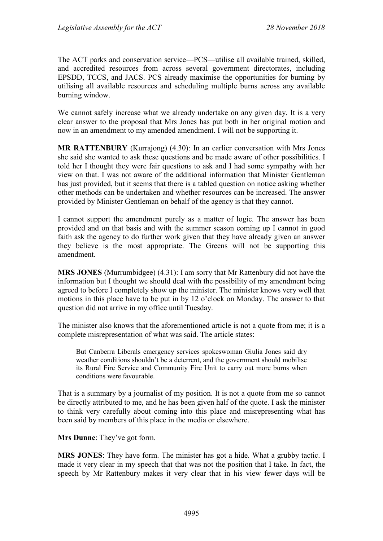The ACT parks and conservation service—PCS—utilise all available trained, skilled, and accredited resources from across several government directorates, including EPSDD, TCCS, and JACS. PCS already maximise the opportunities for burning by utilising all available resources and scheduling multiple burns across any available burning window.

We cannot safely increase what we already undertake on any given day. It is a very clear answer to the proposal that Mrs Jones has put both in her original motion and now in an amendment to my amended amendment. I will not be supporting it.

**MR RATTENBURY** (Kurrajong) (4.30): In an earlier conversation with Mrs Jones she said she wanted to ask these questions and be made aware of other possibilities. I told her I thought they were fair questions to ask and I had some sympathy with her view on that. I was not aware of the additional information that Minister Gentleman has just provided, but it seems that there is a tabled question on notice asking whether other methods can be undertaken and whether resources can be increased. The answer provided by Minister Gentleman on behalf of the agency is that they cannot.

I cannot support the amendment purely as a matter of logic. The answer has been provided and on that basis and with the summer season coming up I cannot in good faith ask the agency to do further work given that they have already given an answer they believe is the most appropriate. The Greens will not be supporting this amendment.

**MRS JONES** (Murrumbidgee) (4.31): I am sorry that Mr Rattenbury did not have the information but I thought we should deal with the possibility of my amendment being agreed to before I completely show up the minister. The minister knows very well that motions in this place have to be put in by 12 o'clock on Monday. The answer to that question did not arrive in my office until Tuesday.

The minister also knows that the aforementioned article is not a quote from me; it is a complete misrepresentation of what was said. The article states:

But Canberra Liberals emergency services spokeswoman Giulia Jones said dry weather conditions shouldn't be a deterrent, and the government should mobilise its Rural Fire Service and Community Fire Unit to carry out more burns when conditions were favourable.

That is a summary by a journalist of my position. It is not a quote from me so cannot be directly attributed to me, and he has been given half of the quote. I ask the minister to think very carefully about coming into this place and misrepresenting what has been said by members of this place in the media or elsewhere.

**Mrs Dunne**: They've got form.

**MRS JONES**: They have form. The minister has got a hide. What a grubby tactic. I made it very clear in my speech that that was not the position that I take. In fact, the speech by Mr Rattenbury makes it very clear that in his view fewer days will be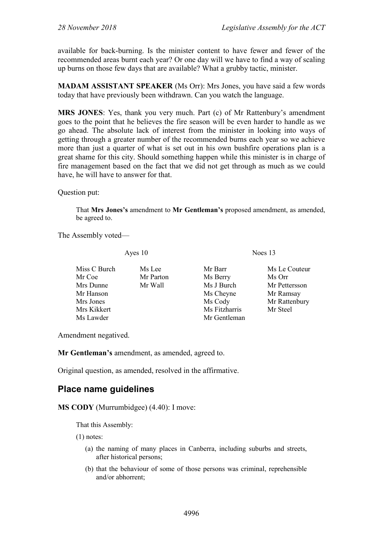available for back-burning. Is the minister content to have fewer and fewer of the recommended areas burnt each year? Or one day will we have to find a way of scaling up burns on those few days that are available? What a grubby tactic, minister.

**MADAM ASSISTANT SPEAKER** (Ms Orr): Mrs Jones, you have said a few words today that have previously been withdrawn. Can you watch the language.

**MRS JONES**: Yes, thank you very much. Part (c) of Mr Rattenbury's amendment goes to the point that he believes the fire season will be even harder to handle as we go ahead. The absolute lack of interest from the minister in looking into ways of getting through a greater number of the recommended burns each year so we achieve more than just a quarter of what is set out in his own bushfire operations plan is a great shame for this city. Should something happen while this minister is in charge of fire management based on the fact that we did not get through as much as we could have, he will have to answer for that.

Question put:

That **Mrs Jones's** amendment to **Mr Gentleman's** proposed amendment, as amended, be agreed to.

The Assembly voted—

Ayes 10 Noes 13

| Miss C Burch | Ms Lee    | Mr Barr       | Ms Le Couteur |
|--------------|-----------|---------------|---------------|
| Mr Coe       | Mr Parton | Ms Berry      | Ms Orr        |
| Mrs Dunne    | Mr Wall   | Ms J Burch    | Mr Pettersson |
| Mr Hanson    |           | Ms Cheyne     | Mr Ramsay     |
| Mrs Jones    |           | Ms Cody       | Mr Rattenbury |
| Mrs Kikkert  |           | Ms Fitzharris | Mr Steel      |
| Ms Lawder    |           | Mr Gentleman  |               |

Amendment negatived.

**Mr Gentleman's** amendment, as amended, agreed to.

Original question, as amended, resolved in the affirmative.

## **Place name guidelines**

**MS CODY** (Murrumbidgee)  $(4.40)$ : I move:

That this Assembly:

(1) notes:

- (a) the naming of many places in Canberra, including suburbs and streets, after historical persons;
- (b) that the behaviour of some of those persons was criminal, reprehensible and/or abhorrent;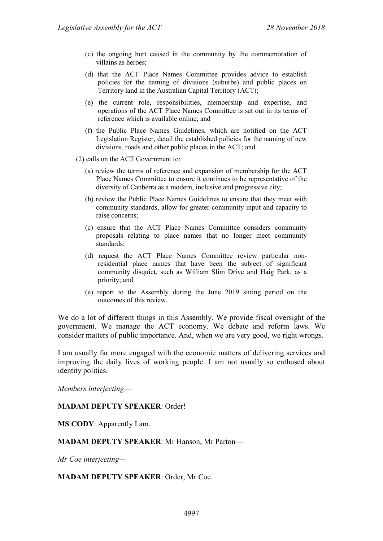- (c) the ongoing hurt caused in the community by the commemoration of villains as heroes;
- (d) that the ACT Place Names Committee provides advice to establish policies for the naming of divisions (suburbs) and public places on Territory land in the Australian Capital Territory (ACT);
- (e) the current role, responsibilities, membership and expertise, and operations of the ACT Place Names Committee is set out in its terms of reference which is available online; and
- (f) the Public Place Names Guidelines, which are notified on the ACT Legislation Register, detail the established policies for the naming of new divisions, roads and other public places in the ACT; and
- (2) calls on the ACT Government to:
	- (a) review the terms of reference and expansion of membership for the ACT Place Names Committee to ensure it continues to be representative of the diversity of Canberra as a modern, inclusive and progressive city;
	- (b) review the Public Place Names Guidelines to ensure that they meet with community standards, allow for greater community input and capacity to raise concerns;
	- (c) ensure that the ACT Place Names Committee considers community proposals relating to place names that no longer meet community standards;
	- (d) request the ACT Place Names Committee review particular nonresidential place names that have been the subject of significant community disquiet, such as William Slim Drive and Haig Park, as a priority; and
	- (e) report to the Assembly during the June 2019 sitting period on the outcomes of this review.

We do a lot of different things in this Assembly. We provide fiscal oversight of the government. We manage the ACT economy. We debate and reform laws. We consider matters of public importance. And, when we are very good, we right wrongs.

I am usually far more engaged with the economic matters of delivering services and improving the daily lives of working people. I am not usually so enthused about identity politics.

*Members interjecting*—

#### **MADAM DEPUTY SPEAKER**: Order!

**MS CODY**: Apparently I am.

**MADAM DEPUTY SPEAKER**: Mr Hanson, Mr Parton—

*Mr Coe interjecting—*

**MADAM DEPUTY SPEAKER**: Order, Mr Coe.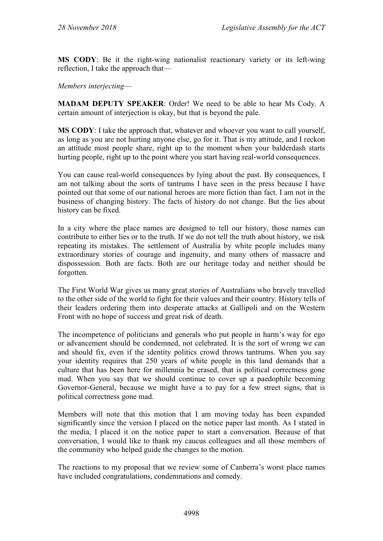**MS CODY**: Be it the right-wing nationalist reactionary variety or its left-wing reflection, I take the approach that—

#### *Members interjecting*—

**MADAM DEPUTY SPEAKER**: Order! We need to be able to hear Ms Cody. A certain amount of interjection is okay, but that is beyond the pale.

**MS CODY**: I take the approach that, whatever and whoever you want to call yourself, as long as you are not hurting anyone else, go for it. That is my attitude, and I reckon an attitude most people share, right up to the moment when your balderdash starts hurting people, right up to the point where you start having real-world consequences.

You can cause real-world consequences by lying about the past. By consequences, I am not talking about the sorts of tantrums I have seen in the press because I have pointed out that some of our national heroes are more fiction than fact. I am not in the business of changing history. The facts of history do not change. But the lies about history can be fixed.

In a city where the place names are designed to tell our history, those names can contribute to either lies or to the truth. If we do not tell the truth about history, we risk repeating its mistakes. The settlement of Australia by white people includes many extraordinary stories of courage and ingenuity, and many others of massacre and dispossession. Both are facts. Both are our heritage today and neither should be forgotten.

The First World War gives us many great stories of Australians who bravely travelled to the other side of the world to fight for their values and their country. History tells of their leaders ordering them into desperate attacks at Gallipoli and on the Western Front with no hope of success and great risk of death.

The incompetence of politicians and generals who put people in harm's way for ego or advancement should be condemned, not celebrated. It is the sort of wrong we can and should fix, even if the identity politics crowd throws tantrums. When you say your identity requires that 250 years of white people in this land demands that a culture that has been here for millennia be erased, that is political correctness gone mad. When you say that we should continue to cover up a paedophile becoming Governor-General, because we might have a to pay for a few street signs, that is political correctness gone mad.

Members will note that this motion that I am moving today has been expanded significantly since the version I placed on the notice paper last month. As I stated in the media, I placed it on the notice paper to start a conversation. Because of that conversation, I would like to thank my caucus colleagues and all those members of the community who helped guide the changes to the motion.

The reactions to my proposal that we review some of Canberra's worst place names have included congratulations, condemnations and comedy.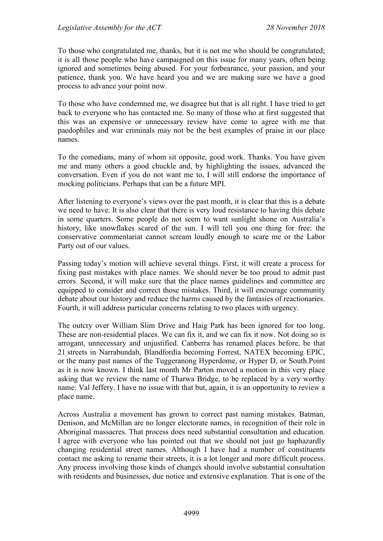To those who congratulated me, thanks, but it is not me who should be congratulated; it is all those people who have campaigned on this issue for many years, often being ignored and sometimes being abused. For your forbearance, your passion, and your patience, thank you. We have heard you and we are making sure we have a good process to advance your point now.

To those who have condemned me, we disagree but that is all right. I have tried to get back to everyone who has contacted me. So many of those who at first suggested that this was an expensive or unnecessary review have come to agree with me that paedophiles and war criminals may not be the best examples of praise in our place names.

To the comedians, many of whom sit opposite, good work. Thanks. You have given me and many others a good chuckle and, by highlighting the issues, advanced the conversation. Even if you do not want me to, I will still endorse the importance of mocking politicians. Perhaps that can be a future MPI.

After listening to everyone's views over the past month, it is clear that this is a debate we need to have. It is also clear that there is very loud resistance to having this debate in some quarters. Some people do not seem to want sunlight shone on Australia's history, like snowflakes scared of the sun. I will tell you one thing for free: the conservative commentariat cannot scream loudly enough to scare me or the Labor Party out of our values.

Passing today's motion will achieve several things. First, it will create a process for fixing past mistakes with place names. We should never be too proud to admit past errors. Second, it will make sure that the place names guidelines and committee are equipped to consider and correct those mistakes. Third, it will encourage community debate about our history and reduce the harms caused by the fantasies of reactionaries. Fourth, it will address particular concerns relating to two places with urgency.

The outcry over William Slim Drive and Haig Park has been ignored for too long. These are non-residential places. We can fix it, and we can fix it now. Not doing so is arrogant, unnecessary and unjustified. Canberra has renamed places before, be that 21 streets in Narrabundah, Blandfordia becoming Forrest, NATEX becoming EPIC, or the many past names of the Tuggeranong Hyperdome, or Hyper D, or South.Point as it is now known. I think last month Mr Parton moved a motion in this very place asking that we review the name of Tharwa Bridge, to be replaced by a very worthy name: Val Jeffery. I have no issue with that but, again, it is an opportunity to review a place name.

Across Australia a movement has grown to correct past naming mistakes. Batman, Denison, and McMillan are no longer electorate names, in recognition of their role in Aboriginal massacres. That process does need substantial consultation and education. I agree with everyone who has pointed out that we should not just go haphazardly changing residential street names. Although I have had a number of constituents contact me asking to rename their streets, it is a lot longer and more difficult process. Any process involving those kinds of changes should involve substantial consultation with residents and businesses, due notice and extensive explanation. That is one of the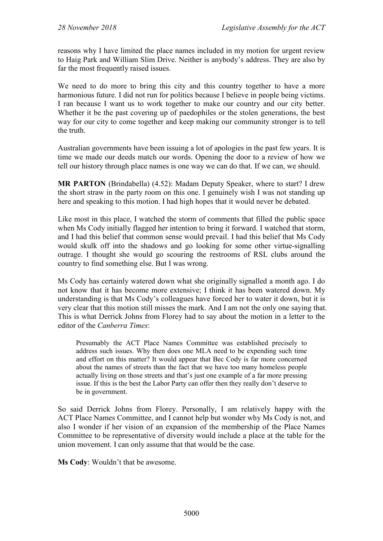reasons why I have limited the place names included in my motion for urgent review to Haig Park and William Slim Drive. Neither is anybody's address. They are also by far the most frequently raised issues.

We need to do more to bring this city and this country together to have a more harmonious future. I did not run for politics because I believe in people being victims. I ran because I want us to work together to make our country and our city better. Whether it be the past covering up of paedophiles or the stolen generations, the best way for our city to come together and keep making our community stronger is to tell the truth.

Australian governments have been issuing a lot of apologies in the past few years. It is time we made our deeds match our words. Opening the door to a review of how we tell our history through place names is one way we can do that. If we can, we should.

**MR PARTON** (Brindabella) (4.52): Madam Deputy Speaker, where to start? I drew the short straw in the party room on this one. I genuinely wish I was not standing up here and speaking to this motion. I had high hopes that it would never be debated.

Like most in this place, I watched the storm of comments that filled the public space when Ms Cody initially flagged her intention to bring it forward. I watched that storm, and I had this belief that common sense would prevail. I had this belief that Ms Cody would skulk off into the shadows and go looking for some other virtue-signalling outrage. I thought she would go scouring the restrooms of RSL clubs around the country to find something else. But I was wrong.

Ms Cody has certainly watered down what she originally signalled a month ago. I do not know that it has become more extensive; I think it has been watered down. My understanding is that Ms Cody's colleagues have forced her to water it down, but it is very clear that this motion still misses the mark. And I am not the only one saying that. This is what Derrick Johns from Florey had to say about the motion in a letter to the editor of the *Canberra Times*:

Presumably the ACT Place Names Committee was established precisely to address such issues. Why then does one MLA need to be expending such time and effort on this matter? It would appear that Bec Cody is far more concerned about the names of streets than the fact that we have too many homeless people actually living on those streets and that's just one example of a far more pressing issue. If this is the best the Labor Party can offer then they really don't deserve to be in government.

So said Derrick Johns from Florey. Personally, I am relatively happy with the ACT Place Names Committee, and I cannot help but wonder why Ms Cody is not, and also I wonder if her vision of an expansion of the membership of the Place Names Committee to be representative of diversity would include a place at the table for the union movement. I can only assume that that would be the case.

**Ms Cody**: Wouldn't that be awesome.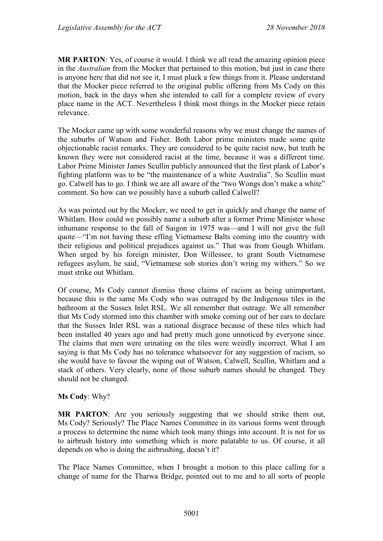**MR PARTON**: Yes, of course it would. I think we all read the amazing opinion piece in the *Australian* from the Mocker that pertained to this motion, but just in case there is anyone here that did not see it, I must pluck a few things from it. Please understand that the Mocker piece referred to the original public offering from Ms Cody on this motion, back in the days when she intended to call for a complete review of every place name in the ACT. Nevertheless I think most things in the Mocker piece retain relevance.

The Mocker came up with some wonderful reasons why we must change the names of the suburbs of Watson and Fisher. Both Labor prime ministers made some quite objectionable racist remarks. They are considered to be quite racist now, but truth be known they were not considered racist at the time, because it was a different time. Labor Prime Minister James Scullin publicly announced that the first plank of Labor's fighting platform was to be "the maintenance of a white Australia". So Scullin must go. Calwell has to go. I think we are all aware of the "two Wongs don't make a white" comment. So how can we possibly have a suburb called Calwell?

As was pointed out by the Mocker, we need to get in quickly and change the name of Whitlam. How could we possibly name a suburb after a former Prime Minister whose inhumane response to the fall of Saigon in 1975 was—and I will not give the full quote—"I'm not having these effing Vietnamese Balts coming into the country with their religious and political prejudices against us." That was from Gough Whitlam. When urged by his foreign minister, Don Willessee, to grant South Vietnamese refugees asylum, he said, "Vietnamese sob stories don't wring my withers." So we must strike out Whitlam.

Of course, Ms Cody cannot dismiss those claims of racism as being unimportant, because this is the same Ms Cody who was outraged by the Indigenous tiles in the bathroom at the Sussex Inlet RSL. We all remember that outrage. We all remember that Ms Cody stormed into this chamber with smoke coming out of her ears to declare that the Sussex Inlet RSL was a national disgrace because of these tiles which had been installed 40 years ago and had pretty much gone unnoticed by everyone since. The claims that men were urinating on the tiles were weirdly incorrect. What I am saying is that Ms Cody has no tolerance whatsoever for any suggestion of racism, so she would have to favour the wiping out of Watson, Calwell, Scullin, Whitlam and a stack of others. Very clearly, none of those suburb names should be changed. They should not be changed.

### **Ms Cody**: Why?

**MR PARTON**: Are you seriously suggesting that we should strike them out, Ms Cody? Seriously? The Place Names Committee in its various forms went through a process to determine the name which took many things into account. It is not for us to airbrush history into something which is more palatable to us. Of course, it all depends on who is doing the airbrushing, doesn't it?

The Place Names Committee, when I brought a motion to this place calling for a change of name for the Tharwa Bridge, pointed out to me and to all sorts of people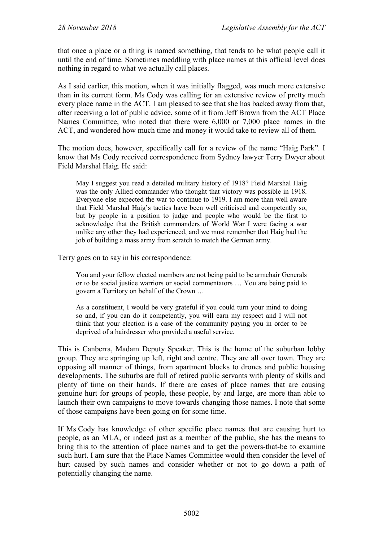that once a place or a thing is named something, that tends to be what people call it until the end of time. Sometimes meddling with place names at this official level does nothing in regard to what we actually call places.

As I said earlier, this motion, when it was initially flagged, was much more extensive than in its current form. Ms Cody was calling for an extensive review of pretty much every place name in the ACT. I am pleased to see that she has backed away from that, after receiving a lot of public advice, some of it from Jeff Brown from the ACT Place Names Committee, who noted that there were 6,000 or 7,000 place names in the ACT, and wondered how much time and money it would take to review all of them.

The motion does, however, specifically call for a review of the name "Haig Park". I know that Ms Cody received correspondence from Sydney lawyer Terry Dwyer about Field Marshal Haig. He said:

May I suggest you read a detailed military history of 1918? Field Marshal Haig was the only Allied commander who thought that victory was possible in 1918. Everyone else expected the war to continue to 1919. I am more than well aware that Field Marshal Haig's tactics have been well criticised and competently so, but by people in a position to judge and people who would be the first to acknowledge that the British commanders of World War I were facing a war unlike any other they had experienced, and we must remember that Haig had the job of building a mass army from scratch to match the German army.

Terry goes on to say in his correspondence:

You and your fellow elected members are not being paid to be armchair Generals or to be social justice warriors or social commentators … You are being paid to govern a Territory on behalf of the Crown …

As a constituent, I would be very grateful if you could turn your mind to doing so and, if you can do it competently, you will earn my respect and I will not think that your election is a case of the community paying you in order to be deprived of a hairdresser who provided a useful service.

This is Canberra, Madam Deputy Speaker. This is the home of the suburban lobby group. They are springing up left, right and centre. They are all over town. They are opposing all manner of things, from apartment blocks to drones and public housing developments. The suburbs are full of retired public servants with plenty of skills and plenty of time on their hands. If there are cases of place names that are causing genuine hurt for groups of people, these people, by and large, are more than able to launch their own campaigns to move towards changing those names. I note that some of those campaigns have been going on for some time.

If Ms Cody has knowledge of other specific place names that are causing hurt to people, as an MLA, or indeed just as a member of the public, she has the means to bring this to the attention of place names and to get the powers-that-be to examine such hurt. I am sure that the Place Names Committee would then consider the level of hurt caused by such names and consider whether or not to go down a path of potentially changing the name.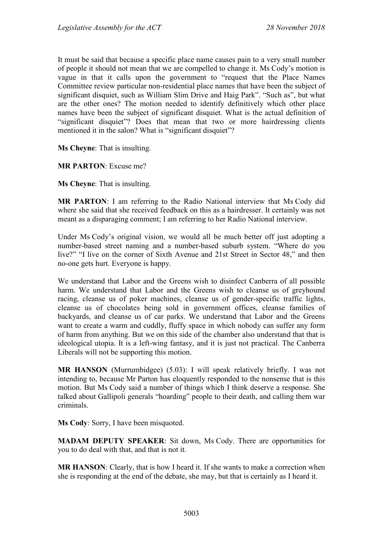It must be said that because a specific place name causes pain to a very small number of people it should not mean that we are compelled to change it. Ms Cody's motion is vague in that it calls upon the government to "request that the Place Names Committee review particular non-residential place names that have been the subject of significant disquiet, such as William Slim Drive and Haig Park". "Such as", but what are the other ones? The motion needed to identify definitively which other place names have been the subject of significant disquiet. What is the actual definition of "significant disquiet"? Does that mean that two or more hairdressing clients mentioned it in the salon? What is "significant disquiet"?

**Ms Cheyne**: That is insulting.

**MR PARTON**: Excuse me?

**Ms Cheyne**: That is insulting.

**MR PARTON**: I am referring to the Radio National interview that Ms Cody did where she said that she received feedback on this as a hairdresser. It certainly was not meant as a disparaging comment; I am referring to her Radio National interview.

Under Ms Cody's original vision, we would all be much better off just adopting a number-based street naming and a number-based suburb system. "Where do you live?" "I live on the corner of Sixth Avenue and 21st Street in Sector 48," and then no-one gets hurt. Everyone is happy.

We understand that Labor and the Greens wish to disinfect Canberra of all possible harm. We understand that Labor and the Greens wish to cleanse us of greyhound racing, cleanse us of poker machines, cleanse us of gender-specific traffic lights, cleanse us of chocolates being sold in government offices, cleanse families of backyards, and cleanse us of car parks. We understand that Labor and the Greens want to create a warm and cuddly, fluffy space in which nobody can suffer any form of harm from anything. But we on this side of the chamber also understand that that is ideological utopia. It is a left-wing fantasy, and it is just not practical. The Canberra Liberals will not be supporting this motion.

**MR HANSON** (Murrumbidgee) (5.03): I will speak relatively briefly. I was not intending to, because Mr Parton has eloquently responded to the nonsense that is this motion. But Ms Cody said a number of things which I think deserve a response. She talked about Gallipoli generals "hoarding" people to their death, and calling them war criminals.

**Ms Cody**: Sorry, I have been misquoted.

**MADAM DEPUTY SPEAKER**: Sit down, Ms Cody. There are opportunities for you to do deal with that, and that is not it.

**MR HANSON**: Clearly, that is how I heard it. If she wants to make a correction when she is responding at the end of the debate, she may, but that is certainly as I heard it.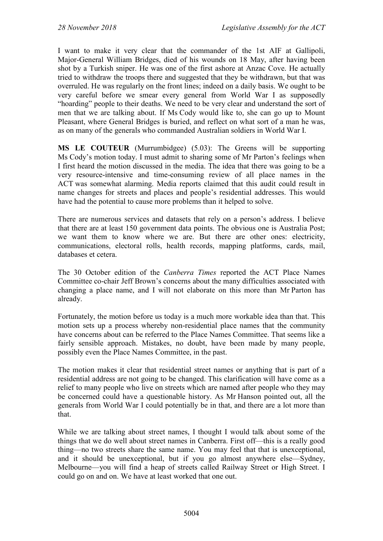I want to make it very clear that the commander of the 1st AIF at Gallipoli, Major-General William Bridges, died of his wounds on 18 May, after having been shot by a Turkish sniper. He was one of the first ashore at Anzac Cove. He actually tried to withdraw the troops there and suggested that they be withdrawn, but that was overruled. He was regularly on the front lines; indeed on a daily basis. We ought to be very careful before we smear every general from World War I as supposedly "hoarding" people to their deaths. We need to be very clear and understand the sort of men that we are talking about. If Ms Cody would like to, she can go up to Mount Pleasant, where General Bridges is buried, and reflect on what sort of a man he was, as on many of the generals who commanded Australian soldiers in World War I.

**MS LE COUTEUR** (Murrumbidgee) (5.03): The Greens will be supporting Ms Cody's motion today. I must admit to sharing some of Mr Parton's feelings when I first heard the motion discussed in the media. The idea that there was going to be a very resource-intensive and time-consuming review of all place names in the ACT was somewhat alarming. Media reports claimed that this audit could result in name changes for streets and places and people's residential addresses. This would have had the potential to cause more problems than it helped to solve.

There are numerous services and datasets that rely on a person's address. I believe that there are at least 150 government data points. The obvious one is Australia Post; we want them to know where we are. But there are other ones: electricity, communications, electoral rolls, health records, mapping platforms, cards, mail, databases et cetera.

The 30 October edition of the *Canberra Times* reported the ACT Place Names Committee co-chair Jeff Brown's concerns about the many difficulties associated with changing a place name, and I will not elaborate on this more than Mr Parton has already.

Fortunately, the motion before us today is a much more workable idea than that. This motion sets up a process whereby non-residential place names that the community have concerns about can be referred to the Place Names Committee. That seems like a fairly sensible approach. Mistakes, no doubt, have been made by many people, possibly even the Place Names Committee, in the past.

The motion makes it clear that residential street names or anything that is part of a residential address are not going to be changed. This clarification will have come as a relief to many people who live on streets which are named after people who they may be concerned could have a questionable history. As Mr Hanson pointed out, all the generals from World War I could potentially be in that, and there are a lot more than that.

While we are talking about street names, I thought I would talk about some of the things that we do well about street names in Canberra. First off—this is a really good thing—no two streets share the same name. You may feel that that is unexceptional, and it should be unexceptional, but if you go almost anywhere else—Sydney, Melbourne—you will find a heap of streets called Railway Street or High Street. I could go on and on. We have at least worked that one out.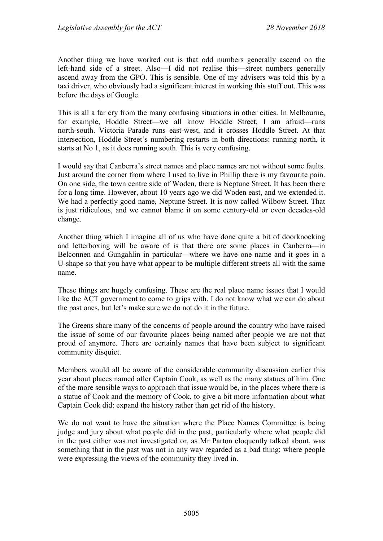Another thing we have worked out is that odd numbers generally ascend on the left-hand side of a street. Also—I did not realise this—street numbers generally ascend away from the GPO. This is sensible. One of my advisers was told this by a taxi driver, who obviously had a significant interest in working this stuff out. This was before the days of Google.

This is all a far cry from the many confusing situations in other cities. In Melbourne, for example, Hoddle Street—we all know Hoddle Street, I am afraid—runs north-south. Victoria Parade runs east-west, and it crosses Hoddle Street. At that intersection, Hoddle Street's numbering restarts in both directions: running north, it starts at No 1, as it does running south. This is very confusing.

I would say that Canberra's street names and place names are not without some faults. Just around the corner from where I used to live in Phillip there is my favourite pain. On one side, the town centre side of Woden, there is Neptune Street. It has been there for a long time. However, about 10 years ago we did Woden east, and we extended it. We had a perfectly good name, Neptune Street. It is now called Wilbow Street. That is just ridiculous, and we cannot blame it on some century-old or even decades-old change.

Another thing which I imagine all of us who have done quite a bit of doorknocking and letterboxing will be aware of is that there are some places in Canberra—in Belconnen and Gungahlin in particular—where we have one name and it goes in a U-shape so that you have what appear to be multiple different streets all with the same name.

These things are hugely confusing. These are the real place name issues that I would like the ACT government to come to grips with. I do not know what we can do about the past ones, but let's make sure we do not do it in the future.

The Greens share many of the concerns of people around the country who have raised the issue of some of our favourite places being named after people we are not that proud of anymore. There are certainly names that have been subject to significant community disquiet.

Members would all be aware of the considerable community discussion earlier this year about places named after Captain Cook, as well as the many statues of him. One of the more sensible ways to approach that issue would be, in the places where there is a statue of Cook and the memory of Cook, to give a bit more information about what Captain Cook did: expand the history rather than get rid of the history.

We do not want to have the situation where the Place Names Committee is being judge and jury about what people did in the past, particularly where what people did in the past either was not investigated or, as Mr Parton eloquently talked about, was something that in the past was not in any way regarded as a bad thing; where people were expressing the views of the community they lived in.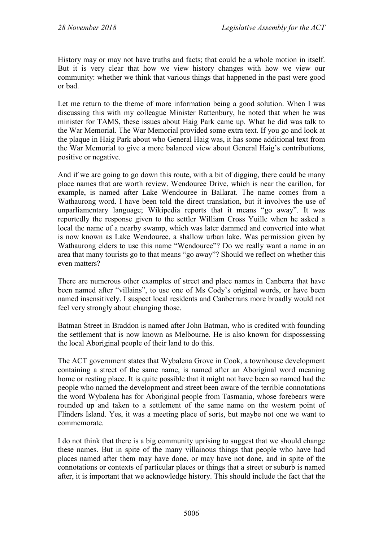History may or may not have truths and facts; that could be a whole motion in itself. But it is very clear that how we view history changes with how we view our community: whether we think that various things that happened in the past were good or bad.

Let me return to the theme of more information being a good solution. When I was discussing this with my colleague Minister Rattenbury, he noted that when he was minister for TAMS, these issues about Haig Park came up. What he did was talk to the War Memorial. The War Memorial provided some extra text. If you go and look at the plaque in Haig Park about who General Haig was, it has some additional text from the War Memorial to give a more balanced view about General Haig's contributions, positive or negative.

And if we are going to go down this route, with a bit of digging, there could be many place names that are worth review. Wendouree Drive, which is near the carillon, for example, is named after Lake Wendouree in Ballarat. The name comes from a Wathaurong word. I have been told the direct translation, but it involves the use of unparliamentary language; Wikipedia reports that it means "go away". It was reportedly the response given to the settler William Cross Yuille when he asked a local the name of a nearby swamp, which was later dammed and converted into what is now known as Lake Wendouree, a shallow urban lake. Was permission given by Wathaurong elders to use this name "Wendouree"? Do we really want a name in an area that many tourists go to that means "go away"? Should we reflect on whether this even matters?

There are numerous other examples of street and place names in Canberra that have been named after "villains", to use one of Ms Cody's original words, or have been named insensitively. I suspect local residents and Canberrans more broadly would not feel very strongly about changing those.

Batman Street in Braddon is named after John Batman, who is credited with founding the settlement that is now known as Melbourne. He is also known for dispossessing the local Aboriginal people of their land to do this.

The ACT government states that Wybalena Grove in Cook, a townhouse development containing a street of the same name, is named after an Aboriginal word meaning home or resting place. It is quite possible that it might not have been so named had the people who named the development and street been aware of the terrible connotations the word Wybalena has for Aboriginal people from Tasmania, whose forebears were rounded up and taken to a settlement of the same name on the western point of Flinders Island. Yes, it was a meeting place of sorts, but maybe not one we want to commemorate.

I do not think that there is a big community uprising to suggest that we should change these names. But in spite of the many villainous things that people who have had places named after them may have done, or may have not done, and in spite of the connotations or contexts of particular places or things that a street or suburb is named after, it is important that we acknowledge history. This should include the fact that the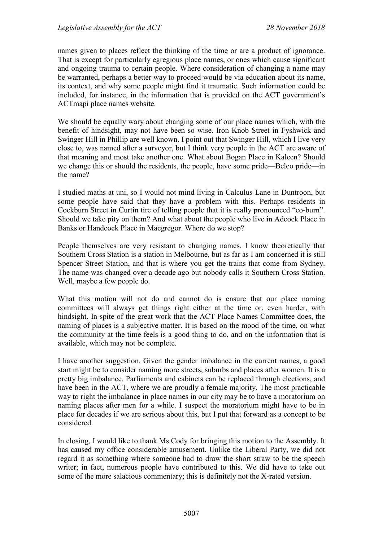names given to places reflect the thinking of the time or are a product of ignorance. That is except for particularly egregious place names, or ones which cause significant and ongoing trauma to certain people. Where consideration of changing a name may be warranted, perhaps a better way to proceed would be via education about its name, its context, and why some people might find it traumatic. Such information could be included, for instance, in the information that is provided on the ACT government's ACTmapi place names website.

We should be equally wary about changing some of our place names which, with the benefit of hindsight, may not have been so wise. Iron Knob Street in Fyshwick and Swinger Hill in Phillip are well known. I point out that Swinger Hill, which I live very close to, was named after a surveyor, but I think very people in the ACT are aware of that meaning and most take another one. What about Bogan Place in Kaleen? Should we change this or should the residents, the people, have some pride—Belco pride—in the name?

I studied maths at uni, so I would not mind living in Calculus Lane in Duntroon, but some people have said that they have a problem with this. Perhaps residents in Cockburn Street in Curtin tire of telling people that it is really pronounced "co-burn". Should we take pity on them? And what about the people who live in Adcock Place in Banks or Handcock Place in Macgregor. Where do we stop?

People themselves are very resistant to changing names. I know theoretically that Southern Cross Station is a station in Melbourne, but as far as I am concerned it is still Spencer Street Station, and that is where you get the trains that come from Sydney. The name was changed over a decade ago but nobody calls it Southern Cross Station. Well, maybe a few people do.

What this motion will not do and cannot do is ensure that our place naming committees will always get things right either at the time or, even harder, with hindsight. In spite of the great work that the ACT Place Names Committee does, the naming of places is a subjective matter. It is based on the mood of the time, on what the community at the time feels is a good thing to do, and on the information that is available, which may not be complete.

I have another suggestion. Given the gender imbalance in the current names, a good start might be to consider naming more streets, suburbs and places after women. It is a pretty big imbalance. Parliaments and cabinets can be replaced through elections, and have been in the ACT, where we are proudly a female majority. The most practicable way to right the imbalance in place names in our city may be to have a moratorium on naming places after men for a while. I suspect the moratorium might have to be in place for decades if we are serious about this, but I put that forward as a concept to be considered.

In closing, I would like to thank Ms Cody for bringing this motion to the Assembly. It has caused my office considerable amusement. Unlike the Liberal Party, we did not regard it as something where someone had to draw the short straw to be the speech writer; in fact, numerous people have contributed to this. We did have to take out some of the more salacious commentary; this is definitely not the X-rated version.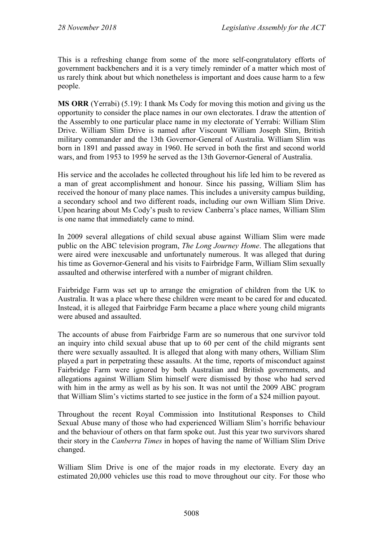This is a refreshing change from some of the more self-congratulatory efforts of government backbenchers and it is a very timely reminder of a matter which most of us rarely think about but which nonetheless is important and does cause harm to a few people.

**MS ORR** (Yerrabi) (5.19): I thank Ms Cody for moving this motion and giving us the opportunity to consider the place names in our own electorates. I draw the attention of the Assembly to one particular place name in my electorate of Yerrabi: William Slim Drive. William Slim Drive is named after Viscount William Joseph Slim, British military commander and the 13th Governor-General of Australia. William Slim was born in 1891 and passed away in 1960. He served in both the first and second world wars, and from 1953 to 1959 he served as the 13th Governor-General of Australia.

His service and the accolades he collected throughout his life led him to be revered as a man of great accomplishment and honour. Since his passing, William Slim has received the honour of many place names. This includes a university campus building, a secondary school and two different roads, including our own William Slim Drive. Upon hearing about Ms Cody's push to review Canberra's place names, William Slim is one name that immediately came to mind.

In 2009 several allegations of child sexual abuse against William Slim were made public on the ABC television program, *The Long Journey Home*. The allegations that were aired were inexcusable and unfortunately numerous. It was alleged that during his time as Governor-General and his visits to Fairbridge Farm, William Slim sexually assaulted and otherwise interfered with a number of migrant children.

Fairbridge Farm was set up to arrange the emigration of children from the UK to Australia. It was a place where these children were meant to be cared for and educated. Instead, it is alleged that Fairbridge Farm became a place where young child migrants were abused and assaulted.

The accounts of abuse from Fairbridge Farm are so numerous that one survivor told an inquiry into child sexual abuse that up to 60 per cent of the child migrants sent there were sexually assaulted. It is alleged that along with many others, William Slim played a part in perpetrating these assaults. At the time, reports of misconduct against Fairbridge Farm were ignored by both Australian and British governments, and allegations against William Slim himself were dismissed by those who had served with him in the army as well as by his son. It was not until the 2009 ABC program that William Slim's victims started to see justice in the form of a \$24 million payout.

Throughout the recent Royal Commission into Institutional Responses to Child Sexual Abuse many of those who had experienced William Slim's horrific behaviour and the behaviour of others on that farm spoke out. Just this year two survivors shared their story in the *Canberra Times* in hopes of having the name of William Slim Drive changed.

William Slim Drive is one of the major roads in my electorate. Every day an estimated 20,000 vehicles use this road to move throughout our city. For those who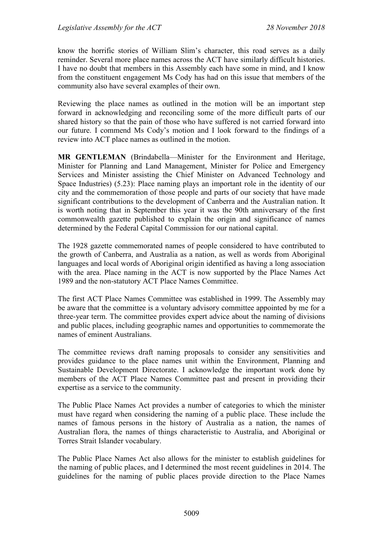know the horrific stories of William Slim's character, this road serves as a daily reminder. Several more place names across the ACT have similarly difficult histories. I have no doubt that members in this Assembly each have some in mind, and I know from the constituent engagement Ms Cody has had on this issue that members of the community also have several examples of their own.

Reviewing the place names as outlined in the motion will be an important step forward in acknowledging and reconciling some of the more difficult parts of our shared history so that the pain of those who have suffered is not carried forward into our future. I commend Ms Cody's motion and I look forward to the findings of a review into ACT place names as outlined in the motion.

**MR GENTLEMAN** (Brindabella—Minister for the Environment and Heritage, Minister for Planning and Land Management, Minister for Police and Emergency Services and Minister assisting the Chief Minister on Advanced Technology and Space Industries) (5.23): Place naming plays an important role in the identity of our city and the commemoration of those people and parts of our society that have made significant contributions to the development of Canberra and the Australian nation. It is worth noting that in September this year it was the 90th anniversary of the first commonwealth gazette published to explain the origin and significance of names determined by the Federal Capital Commission for our national capital.

The 1928 gazette commemorated names of people considered to have contributed to the growth of Canberra, and Australia as a nation, as well as words from Aboriginal languages and local words of Aboriginal origin identified as having a long association with the area. Place naming in the ACT is now supported by the Place Names Act 1989 and the non-statutory ACT Place Names Committee.

The first ACT Place Names Committee was established in 1999. The Assembly may be aware that the committee is a voluntary advisory committee appointed by me for a three-year term. The committee provides expert advice about the naming of divisions and public places, including geographic names and opportunities to commemorate the names of eminent Australians.

The committee reviews draft naming proposals to consider any sensitivities and provides guidance to the place names unit within the Environment, Planning and Sustainable Development Directorate. I acknowledge the important work done by members of the ACT Place Names Committee past and present in providing their expertise as a service to the community.

The Public Place Names Act provides a number of categories to which the minister must have regard when considering the naming of a public place. These include the names of famous persons in the history of Australia as a nation, the names of Australian flora, the names of things characteristic to Australia, and Aboriginal or Torres Strait Islander vocabulary.

The Public Place Names Act also allows for the minister to establish guidelines for the naming of public places, and I determined the most recent guidelines in 2014. The guidelines for the naming of public places provide direction to the Place Names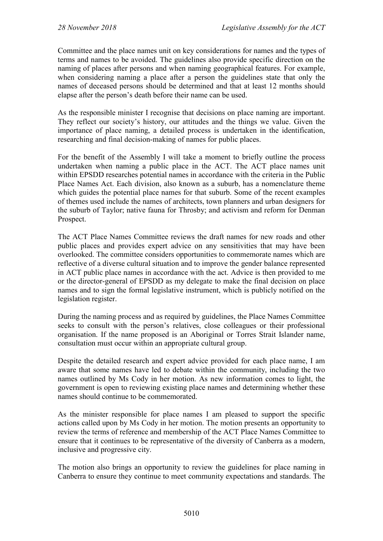Committee and the place names unit on key considerations for names and the types of terms and names to be avoided. The guidelines also provide specific direction on the naming of places after persons and when naming geographical features. For example, when considering naming a place after a person the guidelines state that only the names of deceased persons should be determined and that at least 12 months should elapse after the person's death before their name can be used.

As the responsible minister I recognise that decisions on place naming are important. They reflect our society's history, our attitudes and the things we value. Given the importance of place naming, a detailed process is undertaken in the identification, researching and final decision-making of names for public places.

For the benefit of the Assembly I will take a moment to briefly outline the process undertaken when naming a public place in the ACT. The ACT place names unit within EPSDD researches potential names in accordance with the criteria in the Public Place Names Act. Each division, also known as a suburb, has a nomenclature theme which guides the potential place names for that suburb. Some of the recent examples of themes used include the names of architects, town planners and urban designers for the suburb of Taylor; native fauna for Throsby; and activism and reform for Denman Prospect.

The ACT Place Names Committee reviews the draft names for new roads and other public places and provides expert advice on any sensitivities that may have been overlooked. The committee considers opportunities to commemorate names which are reflective of a diverse cultural situation and to improve the gender balance represented in ACT public place names in accordance with the act. Advice is then provided to me or the director-general of EPSDD as my delegate to make the final decision on place names and to sign the formal legislative instrument, which is publicly notified on the legislation register.

During the naming process and as required by guidelines, the Place Names Committee seeks to consult with the person's relatives, close colleagues or their professional organisation. If the name proposed is an Aboriginal or Torres Strait Islander name, consultation must occur within an appropriate cultural group.

Despite the detailed research and expert advice provided for each place name, I am aware that some names have led to debate within the community, including the two names outlined by Ms Cody in her motion. As new information comes to light, the government is open to reviewing existing place names and determining whether these names should continue to be commemorated.

As the minister responsible for place names I am pleased to support the specific actions called upon by Ms Cody in her motion. The motion presents an opportunity to review the terms of reference and membership of the ACT Place Names Committee to ensure that it continues to be representative of the diversity of Canberra as a modern, inclusive and progressive city.

The motion also brings an opportunity to review the guidelines for place naming in Canberra to ensure they continue to meet community expectations and standards. The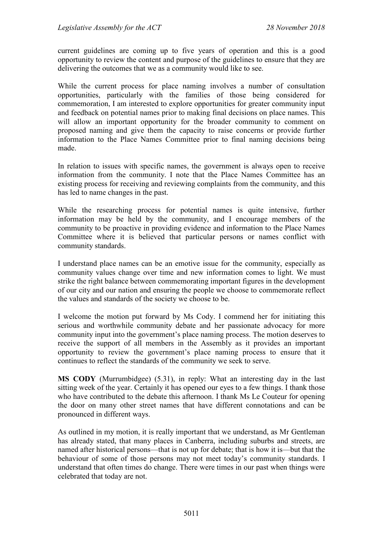current guidelines are coming up to five years of operation and this is a good opportunity to review the content and purpose of the guidelines to ensure that they are delivering the outcomes that we as a community would like to see.

While the current process for place naming involves a number of consultation opportunities, particularly with the families of those being considered for commemoration, I am interested to explore opportunities for greater community input and feedback on potential names prior to making final decisions on place names. This will allow an important opportunity for the broader community to comment on proposed naming and give them the capacity to raise concerns or provide further information to the Place Names Committee prior to final naming decisions being made.

In relation to issues with specific names, the government is always open to receive information from the community. I note that the Place Names Committee has an existing process for receiving and reviewing complaints from the community, and this has led to name changes in the past.

While the researching process for potential names is quite intensive, further information may be held by the community, and I encourage members of the community to be proactive in providing evidence and information to the Place Names Committee where it is believed that particular persons or names conflict with community standards.

I understand place names can be an emotive issue for the community, especially as community values change over time and new information comes to light. We must strike the right balance between commemorating important figures in the development of our city and our nation and ensuring the people we choose to commemorate reflect the values and standards of the society we choose to be.

I welcome the motion put forward by Ms Cody. I commend her for initiating this serious and worthwhile community debate and her passionate advocacy for more community input into the government's place naming process. The motion deserves to receive the support of all members in the Assembly as it provides an important opportunity to review the government's place naming process to ensure that it continues to reflect the standards of the community we seek to serve.

**MS CODY** (Murrumbidgee) (5.31), in reply: What an interesting day in the last sitting week of the year. Certainly it has opened our eyes to a few things. I thank those who have contributed to the debate this afternoon. I thank Ms Le Couteur for opening the door on many other street names that have different connotations and can be pronounced in different ways.

As outlined in my motion, it is really important that we understand, as Mr Gentleman has already stated, that many places in Canberra, including suburbs and streets, are named after historical persons—that is not up for debate; that is how it is—but that the behaviour of some of those persons may not meet today's community standards. I understand that often times do change. There were times in our past when things were celebrated that today are not.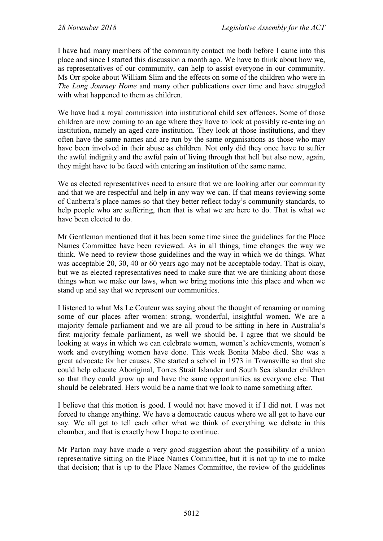I have had many members of the community contact me both before I came into this place and since I started this discussion a month ago. We have to think about how we, as representatives of our community, can help to assist everyone in our community. Ms Orr spoke about William Slim and the effects on some of the children who were in *The Long Journey Home* and many other publications over time and have struggled with what happened to them as children.

We have had a royal commission into institutional child sex offences. Some of those children are now coming to an age where they have to look at possibly re-entering an institution, namely an aged care institution. They look at those institutions, and they often have the same names and are run by the same organisations as those who may have been involved in their abuse as children. Not only did they once have to suffer the awful indignity and the awful pain of living through that hell but also now, again, they might have to be faced with entering an institution of the same name.

We as elected representatives need to ensure that we are looking after our community and that we are respectful and help in any way we can. If that means reviewing some of Canberra's place names so that they better reflect today's community standards, to help people who are suffering, then that is what we are here to do. That is what we have been elected to do.

Mr Gentleman mentioned that it has been some time since the guidelines for the Place Names Committee have been reviewed. As in all things, time changes the way we think. We need to review those guidelines and the way in which we do things. What was acceptable 20, 30, 40 or 60 years ago may not be acceptable today. That is okay, but we as elected representatives need to make sure that we are thinking about those things when we make our laws, when we bring motions into this place and when we stand up and say that we represent our communities.

I listened to what Ms Le Couteur was saying about the thought of renaming or naming some of our places after women: strong, wonderful, insightful women. We are a majority female parliament and we are all proud to be sitting in here in Australia's first majority female parliament, as well we should be. I agree that we should be looking at ways in which we can celebrate women, women's achievements, women's work and everything women have done. This week Bonita Mabo died. She was a great advocate for her causes. She started a school in 1973 in Townsville so that she could help educate Aboriginal, Torres Strait Islander and South Sea islander children so that they could grow up and have the same opportunities as everyone else. That should be celebrated. Hers would be a name that we look to name something after.

I believe that this motion is good. I would not have moved it if I did not. I was not forced to change anything. We have a democratic caucus where we all get to have our say. We all get to tell each other what we think of everything we debate in this chamber, and that is exactly how I hope to continue.

Mr Parton may have made a very good suggestion about the possibility of a union representative sitting on the Place Names Committee, but it is not up to me to make that decision; that is up to the Place Names Committee, the review of the guidelines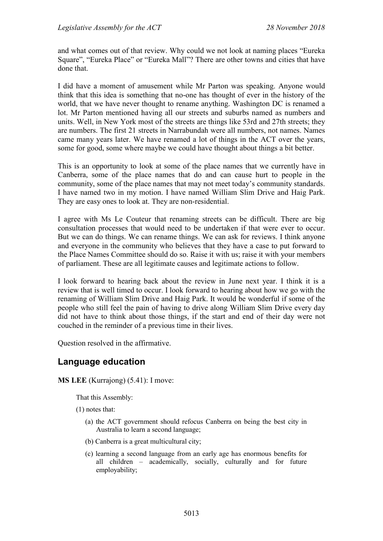and what comes out of that review. Why could we not look at naming places "Eureka Square", "Eureka Place" or "Eureka Mall"? There are other towns and cities that have done that.

I did have a moment of amusement while Mr Parton was speaking. Anyone would think that this idea is something that no-one has thought of ever in the history of the world, that we have never thought to rename anything. Washington DC is renamed a lot. Mr Parton mentioned having all our streets and suburbs named as numbers and units. Well, in New York most of the streets are things like 53rd and 27th streets; they are numbers. The first 21 streets in Narrabundah were all numbers, not names. Names came many years later. We have renamed a lot of things in the ACT over the years, some for good, some where maybe we could have thought about things a bit better.

This is an opportunity to look at some of the place names that we currently have in Canberra, some of the place names that do and can cause hurt to people in the community, some of the place names that may not meet today's community standards. I have named two in my motion. I have named William Slim Drive and Haig Park. They are easy ones to look at. They are non-residential.

I agree with Ms Le Couteur that renaming streets can be difficult. There are big consultation processes that would need to be undertaken if that were ever to occur. But we can do things. We can rename things. We can ask for reviews. I think anyone and everyone in the community who believes that they have a case to put forward to the Place Names Committee should do so. Raise it with us; raise it with your members of parliament. These are all legitimate causes and legitimate actions to follow.

I look forward to hearing back about the review in June next year. I think it is a review that is well timed to occur. I look forward to hearing about how we go with the renaming of William Slim Drive and Haig Park. It would be wonderful if some of the people who still feel the pain of having to drive along William Slim Drive every day did not have to think about those things, if the start and end of their day were not couched in the reminder of a previous time in their lives.

Question resolved in the affirmative.

# **Language education**

**MS LEE** (Kurrajong) (5.41): I move:

That this Assembly:

(1) notes that:

- (a) the ACT government should refocus Canberra on being the best city in Australia to learn a second language;
- (b) Canberra is a great multicultural city;
- (c) learning a second language from an early age has enormous benefits for all children – academically, socially, culturally and for future employability;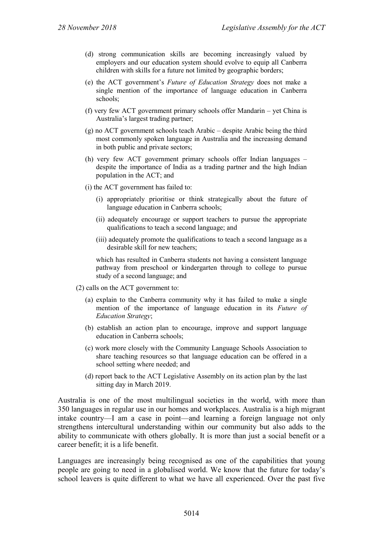- (d) strong communication skills are becoming increasingly valued by employers and our education system should evolve to equip all Canberra children with skills for a future not limited by geographic borders;
- (e) the ACT government's *Future of Education Strategy* does not make a single mention of the importance of language education in Canberra schools;
- (f) very few ACT government primary schools offer Mandarin yet China is Australia's largest trading partner;
- (g) no ACT government schools teach Arabic despite Arabic being the third most commonly spoken language in Australia and the increasing demand in both public and private sectors;
- (h) very few ACT government primary schools offer Indian languages despite the importance of India as a trading partner and the high Indian population in the ACT; and
- (i) the ACT government has failed to:
	- (i) appropriately prioritise or think strategically about the future of language education in Canberra schools;
	- (ii) adequately encourage or support teachers to pursue the appropriate qualifications to teach a second language; and
	- (iii) adequately promote the qualifications to teach a second language as a desirable skill for new teachers;

which has resulted in Canberra students not having a consistent language pathway from preschool or kindergarten through to college to pursue study of a second language; and

- (2) calls on the ACT government to:
	- (a) explain to the Canberra community why it has failed to make a single mention of the importance of language education in its *Future of Education Strategy*;
	- (b) establish an action plan to encourage, improve and support language education in Canberra schools;
	- (c) work more closely with the Community Language Schools Association to share teaching resources so that language education can be offered in a school setting where needed; and
	- (d) report back to the ACT Legislative Assembly on its action plan by the last sitting day in March 2019.

Australia is one of the most multilingual societies in the world, with more than 350 languages in regular use in our homes and workplaces. Australia is a high migrant intake country—I am a case in point—and learning a foreign language not only strengthens intercultural understanding within our community but also adds to the ability to communicate with others globally. It is more than just a social benefit or a career benefit; it is a life benefit.

Languages are increasingly being recognised as one of the capabilities that young people are going to need in a globalised world. We know that the future for today's school leavers is quite different to what we have all experienced. Over the past five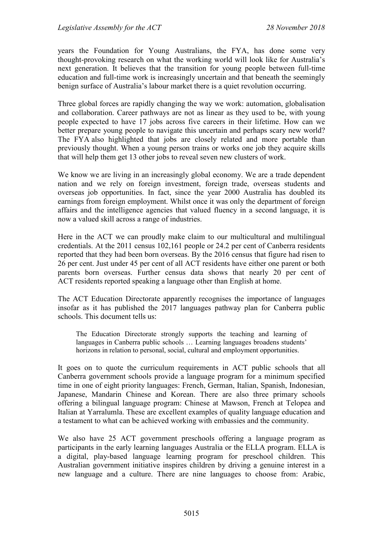years the Foundation for Young Australians, the FYA, has done some very thought-provoking research on what the working world will look like for Australia's next generation. It believes that the transition for young people between full-time education and full-time work is increasingly uncertain and that beneath the seemingly benign surface of Australia's labour market there is a quiet revolution occurring.

Three global forces are rapidly changing the way we work: automation, globalisation and collaboration. Career pathways are not as linear as they used to be, with young people expected to have 17 jobs across five careers in their lifetime. How can we better prepare young people to navigate this uncertain and perhaps scary new world? The FYA also highlighted that jobs are closely related and more portable than previously thought. When a young person trains or works one job they acquire skills that will help them get 13 other jobs to reveal seven new clusters of work.

We know we are living in an increasingly global economy. We are a trade dependent nation and we rely on foreign investment, foreign trade, overseas students and overseas job opportunities. In fact, since the year 2000 Australia has doubled its earnings from foreign employment. Whilst once it was only the department of foreign affairs and the intelligence agencies that valued fluency in a second language, it is now a valued skill across a range of industries.

Here in the ACT we can proudly make claim to our multicultural and multilingual credentials. At the 2011 census 102,161 people or 24.2 per cent of Canberra residents reported that they had been born overseas. By the 2016 census that figure had risen to 26 per cent. Just under 45 per cent of all ACT residents have either one parent or both parents born overseas. Further census data shows that nearly 20 per cent of ACT residents reported speaking a language other than English at home.

The ACT Education Directorate apparently recognises the importance of languages insofar as it has published the 2017 languages pathway plan for Canberra public schools. This document tells us:

The Education Directorate strongly supports the teaching and learning of languages in Canberra public schools … Learning languages broadens students' horizons in relation to personal, social, cultural and employment opportunities.

It goes on to quote the curriculum requirements in ACT public schools that all Canberra government schools provide a language program for a minimum specified time in one of eight priority languages: French, German, Italian, Spanish, Indonesian, Japanese, Mandarin Chinese and Korean. There are also three primary schools offering a bilingual language program: Chinese at Mawson, French at Telopea and Italian at Yarralumla. These are excellent examples of quality language education and a testament to what can be achieved working with embassies and the community.

We also have 25 ACT government preschools offering a language program as participants in the early learning languages Australia or the ELLA program. ELLA is a digital, play-based language learning program for preschool children. This Australian government initiative inspires children by driving a genuine interest in a new language and a culture. There are nine languages to choose from: Arabic,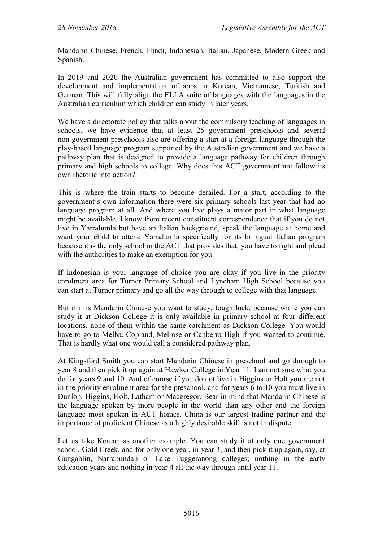Mandarin Chinese, French, Hindi, Indonesian, Italian, Japanese, Modern Greek and Spanish.

In 2019 and 2020 the Australian government has committed to also support the development and implementation of apps in Korean, Vietnamese, Turkish and German. This will fully align the ELLA suite of languages with the languages in the Australian curriculum which children can study in later years.

We have a directorate policy that talks about the compulsory teaching of languages in schools, we have evidence that at least 25 government preschools and several non-government preschools also are offering a start at a foreign language through the play-based language program supported by the Australian government and we have a pathway plan that is designed to provide a language pathway for children through primary and high schools to college. Why does this ACT government not follow its own rhetoric into action?

This is where the train starts to become derailed. For a start, according to the government's own information there were six primary schools last year that had no language program at all. And where you live plays a major part in what language might be available. I know from recent constituent correspondence that if you do not live in Yarralumla but have an Italian background, speak the language at home and want your child to attend Yarralumla specifically for its bilingual Italian program because it is the only school in the ACT that provides that, you have to fight and plead with the authorities to make an exemption for you.

If Indonesian is your language of choice you are okay if you live in the priority enrolment area for Turner Primary School and Lyneham High School because you can start at Turner primary and go all the way through to college with that language.

But if it is Mandarin Chinese you want to study, tough luck, because while you can study it at Dickson College it is only available in primary school at four different locations, none of them within the same catchment as Dickson College. You would have to go to Melba, Copland, Melrose or Canberra High if you wanted to continue. That is hardly what one would call a considered pathway plan.

At Kingsford Smith you can start Mandarin Chinese in preschool and go through to year 8 and then pick it up again at Hawker College in Year 11. I am not sure what you do for years 9 and 10. And of course if you do not live in Higgins or Holt you are not in the priority enrolment area for the preschool, and for years 6 to 10 you must live in Dunlop, Higgins, Holt, Latham or Macgregor. Bear in mind that Mandarin Chinese is the language spoken by more people in the world than any other and the foreign language most spoken in ACT homes. China is our largest trading partner and the importance of proficient Chinese as a highly desirable skill is not in dispute.

Let us take Korean as another example. You can study it at only one government school, Gold Creek, and for only one year, in year 3, and then pick it up again, say, at Gungahlin, Narrabundah or Lake Tuggeranong colleges; nothing in the early education years and nothing in year 4 all the way through until year 11.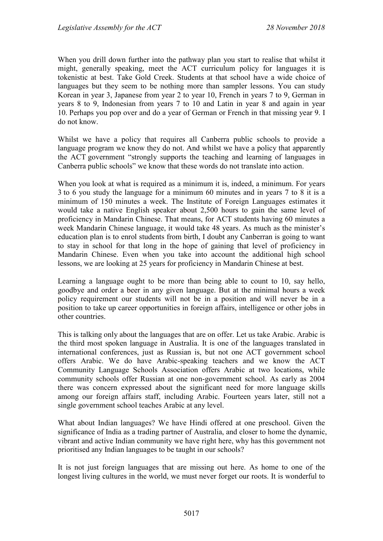When you drill down further into the pathway plan you start to realise that whilst it might, generally speaking, meet the ACT curriculum policy for languages it is tokenistic at best. Take Gold Creek. Students at that school have a wide choice of languages but they seem to be nothing more than sampler lessons. You can study Korean in year 3, Japanese from year 2 to year 10, French in years 7 to 9, German in years 8 to 9, Indonesian from years 7 to 10 and Latin in year 8 and again in year 10. Perhaps you pop over and do a year of German or French in that missing year 9. I do not know.

Whilst we have a policy that requires all Canberra public schools to provide a language program we know they do not. And whilst we have a policy that apparently the ACT government "strongly supports the teaching and learning of languages in Canberra public schools" we know that these words do not translate into action.

When you look at what is required as a minimum it is, indeed, a minimum. For years 3 to 6 you study the language for a minimum 60 minutes and in years 7 to 8 it is a minimum of 150 minutes a week. The Institute of Foreign Languages estimates it would take a native English speaker about 2,500 hours to gain the same level of proficiency in Mandarin Chinese. That means, for ACT students having 60 minutes a week Mandarin Chinese language, it would take 48 years. As much as the minister's education plan is to enrol students from birth, I doubt any Canberran is going to want to stay in school for that long in the hope of gaining that level of proficiency in Mandarin Chinese. Even when you take into account the additional high school lessons, we are looking at 25 years for proficiency in Mandarin Chinese at best.

Learning a language ought to be more than being able to count to 10, say hello, goodbye and order a beer in any given language. But at the minimal hours a week policy requirement our students will not be in a position and will never be in a position to take up career opportunities in foreign affairs, intelligence or other jobs in other countries.

This is talking only about the languages that are on offer. Let us take Arabic. Arabic is the third most spoken language in Australia. It is one of the languages translated in international conferences, just as Russian is, but not one ACT government school offers Arabic. We do have Arabic-speaking teachers and we know the ACT Community Language Schools Association offers Arabic at two locations, while community schools offer Russian at one non-government school. As early as 2004 there was concern expressed about the significant need for more language skills among our foreign affairs staff, including Arabic. Fourteen years later, still not a single government school teaches Arabic at any level.

What about Indian languages? We have Hindi offered at one preschool. Given the significance of India as a trading partner of Australia, and closer to home the dynamic, vibrant and active Indian community we have right here, why has this government not prioritised any Indian languages to be taught in our schools?

It is not just foreign languages that are missing out here. As home to one of the longest living cultures in the world, we must never forget our roots. It is wonderful to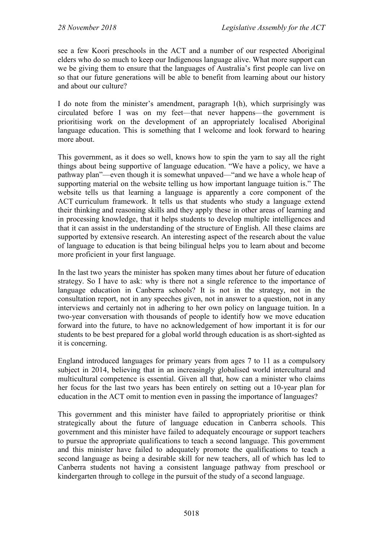see a few Koori preschools in the ACT and a number of our respected Aboriginal elders who do so much to keep our Indigenous language alive. What more support can we be giving them to ensure that the languages of Australia's first people can live on so that our future generations will be able to benefit from learning about our history and about our culture?

I do note from the minister's amendment, paragraph 1(h), which surprisingly was circulated before I was on my feet—that never happens—the government is prioritising work on the development of an appropriately localised Aboriginal language education. This is something that I welcome and look forward to hearing more about.

This government, as it does so well, knows how to spin the yarn to say all the right things about being supportive of language education. "We have a policy, we have a pathway plan"—even though it is somewhat unpaved—"and we have a whole heap of supporting material on the website telling us how important language tuition is." The website tells us that learning a language is apparently a core component of the ACT curriculum framework. It tells us that students who study a language extend their thinking and reasoning skills and they apply these in other areas of learning and in processing knowledge, that it helps students to develop multiple intelligences and that it can assist in the understanding of the structure of English. All these claims are supported by extensive research. An interesting aspect of the research about the value of language to education is that being bilingual helps you to learn about and become more proficient in your first language.

In the last two years the minister has spoken many times about her future of education strategy. So I have to ask: why is there not a single reference to the importance of language education in Canberra schools? It is not in the strategy, not in the consultation report, not in any speeches given, not in answer to a question, not in any interviews and certainly not in adhering to her own policy on language tuition. In a two-year conversation with thousands of people to identify how we move education forward into the future, to have no acknowledgement of how important it is for our students to be best prepared for a global world through education is as short-sighted as it is concerning.

England introduced languages for primary years from ages 7 to 11 as a compulsory subject in 2014, believing that in an increasingly globalised world intercultural and multicultural competence is essential. Given all that, how can a minister who claims her focus for the last two years has been entirely on setting out a 10-year plan for education in the ACT omit to mention even in passing the importance of languages?

This government and this minister have failed to appropriately prioritise or think strategically about the future of language education in Canberra schools. This government and this minister have failed to adequately encourage or support teachers to pursue the appropriate qualifications to teach a second language. This government and this minister have failed to adequately promote the qualifications to teach a second language as being a desirable skill for new teachers, all of which has led to Canberra students not having a consistent language pathway from preschool or kindergarten through to college in the pursuit of the study of a second language.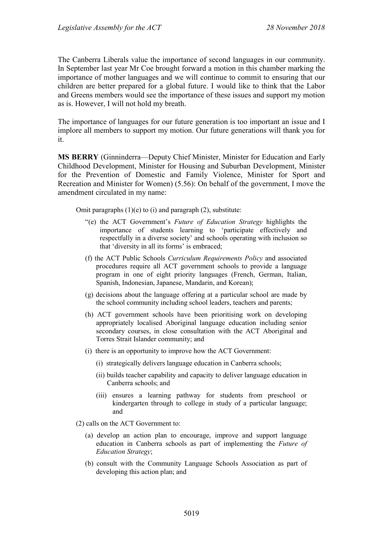The Canberra Liberals value the importance of second languages in our community. In September last year Mr Coe brought forward a motion in this chamber marking the importance of mother languages and we will continue to commit to ensuring that our children are better prepared for a global future. I would like to think that the Labor and Greens members would see the importance of these issues and support my motion as is. However, I will not hold my breath.

The importance of languages for our future generation is too important an issue and I implore all members to support my motion. Our future generations will thank you for it.

**MS BERRY** (Ginninderra—Deputy Chief Minister, Minister for Education and Early Childhood Development, Minister for Housing and Suburban Development, Minister for the Prevention of Domestic and Family Violence, Minister for Sport and Recreation and Minister for Women) (5.56): On behalf of the government, I move the amendment circulated in my name:

Omit paragraphs  $(1)(e)$  to  $(i)$  and paragraph  $(2)$ , substitute:

- "(e) the ACT Government's *Future of Education Strategy* highlights the importance of students learning to 'participate effectively and respectfully in a diverse society' and schools operating with inclusion so that 'diversity in all its forms' is embraced;
- (f) the ACT Public Schools *Curriculum Requirements Policy* and associated procedures require all ACT government schools to provide a language program in one of eight priority languages (French, German, Italian, Spanish, Indonesian, Japanese, Mandarin, and Korean);
- (g) decisions about the language offering at a particular school are made by the school community including school leaders, teachers and parents;
- (h) ACT government schools have been prioritising work on developing appropriately localised Aboriginal language education including senior secondary courses, in close consultation with the ACT Aboriginal and Torres Strait Islander community; and
- (i) there is an opportunity to improve how the ACT Government:
	- (i) strategically delivers language education in Canberra schools;
	- (ii) builds teacher capability and capacity to deliver language education in Canberra schools; and
	- (iii) ensures a learning pathway for students from preschool or kindergarten through to college in study of a particular language; and
- (2) calls on the ACT Government to:
	- (a) develop an action plan to encourage, improve and support language education in Canberra schools as part of implementing the *Future of Education Strategy*;
	- (b) consult with the Community Language Schools Association as part of developing this action plan; and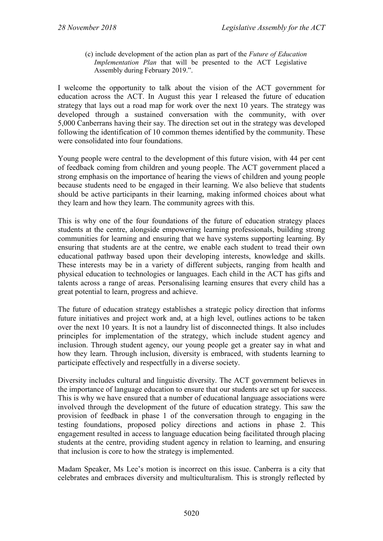(c) include development of the action plan as part of the *Future of Education Implementation Plan* that will be presented to the ACT Legislative Assembly during February 2019.".

I welcome the opportunity to talk about the vision of the ACT government for education across the ACT. In August this year I released the future of education strategy that lays out a road map for work over the next 10 years. The strategy was developed through a sustained conversation with the community, with over 5,000 Canberrans having their say. The direction set out in the strategy was developed following the identification of 10 common themes identified by the community. These were consolidated into four foundations.

Young people were central to the development of this future vision, with 44 per cent of feedback coming from children and young people. The ACT government placed a strong emphasis on the importance of hearing the views of children and young people because students need to be engaged in their learning. We also believe that students should be active participants in their learning, making informed choices about what they learn and how they learn. The community agrees with this.

This is why one of the four foundations of the future of education strategy places students at the centre, alongside empowering learning professionals, building strong communities for learning and ensuring that we have systems supporting learning. By ensuring that students are at the centre, we enable each student to tread their own educational pathway based upon their developing interests, knowledge and skills. These interests may be in a variety of different subjects, ranging from health and physical education to technologies or languages. Each child in the ACT has gifts and talents across a range of areas. Personalising learning ensures that every child has a great potential to learn, progress and achieve.

The future of education strategy establishes a strategic policy direction that informs future initiatives and project work and, at a high level, outlines actions to be taken over the next 10 years. It is not a laundry list of disconnected things. It also includes principles for implementation of the strategy, which include student agency and inclusion. Through student agency, our young people get a greater say in what and how they learn. Through inclusion, diversity is embraced, with students learning to participate effectively and respectfully in a diverse society.

Diversity includes cultural and linguistic diversity. The ACT government believes in the importance of language education to ensure that our students are set up for success. This is why we have ensured that a number of educational language associations were involved through the development of the future of education strategy. This saw the provision of feedback in phase 1 of the conversation through to engaging in the testing foundations, proposed policy directions and actions in phase 2. This engagement resulted in access to language education being facilitated through placing students at the centre, providing student agency in relation to learning, and ensuring that inclusion is core to how the strategy is implemented.

Madam Speaker, Ms Lee's motion is incorrect on this issue. Canberra is a city that celebrates and embraces diversity and multiculturalism. This is strongly reflected by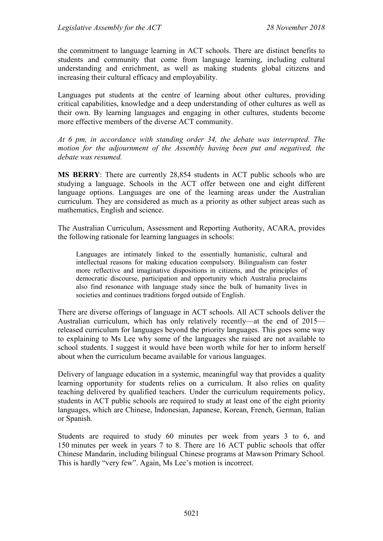the commitment to language learning in ACT schools. There are distinct benefits to students and community that come from language learning, including cultural understanding and enrichment, as well as making students global citizens and increasing their cultural efficacy and employability.

Languages put students at the centre of learning about other cultures, providing critical capabilities, knowledge and a deep understanding of other cultures as well as their own. By learning languages and engaging in other cultures, students become more effective members of the diverse ACT community.

*At 6 pm, in accordance with standing order 34, the debate was interrupted. The motion for the adjournment of the Assembly having been put and negatived, the debate was resumed.*

**MS BERRY**: There are currently 28,854 students in ACT public schools who are studying a language. Schools in the ACT offer between one and eight different language options. Languages are one of the learning areas under the Australian curriculum. They are considered as much as a priority as other subject areas such as mathematics, English and science.

The Australian Curriculum, Assessment and Reporting Authority, ACARA, provides the following rationale for learning languages in schools:

Languages are intimately linked to the essentially humanistic, cultural and intellectual reasons for making education compulsory. Bilingualism can foster more reflective and imaginative dispositions in citizens, and the principles of democratic discourse, participation and opportunity which Australia proclaims also find resonance with language study since the bulk of humanity lives in societies and continues traditions forged outside of English.

There are diverse offerings of language in ACT schools. All ACT schools deliver the Australian curriculum, which has only relatively recently—at the end of 2015 released curriculum for languages beyond the priority languages. This goes some way to explaining to Ms Lee why some of the languages she raised are not available to school students. I suggest it would have been worth while for her to inform herself about when the curriculum became available for various languages.

Delivery of language education in a systemic, meaningful way that provides a quality learning opportunity for students relies on a curriculum. It also relies on quality teaching delivered by qualified teachers. Under the curriculum requirements policy, students in ACT public schools are required to study at least one of the eight priority languages, which are Chinese, Indonesian, Japanese, Korean, French, German, Italian or Spanish.

Students are required to study 60 minutes per week from years 3 to 6, and 150 minutes per week in years 7 to 8. There are 16 ACT public schools that offer Chinese Mandarin, including bilingual Chinese programs at Mawson Primary School. This is hardly "very few". Again, Ms Lee's motion is incorrect.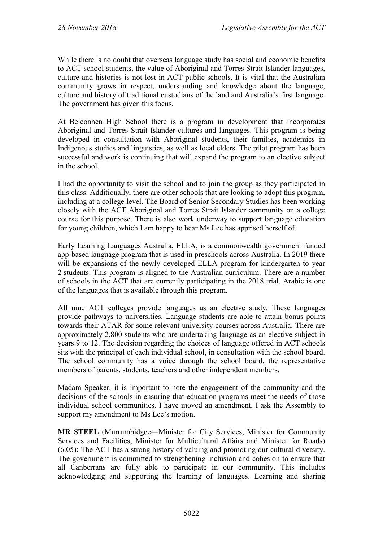While there is no doubt that overseas language study has social and economic benefits to ACT school students, the value of Aboriginal and Torres Strait Islander languages, culture and histories is not lost in ACT public schools. It is vital that the Australian community grows in respect, understanding and knowledge about the language, culture and history of traditional custodians of the land and Australia's first language. The government has given this focus.

At Belconnen High School there is a program in development that incorporates Aboriginal and Torres Strait Islander cultures and languages. This program is being developed in consultation with Aboriginal students, their families, academics in Indigenous studies and linguistics, as well as local elders. The pilot program has been successful and work is continuing that will expand the program to an elective subject in the school.

I had the opportunity to visit the school and to join the group as they participated in this class. Additionally, there are other schools that are looking to adopt this program, including at a college level. The Board of Senior Secondary Studies has been working closely with the ACT Aboriginal and Torres Strait Islander community on a college course for this purpose. There is also work underway to support language education for young children, which I am happy to hear Ms Lee has apprised herself of.

Early Learning Languages Australia, ELLA, is a commonwealth government funded app-based language program that is used in preschools across Australia. In 2019 there will be expansions of the newly developed ELLA program for kindergarten to year 2 students. This program is aligned to the Australian curriculum. There are a number of schools in the ACT that are currently participating in the 2018 trial. Arabic is one of the languages that is available through this program.

All nine ACT colleges provide languages as an elective study. These languages provide pathways to universities. Language students are able to attain bonus points towards their ATAR for some relevant university courses across Australia. There are approximately 2,800 students who are undertaking language as an elective subject in years 9 to 12. The decision regarding the choices of language offered in ACT schools sits with the principal of each individual school, in consultation with the school board. The school community has a voice through the school board, the representative members of parents, students, teachers and other independent members.

Madam Speaker, it is important to note the engagement of the community and the decisions of the schools in ensuring that education programs meet the needs of those individual school communities. I have moved an amendment. I ask the Assembly to support my amendment to Ms Lee's motion.

**MR STEEL** (Murrumbidgee—Minister for City Services, Minister for Community Services and Facilities, Minister for Multicultural Affairs and Minister for Roads) (6.05): The ACT has a strong history of valuing and promoting our cultural diversity. The government is committed to strengthening inclusion and cohesion to ensure that all Canberrans are fully able to participate in our community. This includes acknowledging and supporting the learning of languages. Learning and sharing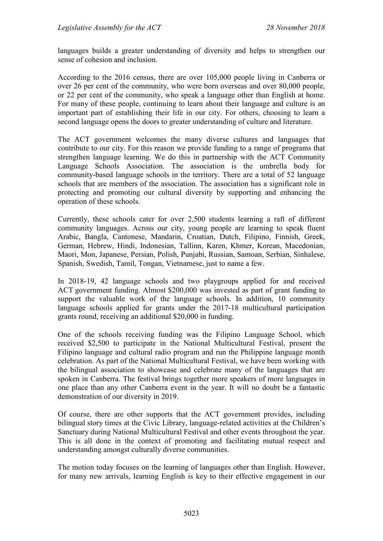languages builds a greater understanding of diversity and helps to strengthen our sense of cohesion and inclusion.

According to the 2016 census, there are over 105,000 people living in Canberra or over 26 per cent of the community, who were born overseas and over 80,000 people, or 22 per cent of the community, who speak a language other than English at home. For many of these people, continuing to learn about their language and culture is an important part of establishing their life in our city. For others, choosing to learn a second language opens the doors to greater understanding of culture and literature.

The ACT government welcomes the many diverse cultures and languages that contribute to our city. For this reason we provide funding to a range of programs that strengthen language learning. We do this in partnership with the ACT Community Language Schools Association. The association is the umbrella body for community-based language schools in the territory. There are a total of 52 language schools that are members of the association. The association has a significant role in protecting and promoting our cultural diversity by supporting and enhancing the operation of these schools.

Currently, these schools cater for over 2,500 students learning a raft of different community languages. Across our city, young people are learning to speak fluent Arabic, Bangla, Cantonese, Mandarin, Croatian, Dutch, Filipino, Finnish, Greek, German, Hebrew, Hindi, Indonesian, Tallinn, Karen, Khmer, Korean, Macedonian, Maori, Mon, Japanese, Persian, Polish, Punjabi, Russian, Samoan, Serbian, Sinhalese, Spanish, Swedish, Tamil, Tongan, Vietnamese, just to name a few.

In 2018-19, 42 language schools and two playgroups applied for and received ACT government funding. Almost \$200,000 was invested as part of grant funding to support the valuable work of the language schools. In addition, 10 community language schools applied for grants under the 2017-18 multicultural participation grants round, receiving an additional \$20,000 in funding.

One of the schools receiving funding was the Filipino Language School, which received \$2,500 to participate in the National Multicultural Festival, present the Filipino language and cultural radio program and run the Philippine language month celebration. As part of the National Multicultural Festival, we have been working with the bilingual association to showcase and celebrate many of the languages that are spoken in Canberra. The festival brings together more speakers of more languages in one place than any other Canberra event in the year. It will no doubt be a fantastic demonstration of our diversity in 2019.

Of course, there are other supports that the ACT government provides, including bilingual story times at the Civic Library, language-related activities at the Children's Sanctuary during National Multicultural Festival and other events throughout the year. This is all done in the context of promoting and facilitating mutual respect and understanding amongst culturally diverse communities.

The motion today focuses on the learning of languages other than English. However, for many new arrivals, learning English is key to their effective engagement in our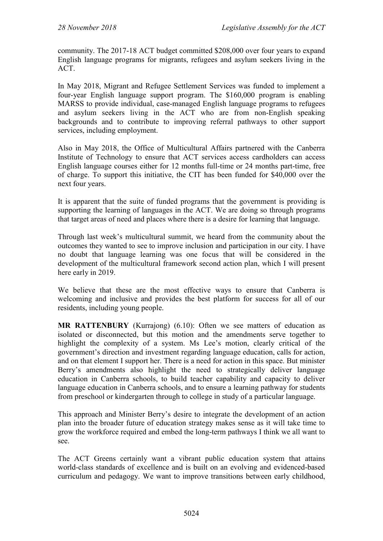community. The 2017-18 ACT budget committed \$208,000 over four years to expand English language programs for migrants, refugees and asylum seekers living in the ACT.

In May 2018, Migrant and Refugee Settlement Services was funded to implement a four-year English language support program. The \$160,000 program is enabling MARSS to provide individual, case-managed English language programs to refugees and asylum seekers living in the ACT who are from non-English speaking backgrounds and to contribute to improving referral pathways to other support services, including employment.

Also in May 2018, the Office of Multicultural Affairs partnered with the Canberra Institute of Technology to ensure that ACT services access cardholders can access English language courses either for 12 months full-time or 24 months part-time, free of charge. To support this initiative, the CIT has been funded for \$40,000 over the next four years.

It is apparent that the suite of funded programs that the government is providing is supporting the learning of languages in the ACT. We are doing so through programs that target areas of need and places where there is a desire for learning that language.

Through last week's multicultural summit, we heard from the community about the outcomes they wanted to see to improve inclusion and participation in our city. I have no doubt that language learning was one focus that will be considered in the development of the multicultural framework second action plan, which I will present here early in 2019.

We believe that these are the most effective ways to ensure that Canberra is welcoming and inclusive and provides the best platform for success for all of our residents, including young people.

**MR RATTENBURY** (Kurrajong) (6.10): Often we see matters of education as isolated or disconnected, but this motion and the amendments serve together to highlight the complexity of a system. Ms Lee's motion, clearly critical of the government's direction and investment regarding language education, calls for action, and on that element I support her. There is a need for action in this space. But minister Berry's amendments also highlight the need to strategically deliver language education in Canberra schools, to build teacher capability and capacity to deliver language education in Canberra schools, and to ensure a learning pathway for students from preschool or kindergarten through to college in study of a particular language.

This approach and Minister Berry's desire to integrate the development of an action plan into the broader future of education strategy makes sense as it will take time to grow the workforce required and embed the long-term pathways I think we all want to see.

The ACT Greens certainly want a vibrant public education system that attains world-class standards of excellence and is built on an evolving and evidenced-based curriculum and pedagogy. We want to improve transitions between early childhood,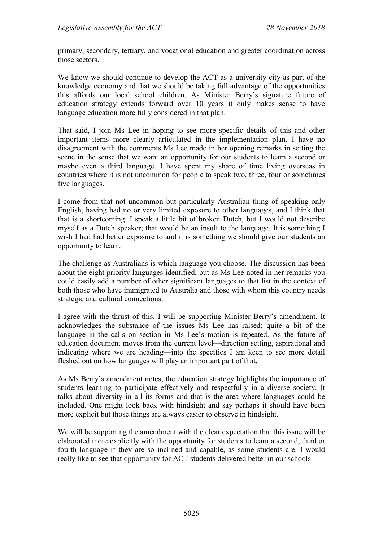primary, secondary, tertiary, and vocational education and greater coordination across those sectors.

We know we should continue to develop the ACT as a university city as part of the knowledge economy and that we should be taking full advantage of the opportunities this affords our local school children. As Minister Berry's signature future of education strategy extends forward over 10 years it only makes sense to have language education more fully considered in that plan.

That said, I join Ms Lee in hoping to see more specific details of this and other important items more clearly articulated in the implementation plan. I have no disagreement with the comments Ms Lee made in her opening remarks in setting the scene in the sense that we want an opportunity for our students to learn a second or maybe even a third language. I have spent my share of time living overseas in countries where it is not uncommon for people to speak two, three, four or sometimes five languages.

I come from that not uncommon but particularly Australian thing of speaking only English, having had no or very limited exposure to other languages, and I think that that is a shortcoming. I speak a little bit of broken Dutch, but I would not describe myself as a Dutch speaker; that would be an insult to the language. It is something I wish I had had better exposure to and it is something we should give our students an opportunity to learn.

The challenge as Australians is which language you choose. The discussion has been about the eight priority languages identified, but as Ms Lee noted in her remarks you could easily add a number of other significant languages to that list in the context of both those who have immigrated to Australia and those with whom this country needs strategic and cultural connections.

I agree with the thrust of this. I will be supporting Minister Berry's amendment. It acknowledges the substance of the issues Ms Lee has raised; quite a bit of the language in the calls on section in Ms Lee's motion is repeated. As the future of education document moves from the current level—direction setting, aspirational and indicating where we are heading—into the specifics I am keen to see more detail fleshed out on how languages will play an important part of that.

As Ms Berry's amendment notes, the education strategy highlights the importance of students learning to participate effectively and respectfully in a diverse society. It talks about diversity in all its forms and that is the area where languages could be included. One might look back with hindsight and say perhaps it should have been more explicit but those things are always easier to observe in hindsight.

We will be supporting the amendment with the clear expectation that this issue will be elaborated more explicitly with the opportunity for students to learn a second, third or fourth language if they are so inclined and capable, as some students are. I would really like to see that opportunity for ACT students delivered better in our schools.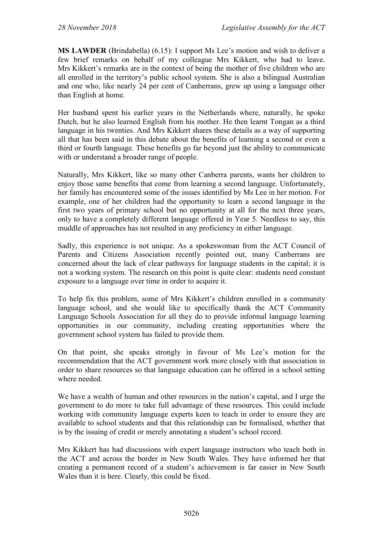**MS LAWDER** (Brindabella) (6.15): I support Ms Lee's motion and wish to deliver a few brief remarks on behalf of my colleague Mrs Kikkert, who had to leave. Mrs Kikkert's remarks are in the context of being the mother of five children who are all enrolled in the territory's public school system. She is also a bilingual Australian and one who, like nearly 24 per cent of Canberrans, grew up using a language other than English at home.

Her husband spent his earlier years in the Netherlands where, naturally, he spoke Dutch, but he also learned English from his mother. He then learnt Tongan as a third language in his twenties. And Mrs Kikkert shares these details as a way of supporting all that has been said in this debate about the benefits of learning a second or even a third or fourth language. These benefits go far beyond just the ability to communicate with or understand a broader range of people.

Naturally, Mrs Kikkert, like so many other Canberra parents, wants her children to enjoy those same benefits that come from learning a second language. Unfortunately, her family has encountered some of the issues identified by Ms Lee in her motion. For example, one of her children had the opportunity to learn a second language in the first two years of primary school but no opportunity at all for the next three years, only to have a completely different language offered in Year 5. Needless to say, this muddle of approaches has not resulted in any proficiency in either language.

Sadly, this experience is not unique. As a spokeswoman from the ACT Council of Parents and Citizens Association recently pointed out, many Canberrans are concerned about the lack of clear pathways for language students in the capital; it is not a working system. The research on this point is quite clear: students need constant exposure to a language over time in order to acquire it.

To help fix this problem, some of Mrs Kikkert's children enrolled in a community language school, and she would like to specifically thank the ACT Community Language Schools Association for all they do to provide informal language learning opportunities in our community, including creating opportunities where the government school system has failed to provide them.

On that point, she speaks strongly in favour of Ms Lee's motion for the recommendation that the ACT government work more closely with that association in order to share resources so that language education can be offered in a school setting where needed

We have a wealth of human and other resources in the nation's capital, and I urge the government to do more to take full advantage of these resources. This could include working with community language experts keen to teach in order to ensure they are available to school students and that this relationship can be formalised, whether that is by the issuing of credit or merely annotating a student's school record.

Mrs Kikkert has had discussions with expert language instructors who teach both in the ACT and across the border in New South Wales. They have informed her that creating a permanent record of a student's achievement is far easier in New South Wales than it is here. Clearly, this could be fixed.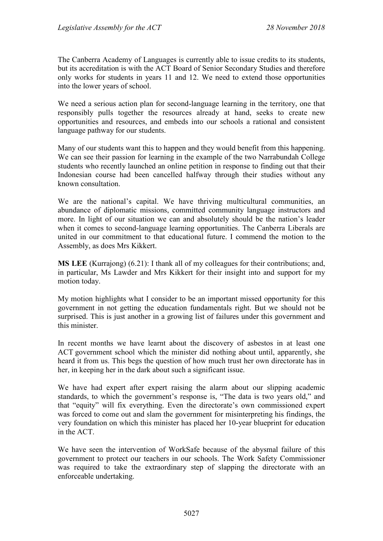The Canberra Academy of Languages is currently able to issue credits to its students, but its accreditation is with the ACT Board of Senior Secondary Studies and therefore only works for students in years 11 and 12. We need to extend those opportunities into the lower years of school.

We need a serious action plan for second-language learning in the territory, one that responsibly pulls together the resources already at hand, seeks to create new opportunities and resources, and embeds into our schools a rational and consistent language pathway for our students.

Many of our students want this to happen and they would benefit from this happening. We can see their passion for learning in the example of the two Narrabundah College students who recently launched an online petition in response to finding out that their Indonesian course had been cancelled halfway through their studies without any known consultation.

We are the national's capital. We have thriving multicultural communities, an abundance of diplomatic missions, committed community language instructors and more. In light of our situation we can and absolutely should be the nation's leader when it comes to second-language learning opportunities. The Canberra Liberals are united in our commitment to that educational future. I commend the motion to the Assembly, as does Mrs Kikkert.

**MS LEE** (Kurrajong) (6.21): I thank all of my colleagues for their contributions; and, in particular, Ms Lawder and Mrs Kikkert for their insight into and support for my motion today.

My motion highlights what I consider to be an important missed opportunity for this government in not getting the education fundamentals right. But we should not be surprised. This is just another in a growing list of failures under this government and this minister.

In recent months we have learnt about the discovery of asbestos in at least one ACT government school which the minister did nothing about until, apparently, she heard it from us. This begs the question of how much trust her own directorate has in her, in keeping her in the dark about such a significant issue.

We have had expert after expert raising the alarm about our slipping academic standards, to which the government's response is, "The data is two years old," and that "equity" will fix everything. Even the directorate's own commissioned expert was forced to come out and slam the government for misinterpreting his findings, the very foundation on which this minister has placed her 10-year blueprint for education in the ACT.

We have seen the intervention of WorkSafe because of the abysmal failure of this government to protect our teachers in our schools. The Work Safety Commissioner was required to take the extraordinary step of slapping the directorate with an enforceable undertaking.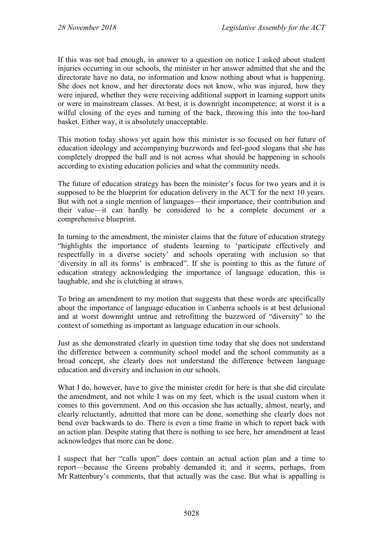If this was not bad enough, in answer to a question on notice I asked about student injuries occurring in our schools, the minister in her answer admitted that she and the directorate have no data, no information and know nothing about what is happening. She does not know, and her directorate does not know, who was injured, how they were injured, whether they were receiving additional support in learning support units or were in mainstream classes. At best, it is downright incompetence; at worst it is a wilful closing of the eyes and turning of the back, throwing this into the too-hard basket. Either way, it is absolutely unacceptable.

This motion today shows yet again how this minister is so focused on her future of education ideology and accompanying buzzwords and feel-good slogans that she has completely dropped the ball and is not across what should be happening in schools according to existing education policies and what the community needs.

The future of education strategy has been the minister's focus for two years and it is supposed to be the blueprint for education delivery in the ACT for the next 10 years. But with not a single mention of languages—their importance, their contribution and their value—it can hardly be considered to be a complete document or a comprehensive blueprint.

In turning to the amendment, the minister claims that the future of education strategy "highlights the importance of students learning to 'participate effectively and respectfully in a diverse society' and schools operating with inclusion so that 'diversity in all its forms' is embraced". If she is pointing to this as the future of education strategy acknowledging the importance of language education, this is laughable, and she is clutching at straws.

To bring an amendment to my motion that suggests that these words are specifically about the importance of language education in Canberra schools is at best delusional and at worst downright untrue and retrofitting the buzzword of "diversity" to the context of something as important as language education in our schools.

Just as she demonstrated clearly in question time today that she does not understand the difference between a community school model and the school community as a broad concept, she clearly does not understand the difference between language education and diversity and inclusion in our schools.

What I do, however, have to give the minister credit for here is that she did circulate the amendment, and not while I was on my feet, which is the usual custom when it comes to this government. And on this occasion she has actually, almost, nearly, and clearly reluctantly, admitted that more can be done, something she clearly does not bend over backwards to do. There is even a time frame in which to report back with an action plan. Despite stating that there is nothing to see here, her amendment at least acknowledges that more can be done.

I suspect that her "calls upon" does contain an actual action plan and a time to report—because the Greens probably demanded it; and it seems, perhaps, from Mr Rattenbury's comments, that that actually was the case. But what is appalling is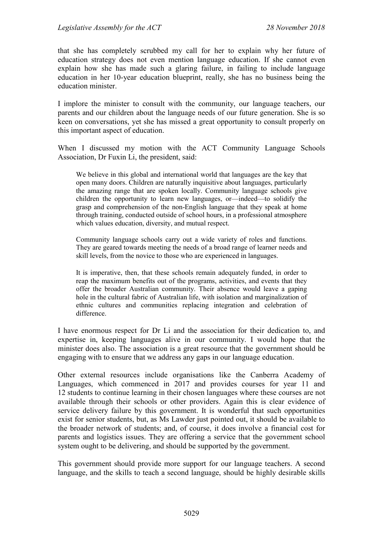that she has completely scrubbed my call for her to explain why her future of education strategy does not even mention language education. If she cannot even explain how she has made such a glaring failure, in failing to include language education in her 10-year education blueprint, really, she has no business being the education minister.

I implore the minister to consult with the community, our language teachers, our parents and our children about the language needs of our future generation. She is so keen on conversations, yet she has missed a great opportunity to consult properly on this important aspect of education.

When I discussed my motion with the ACT Community Language Schools Association, Dr Fuxin Li, the president, said:

We believe in this global and international world that languages are the key that open many doors. Children are naturally inquisitive about languages, particularly the amazing range that are spoken locally. Community language schools give children the opportunity to learn new languages, or—indeed—to solidify the grasp and comprehension of the non-English language that they speak at home through training, conducted outside of school hours, in a professional atmosphere which values education, diversity, and mutual respect.

Community language schools carry out a wide variety of roles and functions. They are geared towards meeting the needs of a broad range of learner needs and skill levels, from the novice to those who are experienced in languages.

It is imperative, then, that these schools remain adequately funded, in order to reap the maximum benefits out of the programs, activities, and events that they offer the broader Australian community. Their absence would leave a gaping hole in the cultural fabric of Australian life, with isolation and marginalization of ethnic cultures and communities replacing integration and celebration of difference.

I have enormous respect for Dr Li and the association for their dedication to, and expertise in, keeping languages alive in our community. I would hope that the minister does also. The association is a great resource that the government should be engaging with to ensure that we address any gaps in our language education.

Other external resources include organisations like the Canberra Academy of Languages, which commenced in 2017 and provides courses for year 11 and 12 students to continue learning in their chosen languages where these courses are not available through their schools or other providers. Again this is clear evidence of service delivery failure by this government. It is wonderful that such opportunities exist for senior students, but, as Ms Lawder just pointed out, it should be available to the broader network of students; and, of course, it does involve a financial cost for parents and logistics issues. They are offering a service that the government school system ought to be delivering, and should be supported by the government.

This government should provide more support for our language teachers. A second language, and the skills to teach a second language, should be highly desirable skills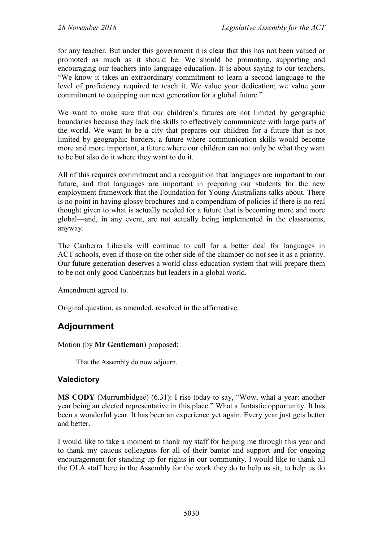for any teacher. But under this government it is clear that this has not been valued or promoted as much as it should be. We should be promoting, supporting and encouraging our teachers into language education. It is about saying to our teachers, "We know it takes an extraordinary commitment to learn a second language to the level of proficiency required to teach it. We value your dedication; we value your commitment to equipping our next generation for a global future."

We want to make sure that our children's futures are not limited by geographic boundaries because they lack the skills to effectively communicate with large parts of the world. We want to be a city that prepares our children for a future that is not limited by geographic borders, a future where communication skills would become more and more important, a future where our children can not only be what they want to be but also do it where they want to do it.

All of this requires commitment and a recognition that languages are important to our future, and that languages are important in preparing our students for the new employment framework that the Foundation for Young Australians talks about. There is no point in having glossy brochures and a compendium of policies if there is no real thought given to what is actually needed for a future that is becoming more and more global—and, in any event, are not actually being implemented in the classrooms, anyway.

The Canberra Liberals will continue to call for a better deal for languages in ACT schools, even if those on the other side of the chamber do not see it as a priority. Our future generation deserves a world-class education system that will prepare them to be not only good Canberrans but leaders in a global world.

Amendment agreed to.

Original question, as amended, resolved in the affirmative.

# **Adjournment**

Motion (by **Mr Gentleman**) proposed:

That the Assembly do now adjourn.

### **Valedictory**

**MS CODY** (Murrumbidgee) (6.31): I rise today to say, "Wow, what a year: another year being an elected representative in this place." What a fantastic opportunity. It has been a wonderful year. It has been an experience yet again. Every year just gets better and better.

I would like to take a moment to thank my staff for helping me through this year and to thank my caucus colleagues for all of their banter and support and for ongoing encouragement for standing up for rights in our community. I would like to thank all the OLA staff here in the Assembly for the work they do to help us sit, to help us do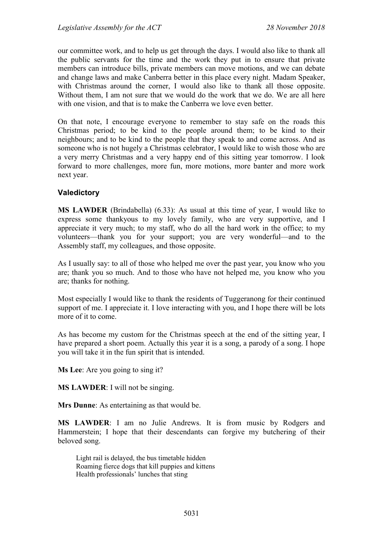our committee work, and to help us get through the days. I would also like to thank all the public servants for the time and the work they put in to ensure that private members can introduce bills, private members can move motions, and we can debate and change laws and make Canberra better in this place every night. Madam Speaker, with Christmas around the corner, I would also like to thank all those opposite. Without them, I am not sure that we would do the work that we do. We are all here with one vision, and that is to make the Canberra we love even better.

On that note, I encourage everyone to remember to stay safe on the roads this Christmas period; to be kind to the people around them; to be kind to their neighbours; and to be kind to the people that they speak to and come across. And as someone who is not hugely a Christmas celebrator, I would like to wish those who are a very merry Christmas and a very happy end of this sitting year tomorrow. I look forward to more challenges, more fun, more motions, more banter and more work next year.

#### **Valedictory**

**MS LAWDER** (Brindabella) (6.33): As usual at this time of year, I would like to express some thankyous to my lovely family, who are very supportive, and I appreciate it very much; to my staff, who do all the hard work in the office; to my volunteers—thank you for your support; you are very wonderful—and to the Assembly staff, my colleagues, and those opposite.

As I usually say: to all of those who helped me over the past year, you know who you are; thank you so much. And to those who have not helped me, you know who you are; thanks for nothing.

Most especially I would like to thank the residents of Tuggeranong for their continued support of me. I appreciate it. I love interacting with you, and I hope there will be lots more of it to come.

As has become my custom for the Christmas speech at the end of the sitting year, I have prepared a short poem. Actually this year it is a song, a parody of a song. I hope you will take it in the fun spirit that is intended.

**Ms Lee**: Are you going to sing it?

**MS LAWDER**: I will not be singing.

**Mrs Dunne**: As entertaining as that would be.

**MS LAWDER**: I am no Julie Andrews. It is from music by Rodgers and Hammerstein; I hope that their descendants can forgive my butchering of their beloved song.

Light rail is delayed, the bus timetable hidden Roaming fierce dogs that kill puppies and kittens Health professionals' lunches that sting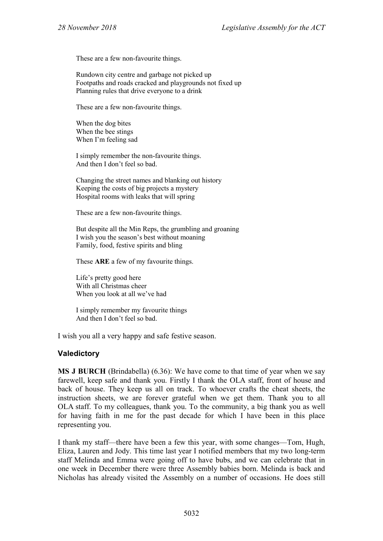These are a few non-favourite things.

Rundown city centre and garbage not picked up Footpaths and roads cracked and playgrounds not fixed up Planning rules that drive everyone to a drink

These are a few non-favourite things.

When the dog bites When the bee stings When I'm feeling sad

I simply remember the non-favourite things. And then I don't feel so bad.

Changing the street names and blanking out history Keeping the costs of big projects a mystery Hospital rooms with leaks that will spring

These are a few non-favourite things.

But despite all the Min Reps, the grumbling and groaning I wish you the season's best without moaning Family, food, festive spirits and bling

These **ARE** a few of my favourite things.

Life's pretty good here With all Christmas cheer When you look at all we've had

I simply remember my favourite things And then I don't feel so bad.

I wish you all a very happy and safe festive season.

#### **Valedictory**

**MS J BURCH** (Brindabella) (6.36): We have come to that time of year when we say farewell, keep safe and thank you. Firstly I thank the OLA staff, front of house and back of house. They keep us all on track. To whoever crafts the cheat sheets, the instruction sheets, we are forever grateful when we get them. Thank you to all OLA staff. To my colleagues, thank you. To the community, a big thank you as well for having faith in me for the past decade for which I have been in this place representing you.

I thank my staff—there have been a few this year, with some changes—Tom, Hugh, Eliza, Lauren and Jody. This time last year I notified members that my two long-term staff Melinda and Emma were going off to have bubs, and we can celebrate that in one week in December there were three Assembly babies born. Melinda is back and Nicholas has already visited the Assembly on a number of occasions. He does still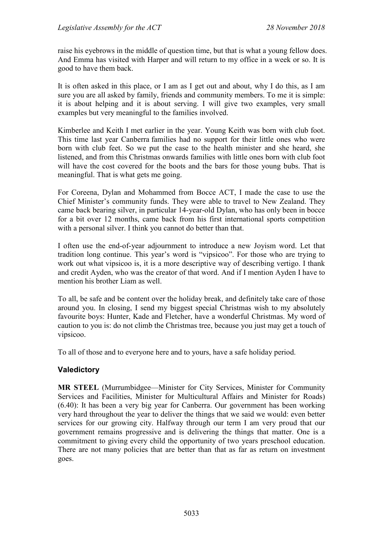raise his eyebrows in the middle of question time, but that is what a young fellow does. And Emma has visited with Harper and will return to my office in a week or so. It is good to have them back.

It is often asked in this place, or I am as I get out and about, why I do this, as I am sure you are all asked by family, friends and community members. To me it is simple: it is about helping and it is about serving. I will give two examples, very small examples but very meaningful to the families involved.

Kimberlee and Keith I met earlier in the year. Young Keith was born with club foot. This time last year Canberra families had no support for their little ones who were born with club feet. So we put the case to the health minister and she heard, she listened, and from this Christmas onwards families with little ones born with club foot will have the cost covered for the boots and the bars for those young bubs. That is meaningful. That is what gets me going.

For Coreena, Dylan and Mohammed from Bocce ACT, I made the case to use the Chief Minister's community funds. They were able to travel to New Zealand. They came back bearing silver, in particular 14-year-old Dylan, who has only been in bocce for a bit over 12 months, came back from his first international sports competition with a personal silver. I think you cannot do better than that.

I often use the end-of-year adjournment to introduce a new Joyism word. Let that tradition long continue. This year's word is "vipsicoo". For those who are trying to work out what vipsicoo is, it is a more descriptive way of describing vertigo. I thank and credit Ayden, who was the creator of that word. And if I mention Ayden I have to mention his brother Liam as well.

To all, be safe and be content over the holiday break, and definitely take care of those around you. In closing, I send my biggest special Christmas wish to my absolutely favourite boys: Hunter, Kade and Fletcher, have a wonderful Christmas. My word of caution to you is: do not climb the Christmas tree, because you just may get a touch of vipsicoo.

To all of those and to everyone here and to yours, have a safe holiday period.

# **Valedictory**

**MR STEEL** (Murrumbidgee—Minister for City Services, Minister for Community Services and Facilities, Minister for Multicultural Affairs and Minister for Roads) (6.40): It has been a very big year for Canberra. Our government has been working very hard throughout the year to deliver the things that we said we would: even better services for our growing city. Halfway through our term I am very proud that our government remains progressive and is delivering the things that matter. One is a commitment to giving every child the opportunity of two years preschool education. There are not many policies that are better than that as far as return on investment goes.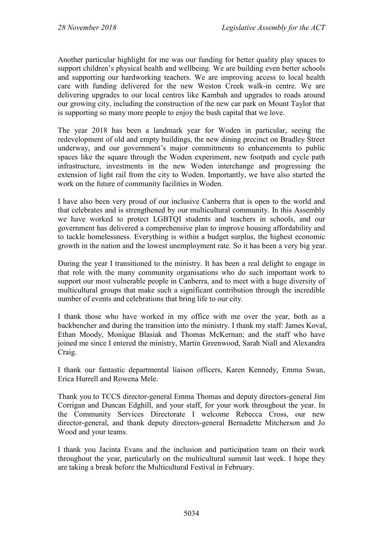Another particular highlight for me was our funding for better quality play spaces to support children's physical health and wellbeing. We are building even better schools and supporting our hardworking teachers. We are improving access to local health care with funding delivered for the new Weston Creek walk-in centre. We are delivering upgrades to our local centres like Kambah and upgrades to roads around our growing city, including the construction of the new car park on Mount Taylor that is supporting so many more people to enjoy the bush capital that we love.

The year 2018 has been a landmark year for Woden in particular, seeing the redevelopment of old and empty buildings, the new dining precinct on Bradley Street underway, and our government's major commitments to enhancements to public spaces like the square through the Woden experiment, new footpath and cycle path infrastructure, investments in the new Woden interchange and progressing the extension of light rail from the city to Woden. Importantly, we have also started the work on the future of community facilities in Woden.

I have also been very proud of our inclusive Canberra that is open to the world and that celebrates and is strengthened by our multicultural community. In this Assembly we have worked to protect LGBTQI students and teachers in schools, and our government has delivered a comprehensive plan to improve housing affordability and to tackle homelessness. Everything is within a budget surplus, the highest economic growth in the nation and the lowest unemployment rate. So it has been a very big year.

During the year I transitioned to the ministry. It has been a real delight to engage in that role with the many community organisations who do such important work to support our most vulnerable people in Canberra, and to meet with a huge diversity of multicultural groups that make such a significant contribution through the incredible number of events and celebrations that bring life to our city.

I thank those who have worked in my office with me over the year, both as a backbencher and during the transition into the ministry. I thank my staff: James Koval, Ethan Moody, Monique Blasiak and Thomas McKernan; and the staff who have joined me since I entered the ministry, Martin Greenwood, Sarah Niall and Alexandra Craig.

I thank our fantastic departmental liaison officers, Karen Kennedy, Emma Swan, Erica Hurrell and Rowena Mele.

Thank you to TCCS director-general Emma Thomas and deputy directors-general Jim Corrigan and Duncan Edghill, and your staff, for your work throughout the year. In the Community Services Directorate I welcome Rebecca Cross, our new director-general, and thank deputy directors-general Bernadette Mitcherson and Jo Wood and your teams.

I thank you Jacinta Evans and the inclusion and participation team on their work throughout the year, particularly on the multicultural summit last week. I hope they are taking a break before the Multicultural Festival in February.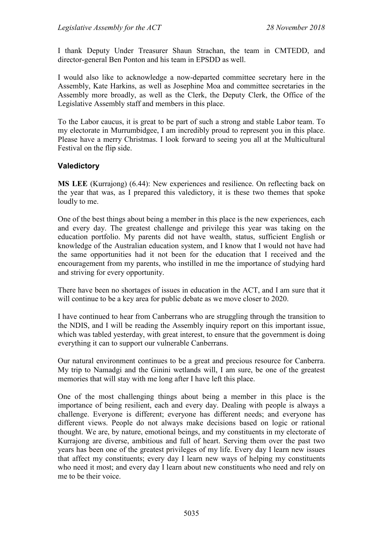I thank Deputy Under Treasurer Shaun Strachan, the team in CMTEDD, and director-general Ben Ponton and his team in EPSDD as well.

I would also like to acknowledge a now-departed committee secretary here in the Assembly, Kate Harkins, as well as Josephine Moa and committee secretaries in the Assembly more broadly, as well as the Clerk, the Deputy Clerk, the Office of the Legislative Assembly staff and members in this place.

To the Labor caucus, it is great to be part of such a strong and stable Labor team. To my electorate in Murrumbidgee, I am incredibly proud to represent you in this place. Please have a merry Christmas. I look forward to seeing you all at the Multicultural Festival on the flip side.

### **Valedictory**

**MS LEE** (Kurrajong) (6.44): New experiences and resilience. On reflecting back on the year that was, as I prepared this valedictory, it is these two themes that spoke loudly to me.

One of the best things about being a member in this place is the new experiences, each and every day. The greatest challenge and privilege this year was taking on the education portfolio. My parents did not have wealth, status, sufficient English or knowledge of the Australian education system, and I know that I would not have had the same opportunities had it not been for the education that I received and the encouragement from my parents, who instilled in me the importance of studying hard and striving for every opportunity.

There have been no shortages of issues in education in the ACT, and I am sure that it will continue to be a key area for public debate as we move closer to 2020.

I have continued to hear from Canberrans who are struggling through the transition to the NDIS, and I will be reading the Assembly inquiry report on this important issue, which was tabled yesterday, with great interest, to ensure that the government is doing everything it can to support our vulnerable Canberrans.

Our natural environment continues to be a great and precious resource for Canberra. My trip to Namadgi and the Ginini wetlands will, I am sure, be one of the greatest memories that will stay with me long after I have left this place.

One of the most challenging things about being a member in this place is the importance of being resilient, each and every day. Dealing with people is always a challenge. Everyone is different; everyone has different needs; and everyone has different views. People do not always make decisions based on logic or rational thought. We are, by nature, emotional beings, and my constituents in my electorate of Kurrajong are diverse, ambitious and full of heart. Serving them over the past two years has been one of the greatest privileges of my life. Every day I learn new issues that affect my constituents; every day I learn new ways of helping my constituents who need it most; and every day I learn about new constituents who need and rely on me to be their voice.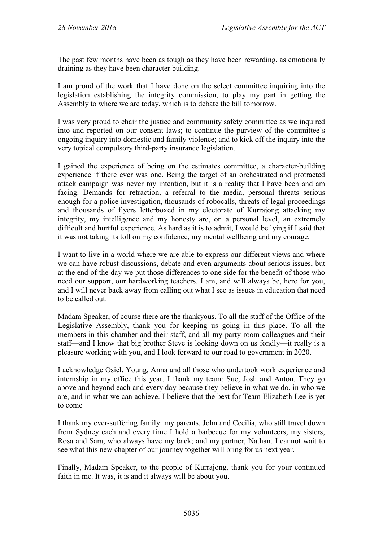The past few months have been as tough as they have been rewarding, as emotionally draining as they have been character building.

I am proud of the work that I have done on the select committee inquiring into the legislation establishing the integrity commission, to play my part in getting the Assembly to where we are today, which is to debate the bill tomorrow.

I was very proud to chair the justice and community safety committee as we inquired into and reported on our consent laws; to continue the purview of the committee's ongoing inquiry into domestic and family violence; and to kick off the inquiry into the very topical compulsory third-party insurance legislation.

I gained the experience of being on the estimates committee, a character-building experience if there ever was one. Being the target of an orchestrated and protracted attack campaign was never my intention, but it is a reality that I have been and am facing. Demands for retraction, a referral to the media, personal threats serious enough for a police investigation, thousands of robocalls, threats of legal proceedings and thousands of flyers letterboxed in my electorate of Kurrajong attacking my integrity, my intelligence and my honesty are, on a personal level, an extremely difficult and hurtful experience. As hard as it is to admit, I would be lying if I said that it was not taking its toll on my confidence, my mental wellbeing and my courage.

I want to live in a world where we are able to express our different views and where we can have robust discussions, debate and even arguments about serious issues, but at the end of the day we put those differences to one side for the benefit of those who need our support, our hardworking teachers. I am, and will always be, here for you, and I will never back away from calling out what I see as issues in education that need to be called out.

Madam Speaker, of course there are the thankyous. To all the staff of the Office of the Legislative Assembly, thank you for keeping us going in this place. To all the members in this chamber and their staff, and all my party room colleagues and their staff—and I know that big brother Steve is looking down on us fondly—it really is a pleasure working with you, and I look forward to our road to government in 2020.

I acknowledge Osiel, Young, Anna and all those who undertook work experience and internship in my office this year. I thank my team: Sue, Josh and Anton. They go above and beyond each and every day because they believe in what we do, in who we are, and in what we can achieve. I believe that the best for Team Elizabeth Lee is yet to come

I thank my ever-suffering family: my parents, John and Cecilia, who still travel down from Sydney each and every time I hold a barbecue for my volunteers; my sisters, Rosa and Sara, who always have my back; and my partner, Nathan. I cannot wait to see what this new chapter of our journey together will bring for us next year.

Finally, Madam Speaker, to the people of Kurrajong, thank you for your continued faith in me. It was, it is and it always will be about you.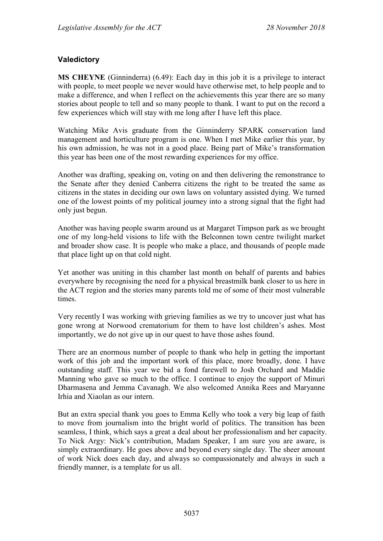## **Valedictory**

**MS CHEYNE** (Ginninderra) (6.49): Each day in this job it is a privilege to interact with people, to meet people we never would have otherwise met, to help people and to make a difference, and when I reflect on the achievements this year there are so many stories about people to tell and so many people to thank. I want to put on the record a few experiences which will stay with me long after I have left this place.

Watching Mike Avis graduate from the Ginninderry SPARK conservation land management and horticulture program is one. When I met Mike earlier this year, by his own admission, he was not in a good place. Being part of Mike's transformation this year has been one of the most rewarding experiences for my office.

Another was drafting, speaking on, voting on and then delivering the remonstrance to the Senate after they denied Canberra citizens the right to be treated the same as citizens in the states in deciding our own laws on voluntary assisted dying. We turned one of the lowest points of my political journey into a strong signal that the fight had only just begun.

Another was having people swarm around us at Margaret Timpson park as we brought one of my long-held visions to life with the Belconnen town centre twilight market and broader show case. It is people who make a place, and thousands of people made that place light up on that cold night.

Yet another was uniting in this chamber last month on behalf of parents and babies everywhere by recognising the need for a physical breastmilk bank closer to us here in the ACT region and the stories many parents told me of some of their most vulnerable times.

Very recently I was working with grieving families as we try to uncover just what has gone wrong at Norwood crematorium for them to have lost children's ashes. Most importantly, we do not give up in our quest to have those ashes found.

There are an enormous number of people to thank who help in getting the important work of this job and the important work of this place, more broadly, done. I have outstanding staff. This year we bid a fond farewell to Josh Orchard and Maddie Manning who gave so much to the office. I continue to enjoy the support of Minuri Dharmasena and Jemma Cavanagh. We also welcomed Annika Rees and Maryanne Irhia and Xiaolan as our intern.

But an extra special thank you goes to Emma Kelly who took a very big leap of faith to move from journalism into the bright world of politics. The transition has been seamless, I think, which says a great a deal about her professionalism and her capacity. To Nick Argy: Nick's contribution, Madam Speaker, I am sure you are aware, is simply extraordinary. He goes above and beyond every single day. The sheer amount of work Nick does each day, and always so compassionately and always in such a friendly manner, is a template for us all.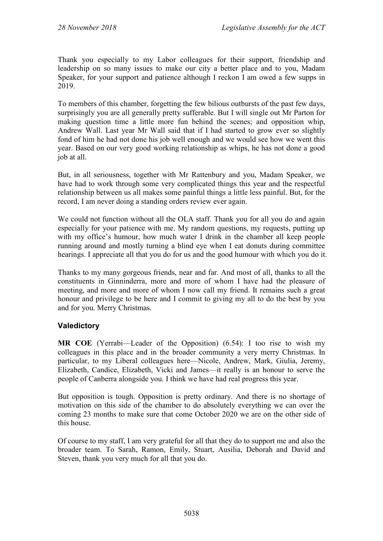Thank you especially to my Labor colleagues for their support, friendship and leadership on so many issues to make our city a better place and to you, Madam Speaker, for your support and patience although I reckon I am owed a few supps in 2019.

To members of this chamber, forgetting the few bilious outbursts of the past few days, surprisingly you are all generally pretty sufferable. But I will single out Mr Parton for making question time a little more fun behind the scenes; and opposition whip, Andrew Wall. Last year Mr Wall said that if I had started to grow ever so slightly fond of him he had not done his job well enough and we would see how we went this year. Based on our very good working relationship as whips, he has not done a good job at all.

But, in all seriousness, together with Mr Rattenbury and you, Madam Speaker, we have had to work through some very complicated things this year and the respectful relationship between us all makes some painful things a little less painful. But, for the record, I am never doing a standing orders review ever again.

We could not function without all the OLA staff. Thank you for all you do and again especially for your patience with me. My random questions, my requests, putting up with my office's humour, how much water I drink in the chamber all keep people running around and mostly turning a blind eye when I eat donuts during committee hearings. I appreciate all that you do for us and the good humour with which you do it.

Thanks to my many gorgeous friends, near and far. And most of all, thanks to all the constituents in Ginninderra, more and more of whom I have had the pleasure of meeting, and more and more of whom I now call my friend. It remains such a great honour and privilege to be here and I commit to giving my all to do the best by you and for you. Merry Christmas.

# **Valedictory**

**MR COE** (Yerrabi—Leader of the Opposition) (6.54): I too rise to wish my colleagues in this place and in the broader community a very merry Christmas. In particular, to my Liberal colleagues here—Nicole, Andrew, Mark, Giulia, Jeremy, Elizabeth, Candice, Elizabeth, Vicki and James—it really is an honour to serve the people of Canberra alongside you. I think we have had real progress this year.

But opposition is tough. Opposition is pretty ordinary. And there is no shortage of motivation on this side of the chamber to do absolutely everything we can over the coming 23 months to make sure that come October 2020 we are on the other side of this house.

Of course to my staff, I am very grateful for all that they do to support me and also the broader team. To Sarah, Ramon, Emily, Stuart, Ausilia, Deborah and David and Steven, thank you very much for all that you do.